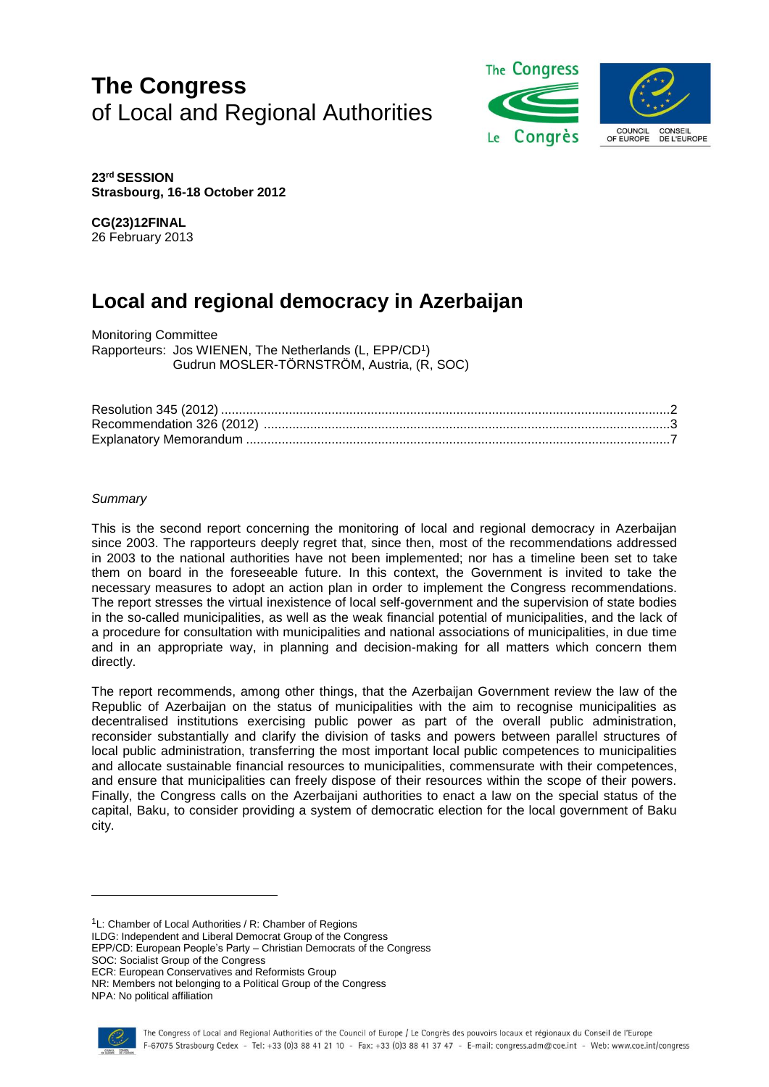# **The Congress** of Local and Regional Authorities



**23rd SESSION Strasbourg, 16-18 October 2012**

**CG(23)12FINAL** 26 February 2013

## **Local and regional democracy in Azerbaijan**

Monitoring Committee Rapporteurs: Jos WIENEN, The Netherlands (L, EPP/CD<sup>1</sup> ) Gudrun MOSLER-TÖRNSTRÖM, Austria, (R, SOC)

#### *Summary*

This is the second report concerning the monitoring of local and regional democracy in Azerbaijan since 2003. The rapporteurs deeply regret that, since then, most of the recommendations addressed in 2003 to the national authorities have not been implemented; nor has a timeline been set to take them on board in the foreseeable future. In this context, the Government is invited to take the necessary measures to adopt an action plan in order to implement the Congress recommendations. The report stresses the virtual inexistence of local self-government and the supervision of state bodies in the so-called municipalities, as well as the weak financial potential of municipalities, and the lack of a procedure for consultation with municipalities and national associations of municipalities, in due time and in an appropriate way, in planning and decision-making for all matters which concern them directly.

The report recommends, among other things, that the Azerbaijan Government review the law of the Republic of Azerbaijan on the status of municipalities with the aim to recognise municipalities as decentralised institutions exercising public power as part of the overall public administration, reconsider substantially and clarify the division of tasks and powers between parallel structures of local public administration, transferring the most important local public competences to municipalities and allocate sustainable financial resources to municipalities, commensurate with their competences, and ensure that municipalities can freely dispose of their resources within the scope of their powers. Finally, the Congress calls on the Azerbaijani authorities to enact a law on the special status of the capital, Baku, to consider providing a system of democratic election for the local government of Baku city.

 $1L$ : Chamber of Local Authorities / R: Chamber of Regions

ILDG: Independent and Liberal Democrat Group of the Congress

EPP/CD: European People's Party – Christian Democrats of the Congress

SOC: Socialist Group of the Congress

ECR: European Conservatives and Reformists Group NR: Members not belonging to a Political Group of the Congress

NPA: No political affiliation

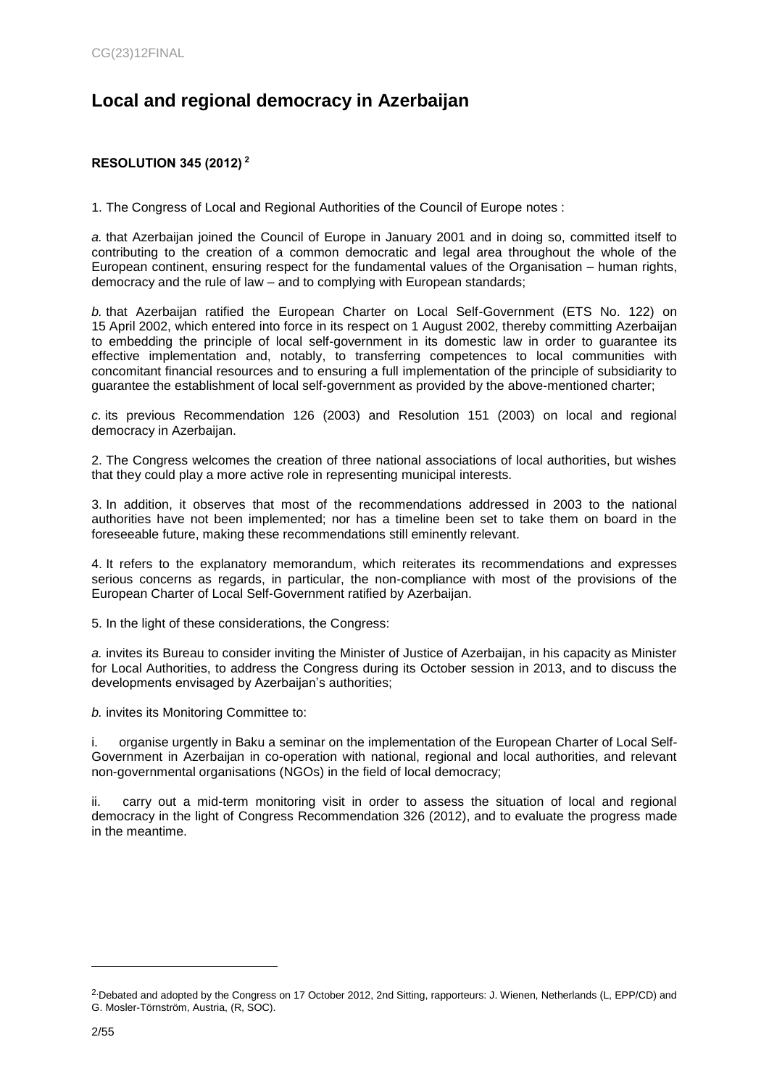## **Local and regional democracy in Azerbaijan**

## <span id="page-1-0"></span>**RESOLUTION 345 (2012) <sup>2</sup>**

1. The Congress of Local and Regional Authorities of the Council of Europe notes :

*a.* that Azerbaijan joined the Council of Europe in January 2001 and in doing so, committed itself to contributing to the creation of a common democratic and legal area throughout the whole of the European continent, ensuring respect for the fundamental values of the Organisation – human rights, democracy and the rule of law – and to complying with European standards;

*b.* that Azerbaijan ratified the European Charter on Local Self-Government (ETS No. 122) on 15 April 2002, which entered into force in its respect on 1 August 2002, thereby committing Azerbaijan to embedding the principle of local self-government in its domestic law in order to guarantee its effective implementation and, notably, to transferring competences to local communities with concomitant financial resources and to ensuring a full implementation of the principle of subsidiarity to guarantee the establishment of local self-government as provided by the above-mentioned charter;

*c.* its previous Recommendation 126 (2003) and Resolution 151 (2003) on local and regional democracy in Azerbaijan.

2. The Congress welcomes the creation of three national associations of local authorities, but wishes that they could play a more active role in representing municipal interests.

3. In addition, it observes that most of the recommendations addressed in 2003 to the national authorities have not been implemented; nor has a timeline been set to take them on board in the foreseeable future, making these recommendations still eminently relevant.

4. It refers to the explanatory memorandum, which reiterates its recommendations and expresses serious concerns as regards, in particular, the non-compliance with most of the provisions of the European Charter of Local Self-Government ratified by Azerbaijan.

5. In the light of these considerations, the Congress:

*a.* invites its Bureau to consider inviting the Minister of Justice of Azerbaijan, in his capacity as Minister for Local Authorities, to address the Congress during its October session in 2013, and to discuss the developments envisaged by Azerbaijan's authorities;

*b.* invites its Monitoring Committee to:

organise urgently in Baku a seminar on the implementation of the European Charter of Local Self-Government in Azerbaijan in co-operation with national, regional and local authorities, and relevant non-governmental organisations (NGOs) in the field of local democracy;

ii. carry out a mid-term monitoring visit in order to assess the situation of local and regional democracy in the light of Congress Recommendation 326 (2012), and to evaluate the progress made in the meantime.

<sup>&</sup>lt;sup>2</sup>Debated and adopted by the Congress on 17 October 2012, 2nd Sitting, rapporteurs: J. Wienen, Netherlands (L, EPP/CD) and G. Mosler-Törnström, Austria, (R, SOC).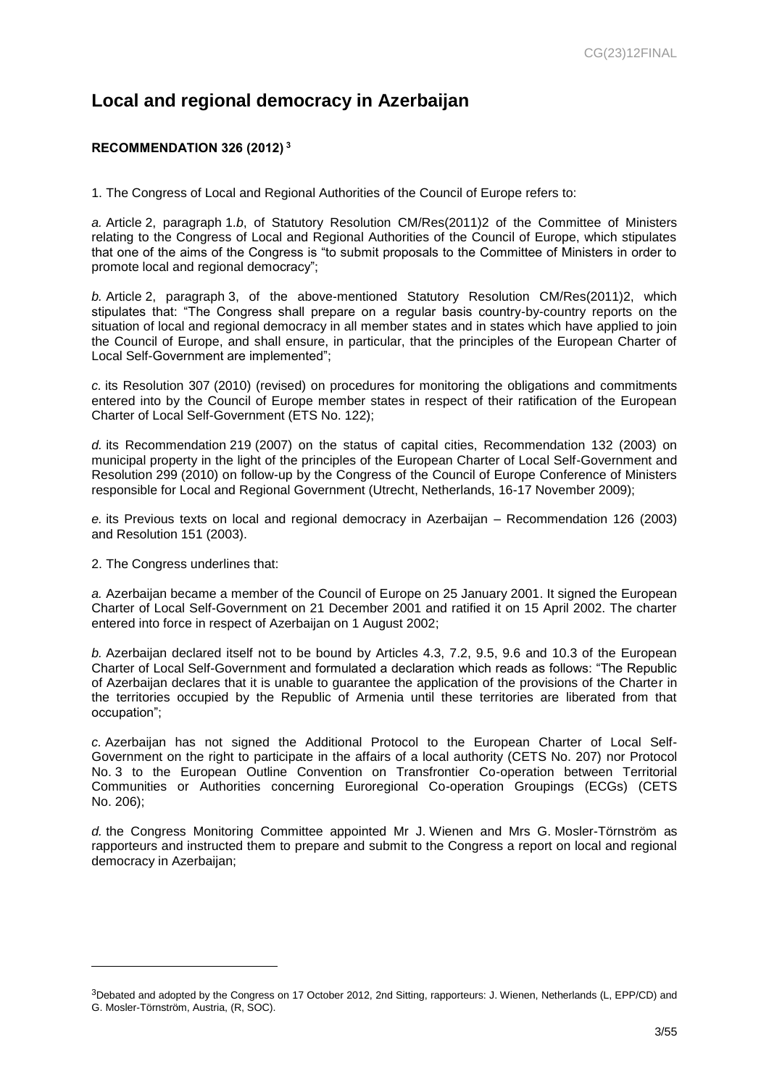## **Local and regional democracy in Azerbaijan**

## <span id="page-2-0"></span>**RECOMMENDATION 326 (2012) <sup>3</sup>**

1. The Congress of Local and Regional Authorities of the Council of Europe refers to:

*a.* Article 2, paragraph 1.*b*, of Statutory Resolution CM/Res(2011)2 of the Committee of Ministers relating to the Congress of Local and Regional Authorities of the Council of Europe, which stipulates that one of the aims of the Congress is "to submit proposals to the Committee of Ministers in order to promote local and regional democracy";

*b.* Article 2, paragraph 3, of the above-mentioned Statutory Resolution CM/Res(2011)2, which stipulates that: "The Congress shall prepare on a regular basis country-by-country reports on the situation of local and regional democracy in all member states and in states which have applied to join the Council of Europe, and shall ensure, in particular, that the principles of the European Charter of Local Self-Government are implemented";

*c.* its Resolution 307 (2010) (revised) on procedures for monitoring the obligations and commitments entered into by the Council of Europe member states in respect of their ratification of the European Charter of Local Self-Government (ETS No. 122);

*d.* its Recommendation 219 (2007) on the status of capital cities, Recommendation 132 (2003) on municipal property in the light of the principles of the European Charter of Local Self-Government and Resolution 299 (2010) on follow-up by the Congress of the Council of Europe Conference of Ministers responsible for Local and Regional Government (Utrecht, Netherlands, 16-17 November 2009);

*e.* its Previous texts on local and regional democracy in Azerbaijan – Recommendation 126 (2003) and Resolution 151 (2003).

2. The Congress underlines that:

l

*a.* Azerbaijan became a member of the Council of Europe on 25 January 2001. It signed the European Charter of Local Self-Government on 21 December 2001 and ratified it on 15 April 2002. The charter entered into force in respect of Azerbaijan on 1 August 2002;

*b.* Azerbaijan declared itself not to be bound by Articles 4.3, 7.2, 9.5, 9.6 and 10.3 of the European Charter of Local Self-Government and formulated a declaration which reads as follows: "The Republic of Azerbaijan declares that it is unable to guarantee the application of the provisions of the Charter in the territories occupied by the Republic of Armenia until these territories are liberated from that occupation";

*c.* Azerbaijan has not signed the Additional Protocol to the European Charter of Local Self-Government on the right to participate in the affairs of a local authority (CETS No. 207) nor Protocol No. 3 to the European Outline Convention on Transfrontier Co-operation between Territorial Communities or Authorities concerning Euroregional Co-operation Groupings (ECGs) (CETS No. 206);

*d.* the Congress Monitoring Committee appointed Mr J. Wienen and Mrs G. Mosler-Törnström as rapporteurs and instructed them to prepare and submit to the Congress a report on local and regional democracy in Azerbaijan;

<sup>3</sup>Debated and adopted by the Congress on 17 October 2012, 2nd Sitting, rapporteurs: J. Wienen, Netherlands (L, EPP/CD) and G. Mosler-Törnström, Austria, (R, SOC).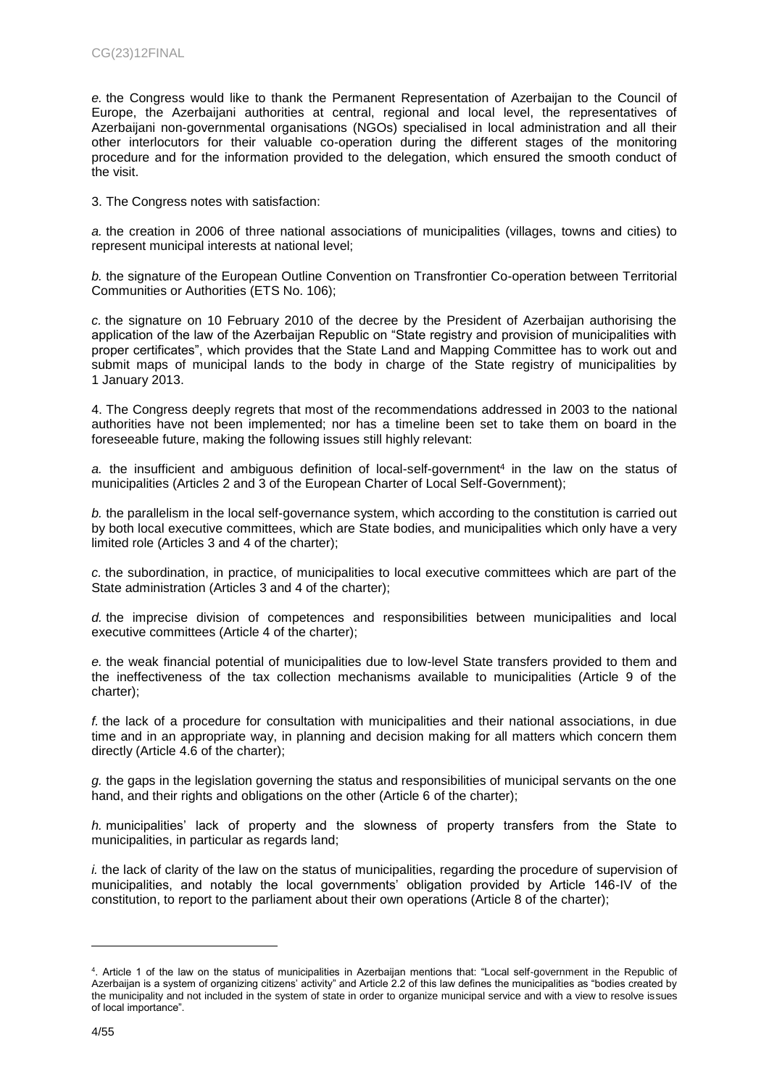*e.* the Congress would like to thank the Permanent Representation of Azerbaijan to the Council of Europe, the Azerbaijani authorities at central, regional and local level, the representatives of Azerbaijani non-governmental organisations (NGOs) specialised in local administration and all their other interlocutors for their valuable co-operation during the different stages of the monitoring procedure and for the information provided to the delegation, which ensured the smooth conduct of the visit.

3. The Congress notes with satisfaction:

*a.* the creation in 2006 of three national associations of municipalities (villages, towns and cities) to represent municipal interests at national level;

*b.* the signature of the European Outline Convention on Transfrontier Co-operation between Territorial Communities or Authorities (ETS No. 106);

*c.* the signature on 10 February 2010 of the decree by the President of Azerbaijan authorising the application of the law of the Azerbaijan Republic on "State registry and provision of municipalities with proper certificates", which provides that the State Land and Mapping Committee has to work out and submit maps of municipal lands to the body in charge of the State registry of municipalities by 1 January 2013.

4. The Congress deeply regrets that most of the recommendations addressed in 2003 to the national authorities have not been implemented; nor has a timeline been set to take them on board in the foreseeable future, making the following issues still highly relevant:

a. the insufficient and ambiguous definition of local-self-government<sup>4</sup> in the law on the status of municipalities (Articles 2 and 3 of the European Charter of Local Self-Government);

*b.* the parallelism in the local self-governance system, which according to the constitution is carried out by both local executive committees, which are State bodies, and municipalities which only have a very limited role (Articles 3 and 4 of the charter);

*c.* the subordination, in practice, of municipalities to local executive committees which are part of the State administration (Articles 3 and 4 of the charter);

*d.* the imprecise division of competences and responsibilities between municipalities and local executive committees (Article 4 of the charter);

*e.* the weak financial potential of municipalities due to low-level State transfers provided to them and the ineffectiveness of the tax collection mechanisms available to municipalities (Article 9 of the charter);

*f.* the lack of a procedure for consultation with municipalities and their national associations, in due time and in an appropriate way, in planning and decision making for all matters which concern them directly (Article 4.6 of the charter);

*g.* the gaps in the legislation governing the status and responsibilities of municipal servants on the one hand, and their rights and obligations on the other (Article 6 of the charter);

*h.* municipalities' lack of property and the slowness of property transfers from the State to municipalities, in particular as regards land;

*i.* the lack of clarity of the law on the status of municipalities, regarding the procedure of supervision of municipalities, and notably the local governments' obligation provided by Article 146-IV of the constitution, to report to the parliament about their own operations (Article 8 of the charter);

<sup>4</sup> . Article 1 of the law on the status of municipalities in Azerbaijan mentions that: "Local self-government in the Republic of Azerbaijan is a system of organizing citizens' activity" and Article 2.2 of this law defines the municipalities as "bodies created by the municipality and not included in the system of state in order to organize municipal service and with a view to resolve issues of local importance".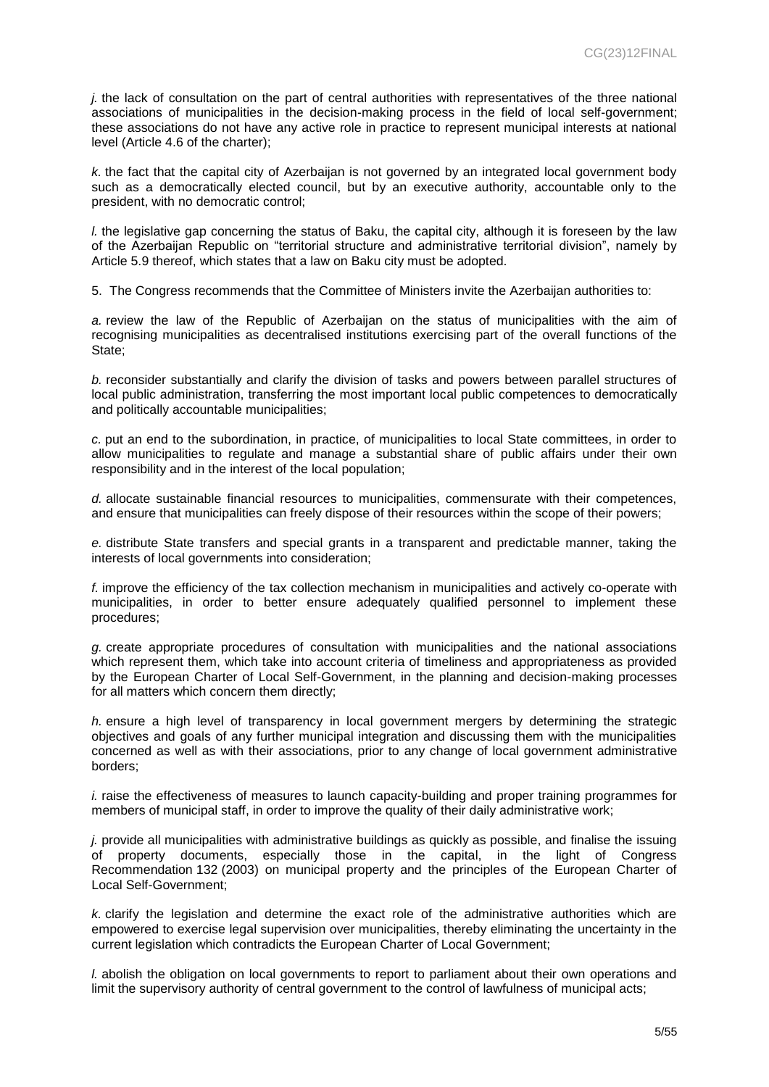*j.* the lack of consultation on the part of central authorities with representatives of the three national associations of municipalities in the decision-making process in the field of local self-government; these associations do not have any active role in practice to represent municipal interests at national level (Article 4.6 of the charter);

*k.* the fact that the capital city of Azerbaijan is not governed by an integrated local government body such as a democratically elected council, but by an executive authority, accountable only to the president, with no democratic control;

*l.* the legislative gap concerning the status of Baku, the capital city, although it is foreseen by the law of the Azerbaijan Republic on "territorial structure and administrative territorial division", namely by Article 5.9 thereof, which states that a law on Baku city must be adopted.

5. The Congress recommends that the Committee of Ministers invite the Azerbaijan authorities to:

*a.* review the law of the Republic of Azerbaijan on the status of municipalities with the aim of recognising municipalities as decentralised institutions exercising part of the overall functions of the State;

*b.* reconsider substantially and clarify the division of tasks and powers between parallel structures of local public administration, transferring the most important local public competences to democratically and politically accountable municipalities;

*c.* put an end to the subordination, in practice, of municipalities to local State committees, in order to allow municipalities to regulate and manage a substantial share of public affairs under their own responsibility and in the interest of the local population;

*d.* allocate sustainable financial resources to municipalities, commensurate with their competences, and ensure that municipalities can freely dispose of their resources within the scope of their powers;

*e.* distribute State transfers and special grants in a transparent and predictable manner, taking the interests of local governments into consideration;

*f.* improve the efficiency of the tax collection mechanism in municipalities and actively co-operate with municipalities, in order to better ensure adequately qualified personnel to implement these procedures;

*g.* create appropriate procedures of consultation with municipalities and the national associations which represent them, which take into account criteria of timeliness and appropriateness as provided by the European Charter of Local Self-Government, in the planning and decision-making processes for all matters which concern them directly;

*h.* ensure a high level of transparency in local government mergers by determining the strategic objectives and goals of any further municipal integration and discussing them with the municipalities concerned as well as with their associations, prior to any change of local government administrative borders;

*i.* raise the effectiveness of measures to launch capacity-building and proper training programmes for members of municipal staff, in order to improve the quality of their daily administrative work;

*j.* provide all municipalities with administrative buildings as quickly as possible, and finalise the issuing of property documents, especially those in the capital, in the light of Congress Recommendation 132 (2003) on municipal property and the principles of the European Charter of Local Self-Government;

*k.* clarify the legislation and determine the exact role of the administrative authorities which are empowered to exercise legal supervision over municipalities, thereby eliminating the uncertainty in the current legislation which contradicts the European Charter of Local Government;

*l.* abolish the obligation on local governments to report to parliament about their own operations and limit the supervisory authority of central government to the control of lawfulness of municipal acts;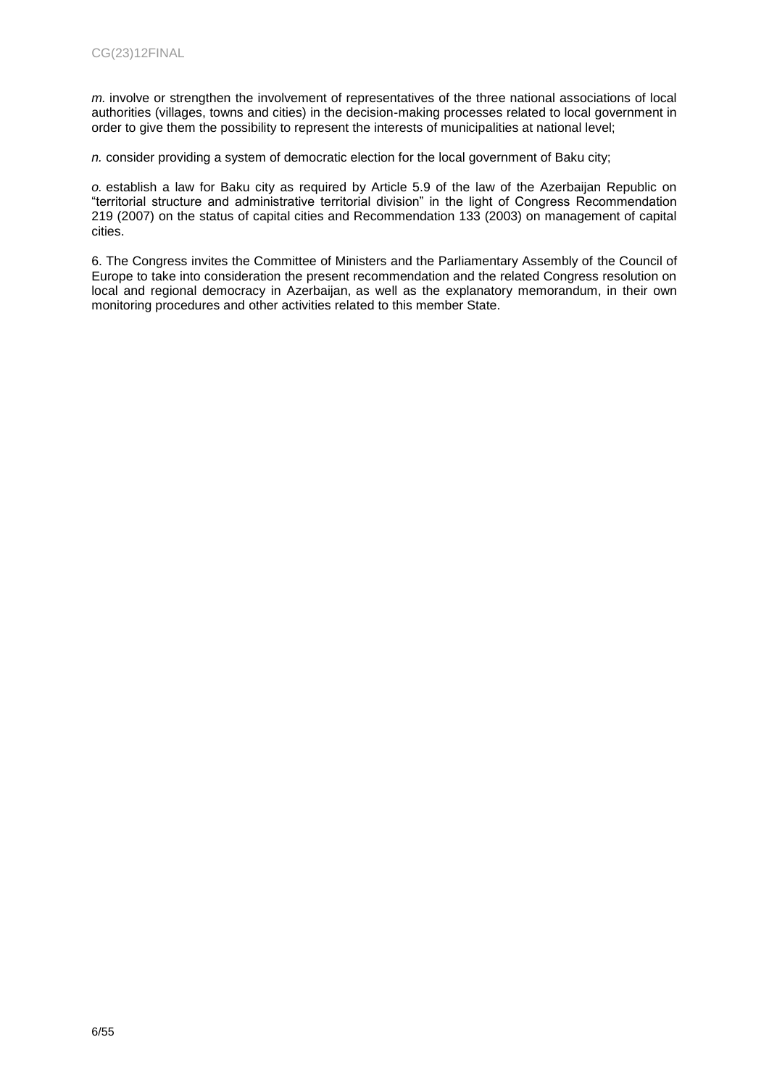*m.* involve or strengthen the involvement of representatives of the three national associations of local authorities (villages, towns and cities) in the decision-making processes related to local government in order to give them the possibility to represent the interests of municipalities at national level;

*n.* consider providing a system of democratic election for the local government of Baku city;

*o.* establish a law for Baku city as required by Article 5.9 of the law of the Azerbaijan Republic on "territorial structure and administrative territorial division" in the light of Congress Recommendation 219 (2007) on the status of capital cities and Recommendation 133 (2003) on management of capital cities.

6. The Congress invites the Committee of Ministers and the Parliamentary Assembly of the Council of Europe to take into consideration the present recommendation and the related Congress resolution on local and regional democracy in Azerbaijan, as well as the explanatory memorandum, in their own monitoring procedures and other activities related to this member State.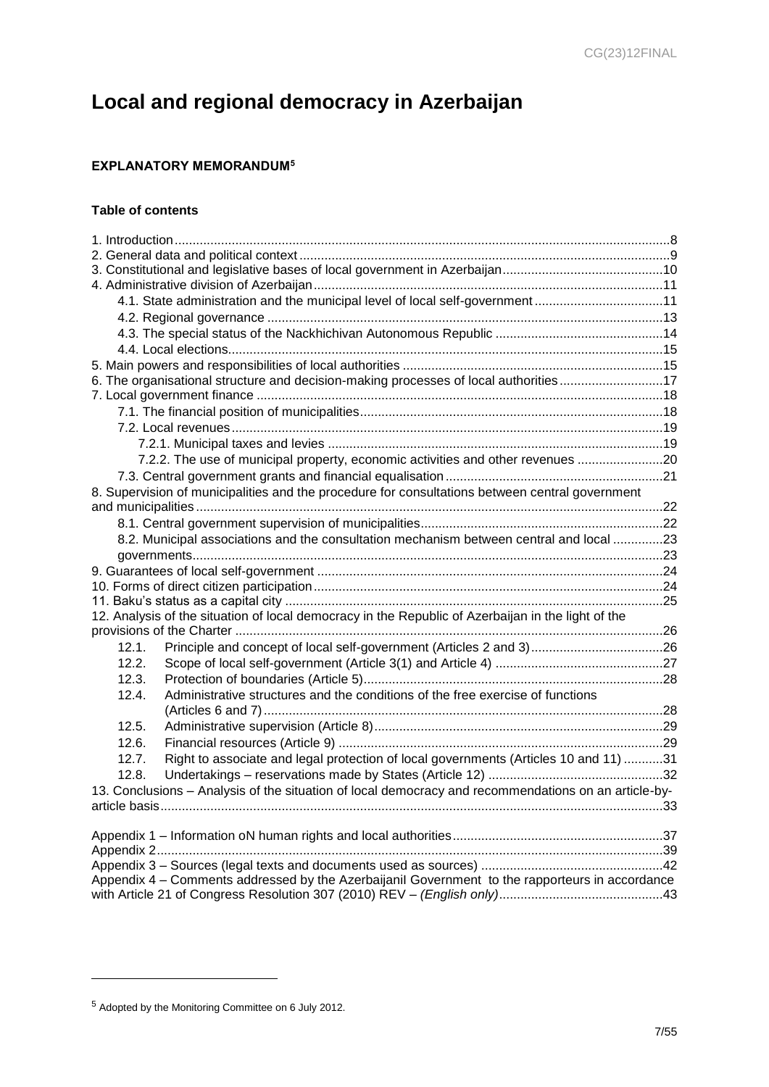# **Local and regional democracy in Azerbaijan**

## <span id="page-6-0"></span>**EXPLANATORY MEMORANDUM<sup>5</sup>**

## **Table of contents**

|                                                                                                 | 4.1. State administration and the municipal level of local self-government11                         |  |  |
|-------------------------------------------------------------------------------------------------|------------------------------------------------------------------------------------------------------|--|--|
|                                                                                                 |                                                                                                      |  |  |
|                                                                                                 |                                                                                                      |  |  |
|                                                                                                 |                                                                                                      |  |  |
|                                                                                                 |                                                                                                      |  |  |
|                                                                                                 | 6. The organisational structure and decision-making processes of local authorities17                 |  |  |
|                                                                                                 |                                                                                                      |  |  |
|                                                                                                 |                                                                                                      |  |  |
|                                                                                                 |                                                                                                      |  |  |
|                                                                                                 |                                                                                                      |  |  |
|                                                                                                 | 7.2.2. The use of municipal property, economic activities and other revenues 20                      |  |  |
|                                                                                                 |                                                                                                      |  |  |
|                                                                                                 | 8. Supervision of municipalities and the procedure for consultations between central government      |  |  |
|                                                                                                 |                                                                                                      |  |  |
|                                                                                                 |                                                                                                      |  |  |
|                                                                                                 | 8.2. Municipal associations and the consultation mechanism between central and local 23              |  |  |
|                                                                                                 |                                                                                                      |  |  |
|                                                                                                 |                                                                                                      |  |  |
|                                                                                                 |                                                                                                      |  |  |
|                                                                                                 |                                                                                                      |  |  |
|                                                                                                 | 12. Analysis of the situation of local democracy in the Republic of Azerbaijan in the light of the   |  |  |
|                                                                                                 |                                                                                                      |  |  |
| 12.1.                                                                                           |                                                                                                      |  |  |
| 12.2.                                                                                           |                                                                                                      |  |  |
| 12.3.                                                                                           |                                                                                                      |  |  |
| 12.4.                                                                                           | Administrative structures and the conditions of the free exercise of functions                       |  |  |
|                                                                                                 |                                                                                                      |  |  |
| 12.5.                                                                                           |                                                                                                      |  |  |
| 12.6.                                                                                           |                                                                                                      |  |  |
| 12.7.                                                                                           | Right to associate and legal protection of local governments (Articles 10 and 11) 31                 |  |  |
| 12.8.                                                                                           |                                                                                                      |  |  |
|                                                                                                 | 13. Conclusions - Analysis of the situation of local democracy and recommendations on an article-by- |  |  |
|                                                                                                 |                                                                                                      |  |  |
|                                                                                                 |                                                                                                      |  |  |
|                                                                                                 |                                                                                                      |  |  |
|                                                                                                 |                                                                                                      |  |  |
| Appendix 4 – Comments addressed by the Azerbaijanil Government to the rapporteurs in accordance |                                                                                                      |  |  |
|                                                                                                 |                                                                                                      |  |  |
|                                                                                                 |                                                                                                      |  |  |

<sup>5</sup> Adopted by the Monitoring Committee on 6 July 2012.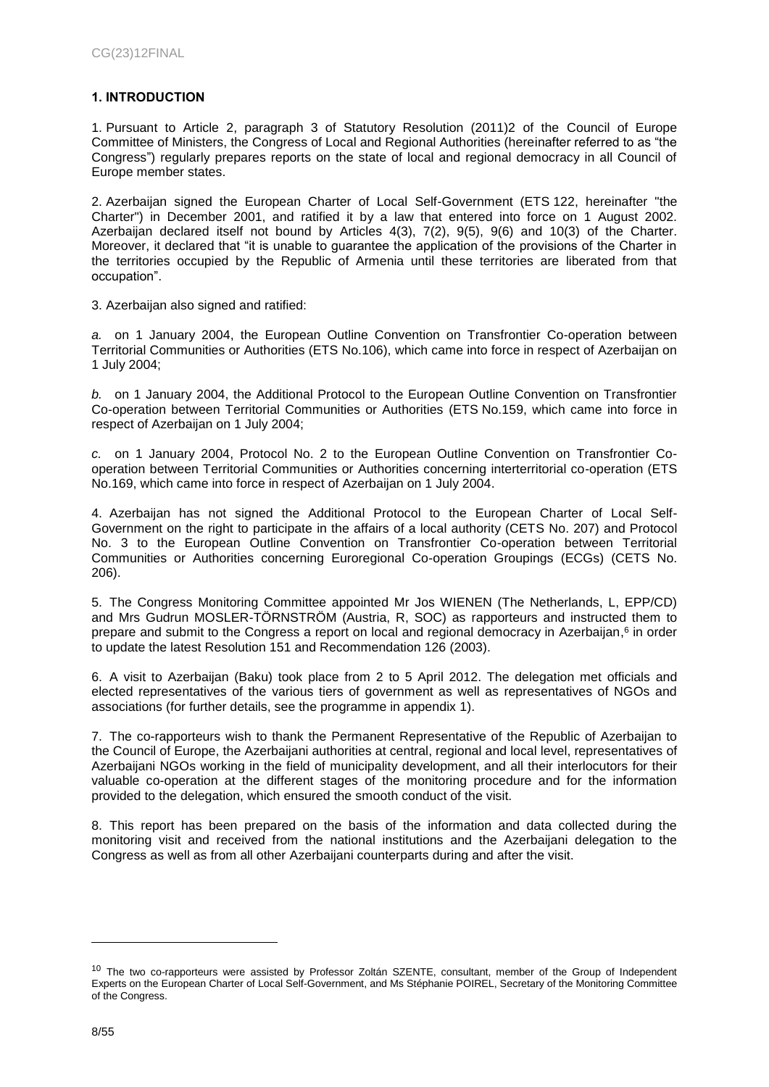## <span id="page-7-0"></span>**1. INTRODUCTION**

1. Pursuant to Article 2, paragraph 3 of Statutory Resolution (2011)2 of the Council of Europe Committee of Ministers, the Congress of Local and Regional Authorities (hereinafter referred to as "the Congress") regularly prepares reports on the state of local and regional democracy in all Council of Europe member states.

2. Azerbaijan signed the European Charter of Local Self-Government (ETS 122, hereinafter "the Charter") in December 2001, and ratified it by a law that entered into force on 1 August 2002. Azerbaijan declared itself not bound by Articles 4(3), 7(2), 9(5), 9(6) and 10(3) of the Charter. Moreover, it declared that "it is unable to guarantee the application of the provisions of the Charter in the territories occupied by the Republic of Armenia until these territories are liberated from that occupation".

3. Azerbaijan also signed and ratified:

*a.* on 1 January 2004, the European Outline Convention on Transfrontier Co-operation between Territorial Communities or Authorities (ETS No.106), which came into force in respect of Azerbaijan on 1 July 2004;

*b.* on 1 January 2004, the Additional Protocol to the European Outline Convention on Transfrontier Co-operation between Territorial Communities or Authorities (ETS No.159, which came into force in respect of Azerbaijan on 1 July 2004;

*c.* on 1 January 2004, Protocol No. 2 to the European Outline Convention on Transfrontier Cooperation between Territorial Communities or Authorities concerning interterritorial co-operation (ETS No.169, which came into force in respect of Azerbaijan on 1 July 2004.

4. Azerbaijan has not signed the Additional Protocol to the European Charter of Local Self-Government on the right to participate in the affairs of a local authority (CETS No. 207) and Protocol No. 3 to the European Outline Convention on Transfrontier Co-operation between Territorial Communities or Authorities concerning Euroregional Co-operation Groupings (ECGs) (CETS No. 206).

5. The Congress Monitoring Committee appointed Mr Jos WIENEN (The Netherlands, L, EPP/CD) and Mrs Gudrun MOSLER-TÖRNSTRÖM (Austria, R, SOC) as rapporteurs and instructed them to prepare and submit to the Congress a report on local and regional democracy in Azerbaijan,<sup>6</sup> in order to update the latest Resolution 151 and Recommendation 126 (2003).

6. A visit to Azerbaijan (Baku) took place from 2 to 5 April 2012. The delegation met officials and elected representatives of the various tiers of government as well as representatives of NGOs and associations (for further details, see the programme in appendix 1).

7. The co-rapporteurs wish to thank the Permanent Representative of the Republic of Azerbaijan to the Council of Europe, the Azerbaijani authorities at central, regional and local level, representatives of Azerbaijani NGOs working in the field of municipality development, and all their interlocutors for their valuable co-operation at the different stages of the monitoring procedure and for the information provided to the delegation, which ensured the smooth conduct of the visit.

8. This report has been prepared on the basis of the information and data collected during the monitoring visit and received from the national institutions and the Azerbaijani delegation to the Congress as well as from all other Azerbaijani counterparts during and after the visit.

<span id="page-7-1"></span><sup>&</sup>lt;sup>10</sup> The two co-rapporteurs were assisted by Professor Zoltán SZENTE, consultant, member of the Group of Independent Experts on the European Charter of Local Self-Government, and Ms Stéphanie POIREL, Secretary of the Monitoring Committee of the Congress.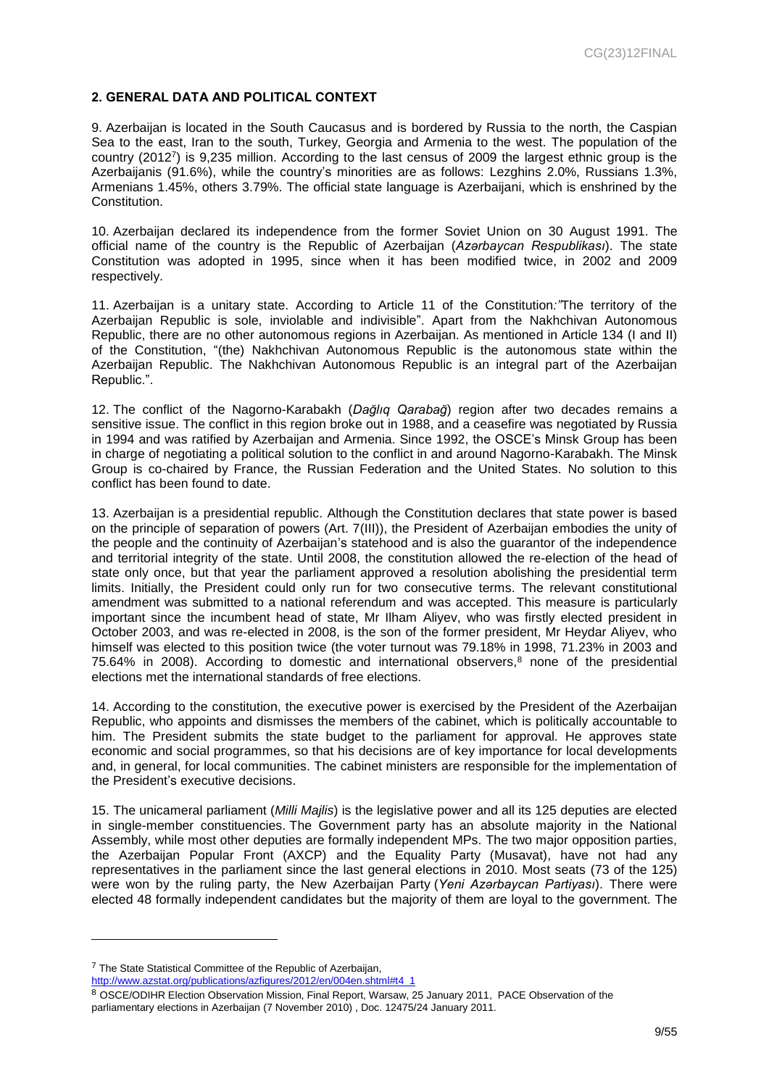#### **2. GENERAL DATA AND POLITICAL CONTEXT**

9. Azerbaijan is located in the South Caucasus and is bordered by Russia to the north, the Caspian Sea to the east, Iran to the south, Turkey, Georgia and Armenia to the west. The population of the country (2012<sup>7</sup> ) is 9,235 million. According to the last census of 2009 the largest ethnic group is the Azerbaijanis (91.6%), while the country's minorities are as follows: Lezghins 2.0%, Russians 1.3%, Armenians 1.45%, others 3.79%. The official state language is Azerbaijani, which is enshrined by the Constitution.

10. Azerbaijan declared its independence from the former Soviet Union on 30 August 1991. The official name of the country is the Republic of Azerbaijan (*Azərbaycan Respublikası*). The state Constitution was adopted in 1995, since when it has been modified twice, in 2002 and 2009 respectively.

11. Azerbaijan is a unitary state. According to Article 11 of the Constitution*:"*The territory of the Azerbaijan Republic is sole, inviolable and indivisible". Apart from the Nakhchivan Autonomous Republic, there are no other autonomous regions in Azerbaijan. As mentioned in Article 134 (I and II) of the Constitution, "(the) Nakhchivan Autonomous Republic is the autonomous state within the Azerbaijan Republic. The Nakhchivan Autonomous Republic is an integral part of the Azerbaijan Republic.".

12. The conflict of the Nagorno-Karabakh (*[Dağlıq Qarabağ](http://en.wiktionary.org/wiki/Da%C4%9Fl%C4%B1q_Qaraba%C4%9F)*) region after two decades remains a sensitive issue. The conflict in this region broke out in 1988, and a ceasefire was negotiated by Russia in 1994 and was ratified by Azerbaijan and Armenia. Since 1992, the OSCE's Minsk Group has been in charge of negotiating a political solution to the conflict in and around Nagorno-Karabakh. The Minsk Group is co-chaired by France, the Russian Federation and the United States. No solution to this conflict has been found to date.

13. Azerbaijan is a presidential republic. Although the Constitution declares that state power is based on the principle of separation of powers (Art. 7(III)), the President of Azerbaijan embodies the unity of the people and the continuity of Azerbaijan's statehood and is also the guarantor of the independence and territorial integrity of the state. Until 2008, the constitution allowed the re-election of the head of state only once, but that year the parliament approved a resolution abolishing the presidential term limits. Initially, the President could only run for two consecutive terms. The relevant constitutional amendment was submitted to a national referendum and was accepted. This measure is particularly important since the incumbent head of state, Mr Ilham Aliyev, who was firstly elected president in October 2003, and was re-elected in 2008, is the son of the former president, Mr Heydar Aliyev, who himself was elected to this position twice (the voter turnout was 79.18% in 1998, 71.23% in 2003 and 75.64% in 2008). According to domestic and international observers, $8$  none of the presidential elections met the international standards of free elections.

14. According to the constitution, the executive power is exercised by the President of the Azerbaijan Republic, who appoints and dismisses the members of the cabinet, which is politically accountable to him. The President submits the state budget to the parliament for approval. He approves state economic and social programmes, so that his decisions are of key importance for local developments and, in general, for local communities. The cabinet ministers are responsible for the implementation of the President's executive decisions.

15. The unicameral parliament (*Milli Majlis*) is the legislative power and all its 125 deputies are elected in single-member constituencies. The Government party has an absolute majority in the National Assembly, while most other deputies are formally independent MPs. The two major opposition parties, the Azerbaijan Popular Front (AXCP) and the Equality Party (Musavat), have not had any representatives in the parliament since the last general elections in 2010. Most seats (73 of the 125) were won by the ruling party, the New Azerbaijan Party (*Yeni Azərbaycan Partiyası*). There were elected 48 formally independent candidates but the majority of them are loyal to the government. The

<sup>7</sup> The State Statistical Committee of the Republic of Azerbaijan, [http://www.azstat.org/publications/azfigures/2012/en/004en.shtml#t4\\_1](http://www.azstat.org/publications/azfigures/2012/en/004en.shtml#t4_1)

<sup>8</sup> OSCE/ODIHR Election Observation Mission, Final Report, Warsaw, 25 January 2011, PACE Observation of the parliamentary elections in Azerbaijan (7 November 2010) , Doc. 12475/24 January 2011.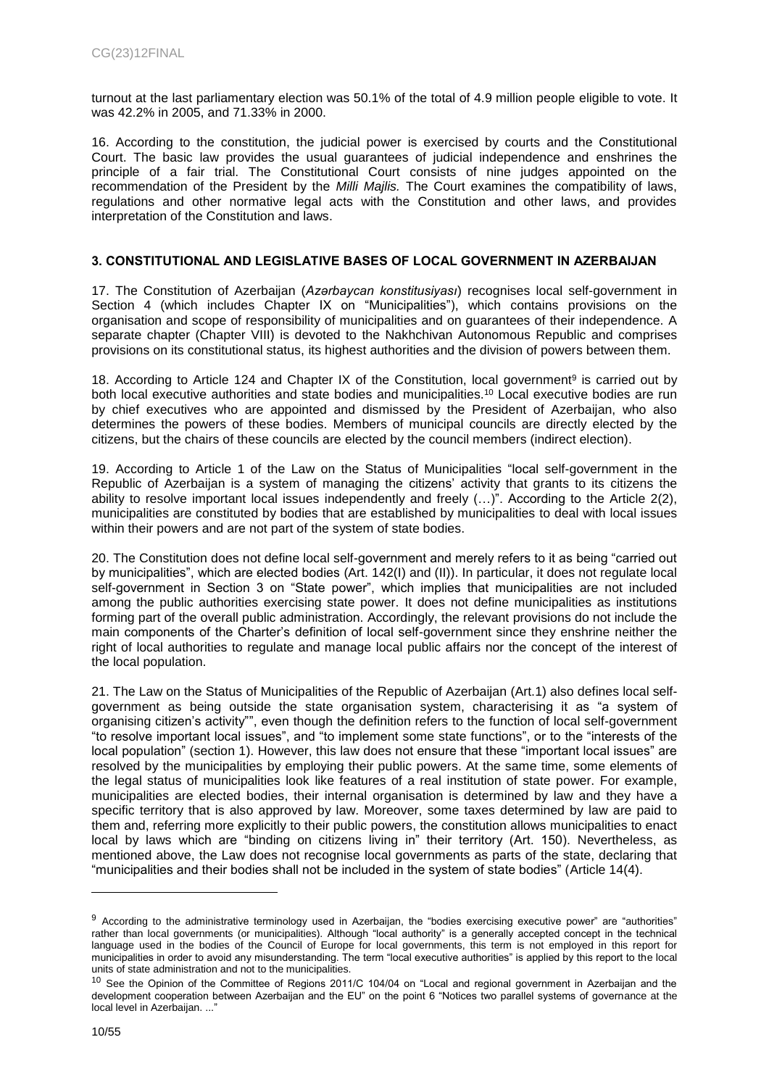turnout at the last parliamentary election was 50.1% of the total of 4.9 million people eligible to vote. It was 42.2% in 2005, and 71.33% in 2000.

16. According to the constitution, the judicial power is exercised by courts and the Constitutional Court. The basic law provides the usual guarantees of judicial independence and enshrines the principle of a fair trial. The Constitutional Court consists of nine judges appointed on the recommendation of the President by the *Milli Majlis.* The Court examines the compatibility of laws, regulations and other normative legal acts with the Constitution and other laws, and provides interpretation of the Constitution and laws.

#### <span id="page-9-0"></span>**3. CONSTITUTIONAL AND LEGISLATIVE BASES OF LOCAL GOVERNMENT IN AZERBAIJAN**

17. The Constitution of Azerbaijan (*Azərbaycan konstitusiyası*) recognises local self-government in Section 4 (which includes Chapter IX on "Municipalities"), which contains provisions on the organisation and scope of responsibility of municipalities and on guarantees of their independence. A separate chapter (Chapter VIII) is devoted to the Nakhchivan Autonomous Republic and comprises provisions on its constitutional status, its highest authorities and the division of powers between them.

18. According to Article 124 and Chapter IX of the Constitution, local government<sup>9</sup> is carried out by both local executive authorities and state bodies and municipalities.<sup>10</sup> Local executive bodies are run by chief executives who are appointed and dismissed by the President of Azerbaijan, who also determines the powers of these bodies. Members of municipal councils are directly elected by the citizens, but the chairs of these councils are elected by the council members (indirect election).

19. According to Article 1 of the Law on the Status of Municipalities "local self-government in the Republic of Azerbaijan is a system of managing the citizens' activity that grants to its citizens the ability to resolve important local issues independently and freely (…)". According to the Article 2(2), municipalities are constituted by bodies that are established by municipalities to deal with local issues within their powers and are not part of the system of state bodies.

20. The Constitution does not define local self-government and merely refers to it as being "carried out by municipalities", which are elected bodies (Art. 142(I) and (II)). In particular, it does not regulate local self-government in Section 3 on "State power", which implies that municipalities are not included among the public authorities exercising state power. It does not define municipalities as institutions forming part of the overall public administration. Accordingly, the relevant provisions do not include the main components of the Charter's definition of local self-government since they enshrine neither the right of local authorities to regulate and manage local public affairs nor the concept of the interest of the local population.

21. The Law on the Status of Municipalities of the Republic of Azerbaijan (Art.1) also defines local selfgovernment as being outside the state organisation system, characterising it as "a system of organising citizen's activity"", even though the definition refers to the function of local self-government "to resolve important local issues", and "to implement some state functions", or to the "interests of the local population" (section 1). However, this law does not ensure that these "important local issues" are resolved by the municipalities by employing their public powers. At the same time, some elements of the legal status of municipalities look like features of a real institution of state power. For example, municipalities are elected bodies, their internal organisation is determined by law and they have a specific territory that is also approved by law. Moreover, some taxes determined by law are paid to them and, referring more explicitly to their public powers, the constitution allows municipalities to enact local by laws which are "binding on citizens living in" their territory (Art. 150). Nevertheless, as mentioned above, the Law does not recognise local governments as parts of the state, declaring that "municipalities and their bodies shall not be included in the system of state bodies" (Article 14(4).

<sup>9</sup> According to the administrative terminology used in Azerbaijan, the "bodies exercising executive power" are "authorities" rather than local governments (or municipalities). Although "local authority" is a generally accepted concept in the technical language used in the bodies of the Council of Europe for local governments, this term is not employed in this report for municipalities in order to avoid any misunderstanding. The term "local executive authorities" is applied by this report to the local units of state administration and not to the municipalities.

<sup>&</sup>lt;sup>10</sup> See the Opinion of the Committee of Regions 2011/C 104/04 on "Local and regional government in Azerbaijan and the development cooperation between Azerbaijan and the EU" on the point 6 "Notices two parallel systems of governance at the local level in Azerbaijan. ..."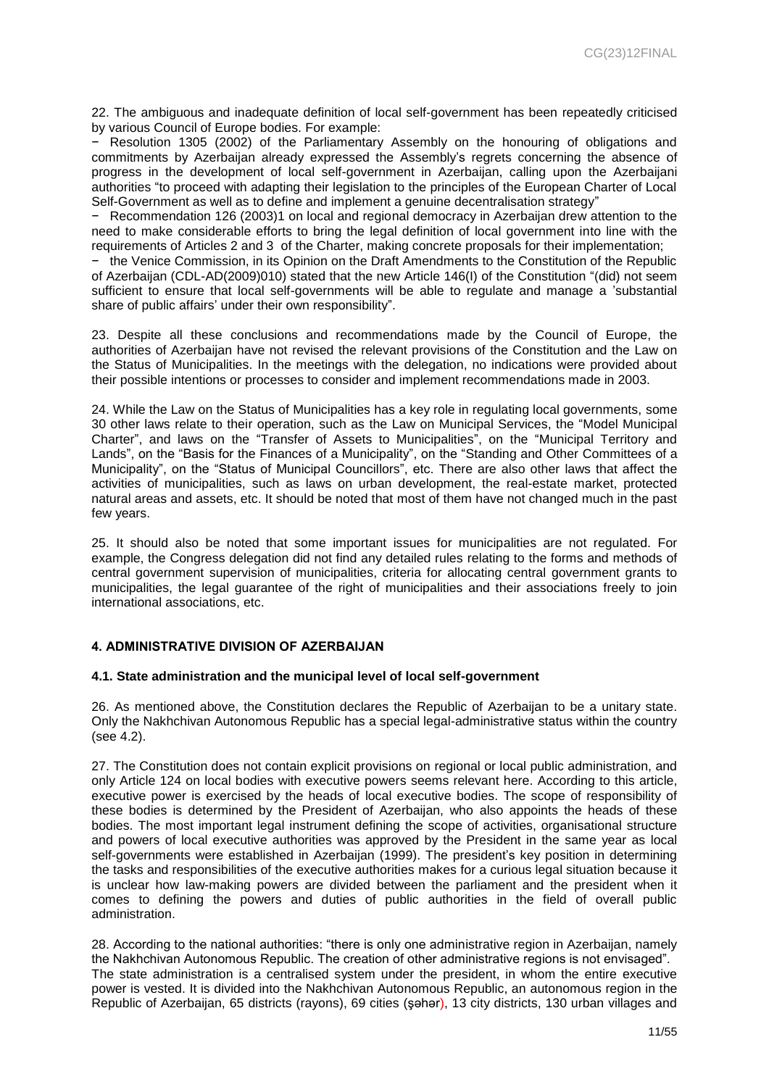22. The ambiguous and inadequate definition of local self-government has been repeatedly criticised by various Council of Europe bodies. For example:

− Resolution 1305 (2002) of the Parliamentary Assembly on the honouring of obligations and commitments by Azerbaijan already expressed the Assembly's regrets concerning the absence of progress in the development of local self-government in Azerbaijan, calling upon the Azerbaijani authorities "to proceed with adapting their legislation to the principles of the European Charter of Local Self-Government as well as to define and implement a genuine decentralisation strategy"

− Recommendation 126 (2003)1 on local and regional democracy in Azerbaijan drew attention to the need to make considerable efforts to bring the legal definition of local government into line with the requirements of Articles 2 and 3 of the Charter, making concrete proposals for their implementation;

− the Venice Commission, in its Opinion on the Draft Amendments to the Constitution of the Republic of Azerbaijan (CDL-AD(2009)010) stated that the new Article 146(I) of the Constitution "(did) not seem sufficient to ensure that local self-governments will be able to regulate and manage a 'substantial share of public affairs' under their own responsibility".

23. Despite all these conclusions and recommendations made by the Council of Europe, the authorities of Azerbaijan have not revised the relevant provisions of the Constitution and the Law on the Status of Municipalities. In the meetings with the delegation, no indications were provided about their possible intentions or processes to consider and implement recommendations made in 2003.

24. While the Law on the Status of Municipalities has a key role in regulating local governments, some 30 other laws relate to their operation, such as the Law on Municipal Services, the "Model Municipal Charter", and laws on the "Transfer of Assets to Municipalities", on the "Municipal Territory and Lands", on the "Basis for the Finances of a Municipality", on the "Standing and Other Committees of a Municipality", on the "Status of Municipal Councillors", etc. There are also other laws that affect the activities of municipalities, such as laws on urban development, the real-estate market, protected natural areas and assets, etc. It should be noted that most of them have not changed much in the past few years.

25. It should also be noted that some important issues for municipalities are not regulated. For example, the Congress delegation did not find any detailed rules relating to the forms and methods of central government supervision of municipalities, criteria for allocating central government grants to municipalities, the legal guarantee of the right of municipalities and their associations freely to join international associations, etc.

#### <span id="page-10-0"></span>**4. ADMINISTRATIVE DIVISION OF AZERBAIJAN**

#### <span id="page-10-1"></span>**4.1. State administration and the municipal level of local self-government**

26. As mentioned above, the Constitution declares the Republic of Azerbaijan to be a unitary state. Only the Nakhchivan Autonomous Republic has a special legal-administrative status within the country (see 4.2).

27. The Constitution does not contain explicit provisions on regional or local public administration, and only Article 124 on local bodies with executive powers seems relevant here. According to this article, executive power is exercised by the heads of local executive bodies. The scope of responsibility of these bodies is determined by the President of Azerbaijan, who also appoints the heads of these bodies. The most important legal instrument defining the scope of activities, organisational structure and powers of local executive authorities was approved by the President in the same year as local self-governments were established in Azerbaijan (1999). The president's key position in determining the tasks and responsibilities of the executive authorities makes for a curious legal situation because it is unclear how law-making powers are divided between the parliament and the president when it comes to defining the powers and duties of public authorities in the field of overall public administration.

28. According to the national authorities: "there is only one administrative region in Azerbaijan, namely the Nakhchivan Autonomous Republic. The creation of other administrative regions is not envisaged". The state administration is a centralised system under the president, in whom the entire executive power is vested. It is divided into the Nakhchivan Autonomous Republic, an autonomous region in the Republic of Azerbaijan, 65 districts (rayons), 69 cities [\(şəhər\)](http://en.wikipedia.org/w/index.php?title=%C5%9E%C9%99h%C9%99r&action=edit&redlink=1), 13 city districts, 130 urban villages and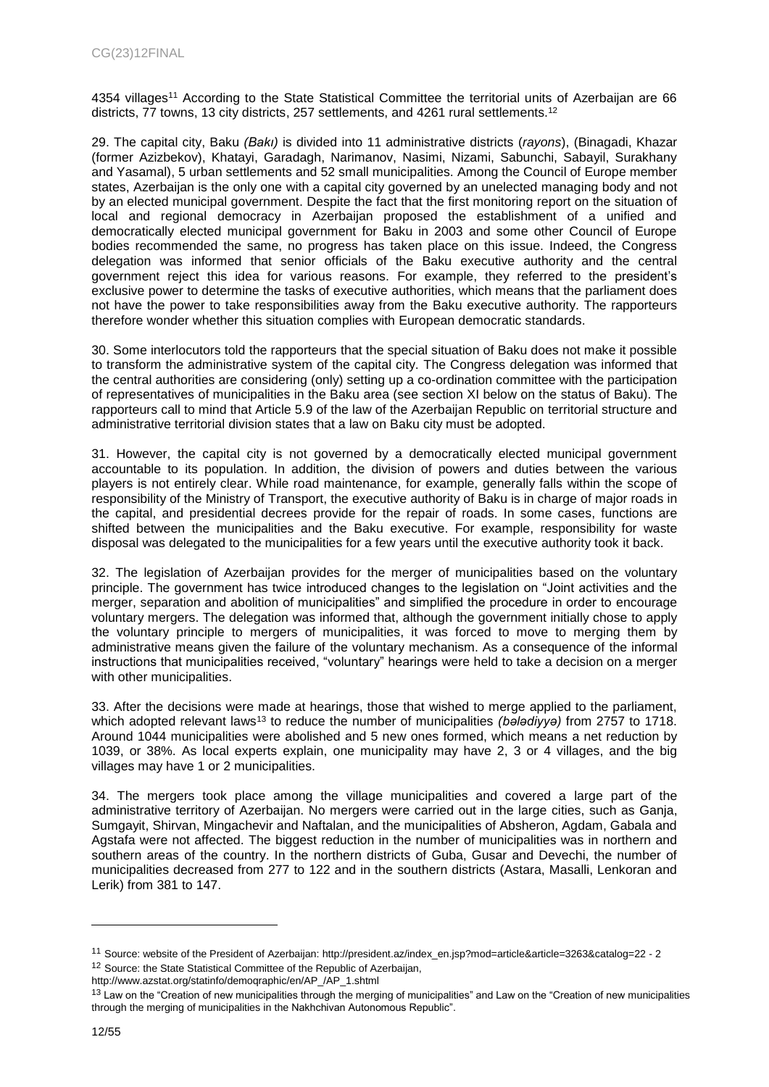4354 villages<sup>11</sup> According to the State Statistical Committee the territorial units of Azerbaijan are 66 districts, 77 towns, 13 city districts, 257 settlements, and 4261 rural settlements.<sup>12</sup>

29. The capital city, Baku *(Bakı)* is divided into 11 administrative districts (*rayons*), (Binagadi, Khazar (former Azizbekov), Khatayi, Garadagh, Narimanov, Nasimi, Nizami, Sabunchi, Sabayil, Surakhany and Yasamal), 5 urban settlements and 52 small municipalities. Among the Council of Europe member states, Azerbaijan is the only one with a capital city governed by an unelected managing body and not by an elected municipal government. Despite the fact that the first monitoring report on the situation of local and regional democracy in Azerbaijan proposed the establishment of a unified and democratically elected municipal government for Baku in 2003 and some other Council of Europe bodies recommended the same, no progress has taken place on this issue. Indeed, the Congress delegation was informed that senior officials of the Baku executive authority and the central government reject this idea for various reasons. For example, they referred to the president's exclusive power to determine the tasks of executive authorities, which means that the parliament does not have the power to take responsibilities away from the Baku executive authority. The rapporteurs therefore wonder whether this situation complies with European democratic standards.

30. Some interlocutors told the rapporteurs that the special situation of Baku does not make it possible to transform the administrative system of the capital city. The Congress delegation was informed that the central authorities are considering (only) setting up a co-ordination committee with the participation of representatives of municipalities in the Baku area (see section XI below on the status of Baku). The rapporteurs call to mind that Article 5.9 of the law of the Azerbaijan Republic on territorial structure and administrative territorial division states that a law on Baku city must be adopted.

31. However, the capital city is not governed by a democratically elected municipal government accountable to its population. In addition, the division of powers and duties between the various players is not entirely clear. While road maintenance, for example, generally falls within the scope of responsibility of the Ministry of Transport, the executive authority of Baku is in charge of major roads in the capital, and presidential decrees provide for the repair of roads. In some cases, functions are shifted between the municipalities and the Baku executive. For example, responsibility for waste disposal was delegated to the municipalities for a few years until the executive authority took it back.

32. The legislation of Azerbaijan provides for the merger of municipalities based on the voluntary principle. The government has twice introduced changes to the legislation on "Joint activities and the merger, separation and abolition of municipalities" and simplified the procedure in order to encourage voluntary mergers. The delegation was informed that, although the government initially chose to apply the voluntary principle to mergers of municipalities, it was forced to move to merging them by administrative means given the failure of the voluntary mechanism. As a consequence of the informal instructions that municipalities received, "voluntary" hearings were held to take a decision on a merger with other municipalities.

33. After the decisions were made at hearings, those that wished to merge applied to the parliament, which adopted relevant laws<sup>13</sup> to reduce the number of municipalities *(belediyye)* from 2757 to 1718. Around 1044 municipalities were abolished and 5 new ones formed, which means a net reduction by 1039, or 38%. As local experts explain, one municipality may have 2, 3 or 4 villages, and the big villages may have 1 or 2 municipalities.

34. The mergers took place among the village municipalities and covered a large part of the administrative territory of Azerbaijan. No mergers were carried out in the large cities, such as Ganja, Sumgayit, Shirvan, Mingachevir and Naftalan, and the municipalities of Absheron, Agdam, Gabala and Agstafa were not affected. The biggest reduction in the number of municipalities was in northern and southern areas of the country. In the northern districts of Guba, Gusar and Devechi, the number of municipalities decreased from 277 to 122 and in the southern districts (Astara, Masalli, Lenkoran and Lerik) from 381 to 147.

<sup>11</sup> Source: website of the President of Azerbaijan[: http://president.az/index\\_en.jsp?mod=article&article=3263&catalog=22 -](http://president.az/index_en.jsp?mod=article&article=3263&catalog=22#2) 2

<sup>&</sup>lt;sup>12</sup> Source: the State Statistical Committee of the Republic of Azerbaijan,

http://www.azstat.org/statinfo/demoqraphic/en/AP\_/AP\_1.shtml

<sup>&</sup>lt;sup>13</sup> Law on the "Creation of new municipalities through the merging of municipalities" and Law on the "Creation of new municipalities through the merging of municipalities in the Nakhchivan Autonomous Republic".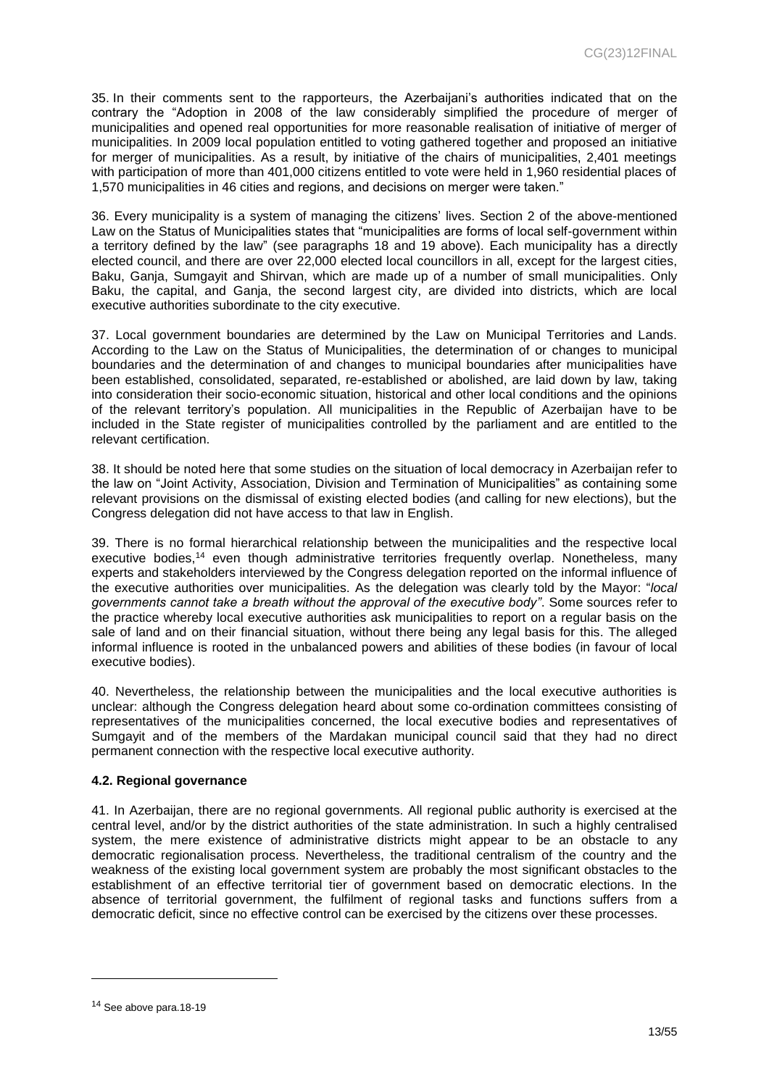35. In their comments sent to the rapporteurs, the Azerbaijani's authorities indicated that on the contrary the "Adoption in 2008 of the law considerably simplified the procedure of merger of municipalities and opened real opportunities for more reasonable realisation of initiative of merger of municipalities. In 2009 local population entitled to voting gathered together and proposed an initiative for merger of municipalities. As a result, by initiative of the chairs of municipalities, 2,401 meetings with participation of more than 401,000 citizens entitled to vote were held in 1,960 residential places of 1,570 municipalities in 46 cities and regions, and decisions on merger were taken."

36. Every municipality is a system of managing the citizens' lives. Section 2 of the above-mentioned Law on the Status of Municipalities states that "municipalities are forms of local self-government within a territory defined by the law" (see paragraphs 18 and 19 above). Each municipality has a directly elected council, and there are over 22,000 elected local councillors in all, except for the largest cities, Baku, Ganja, Sumgayit and Shirvan, which are made up of a number of small municipalities. Only Baku, the capital, and Ganja, the second largest city, are divided into districts, which are local executive authorities subordinate to the city executive.

37. Local government boundaries are determined by the Law on Municipal Territories and Lands. According to the Law on the Status of Municipalities, the determination of or changes to municipal boundaries and the determination of and changes to municipal boundaries after municipalities have been established, consolidated, separated, re-established or abolished, are laid down by law, taking into consideration their socio-economic situation, historical and other local conditions and the opinions of the relevant territory's population. All municipalities in the Republic of Azerbaijan have to be included in the State register of municipalities controlled by the parliament and are entitled to the relevant certification.

38. It should be noted here that some studies on the situation of local democracy in Azerbaijan refer to the law on "Joint Activity, Association, Division and Termination of Municipalities" as containing some relevant provisions on the dismissal of existing elected bodies (and calling for new elections), but the Congress delegation did not have access to that law in English.

39. There is no formal hierarchical relationship between the municipalities and the respective local executive bodies,<sup>14</sup> even though administrative territories frequently overlap. Nonetheless, many experts and stakeholders interviewed by the Congress delegation reported on the informal influence of the executive authorities over municipalities. As the delegation was clearly told by the Mayor: "*local governments cannot take a breath without the approval of the executive body"*. Some sources refer to the practice whereby local executive authorities ask municipalities to report on a regular basis on the sale of land and on their financial situation, without there being any legal basis for this. The alleged informal influence is rooted in the unbalanced powers and abilities of these bodies (in favour of local executive bodies).

40. Nevertheless, the relationship between the municipalities and the local executive authorities is unclear: although the Congress delegation heard about some co-ordination committees consisting of representatives of the municipalities concerned, the local executive bodies and representatives of Sumgayit and of the members of the Mardakan municipal council said that they had no direct permanent connection with the respective local executive authority.

#### <span id="page-12-0"></span>**4.2. Regional governance**

41. In Azerbaijan, there are no regional governments. All regional public authority is exercised at the central level, and/or by the district authorities of the state administration. In such a highly centralised system, the mere existence of administrative districts might appear to be an obstacle to any democratic regionalisation process. Nevertheless, the traditional centralism of the country and the weakness of the existing local government system are probably the most significant obstacles to the establishment of an effective territorial tier of government based on democratic elections. In the absence of territorial government, the fulfilment of regional tasks and functions suffers from a democratic deficit, since no effective control can be exercised by the citizens over these processes.

<sup>&</sup>lt;sup>14</sup> See above para.18-19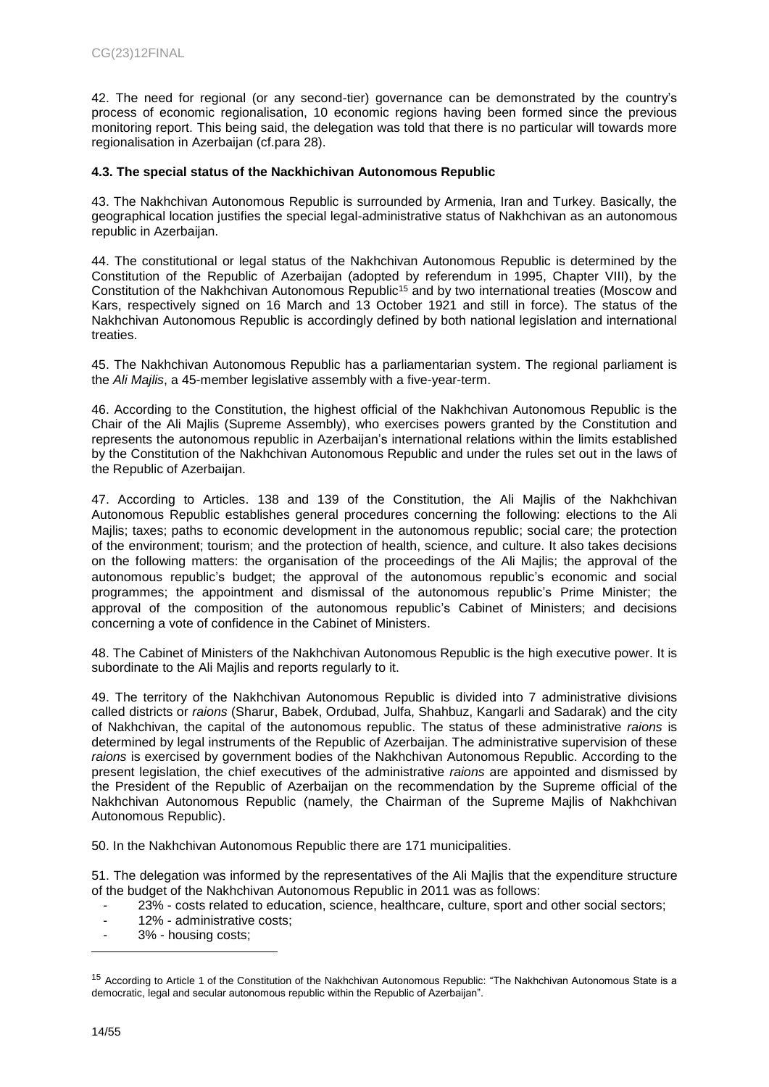42. The need for regional (or any second-tier) governance can be demonstrated by the country's process of economic regionalisation, 10 economic regions having been formed since the previous monitoring report. This being said, the delegation was told that there is no particular will towards more regionalisation in Azerbaijan (cf.para 28).

#### <span id="page-13-0"></span>**4.3. The special status of the Nackhichivan Autonomous Republic**

43. The Nakhchivan Autonomous Republic is surrounded by Armenia, Iran and Turkey. Basically, the geographical location justifies the special legal-administrative status of Nakhchivan as an autonomous republic in Azerbaijan.

44. The constitutional or legal status of the Nakhchivan Autonomous Republic is determined by the Constitution of the Republic of Azerbaijan (adopted by referendum in 1995, Chapter VIII), by the Constitution of the Nakhchivan Autonomous Republic<sup>15</sup> and by two international treaties (Moscow and Kars, respectively signed on 16 March and 13 October 1921 and still in force). The status of the Nakhchivan Autonomous Republic is accordingly defined by both national legislation and international treaties.

45. The Nakhchivan Autonomous Republic has a parliamentarian system. The regional parliament is the *Ali Majlis*, a 45-member legislative assembly with a five-year-term.

46. According to the Constitution, the highest official of the Nakhchivan Autonomous Republic is the Chair of the Ali Majlis (Supreme Assembly), who exercises powers granted by the Constitution and represents the autonomous republic in Azerbaijan's international relations within the limits established by the Constitution of the Nakhchivan Autonomous Republic and under the rules set out in the laws of the Republic of Azerbaijan.

47. According to Articles. 138 and 139 of the Constitution, the Ali Majlis of the Nakhchivan Autonomous Republic establishes general procedures concerning the following: elections to the Ali Majlis; taxes; paths to economic development in the autonomous republic; social care; the protection of the environment; tourism; and the protection of health, science, and culture. It also takes decisions on the following matters: the organisation of the proceedings of the Ali Majlis; the approval of the autonomous republic's budget; the approval of the autonomous republic's economic and social programmes; the appointment and dismissal of the autonomous republic's Prime Minister; the approval of the composition of the autonomous republic's Cabinet of Ministers; and decisions concerning a vote of confidence in the Cabinet of Ministers.

48. The Cabinet of Ministers of the Nakhchivan Autonomous Republic is the high executive power. It is subordinate to the Ali Majlis and reports regularly to it.

49. The territory of the Nakhchivan Autonomous Republic is divided into 7 administrative divisions called districts or *raions* (Sharur, Babek, Ordubad, Julfa, Shahbuz, Kangarli and Sadarak) and the city of Nakhchivan, the capital of the autonomous republic. The status of these administrative *raions* is determined by legal instruments of the Republic of Azerbaijan. The administrative supervision of these *raions* is exercised by government bodies of the Nakhchivan Autonomous Republic. According to the present legislation, the chief executives of the administrative *raions* are appointed and dismissed by the President of the Republic of Azerbaijan on the recommendation by the Supreme official of the Nakhchivan Autonomous Republic (namely, the Chairman of the Supreme Majlis of Nakhchivan Autonomous Republic).

50. In the Nakhchivan Autonomous Republic there are 171 municipalities.

51. The delegation was informed by the representatives of the Ali Majlis that the expenditure structure of the budget of the Nakhchivan Autonomous Republic in 2011 was as follows:

- 23% costs related to education, science, healthcare, culture, sport and other social sectors;
- 12% administrative costs:
- 3% housing costs;

<sup>&</sup>lt;sup>15</sup> According to Article 1 of the Constitution of the Nakhchivan Autonomous Republic: "The Nakhchivan Autonomous State is a democratic, legal and secular autonomous republic within the Republic of Azerbaijan".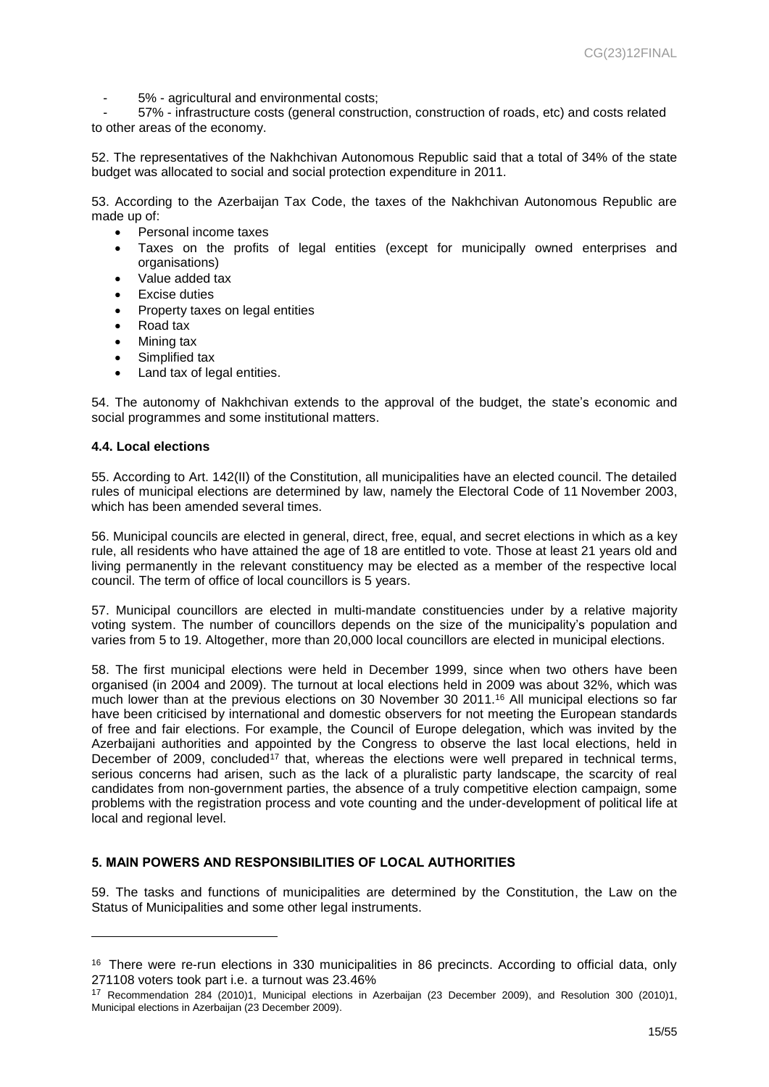- 5% - agricultural and environmental costs;

- 57% - infrastructure costs (general construction, construction of roads, etc) and costs related to other areas of the economy.

52. The representatives of the Nakhchivan Autonomous Republic said that a total of 34% of the state budget was allocated to social and social protection expenditure in 2011.

53. According to the Azerbaijan Tax Code, the taxes of the Nakhchivan Autonomous Republic are made up of:

- Personal income taxes
- Taxes on the profits of legal entities (except for municipally owned enterprises and organisations)
- Value added tax
- Excise duties
- Property taxes on legal entities
- Road tax
- Mining tax
- Simplified tax
- Land tax of legal entities.

54. The autonomy of Nakhchivan extends to the approval of the budget, the state's economic and social programmes and some institutional matters.

#### <span id="page-14-0"></span>**4.4. Local elections**

l

55. According to Art. 142(II) of the Constitution, all municipalities have an elected council. The detailed rules of municipal elections are determined by law, namely the Electoral Code of 11 November 2003, which has been amended several times.

56. Municipal councils are elected in general, direct, free, equal, and secret elections in which as a key rule, all residents who have attained the age of 18 are entitled to vote. Those at least 21 years old and living permanently in the relevant constituency may be elected as a member of the respective local council. The term of office of local councillors is 5 years.

57. Municipal councillors are elected in multi-mandate constituencies under by a relative majority voting system. The number of councillors depends on the size of the municipality's population and varies from 5 to 19. Altogether, more than 20,000 local councillors are elected in municipal elections.

58. The first municipal elections were held in December 1999, since when two others have been organised (in 2004 and 2009). The turnout at local elections held in 2009 was about 32%, which was much lower than at the previous elections on 30 November 30 2011.<sup>16</sup> All municipal elections so far have been criticised by international and domestic observers for not meeting the European standards of free and fair elections. For example, the Council of Europe delegation, which was invited by the Azerbaijani authorities and appointed by the Congress to observe the last local elections, held in December of 2009, concluded<sup>17</sup> that, whereas the elections were well prepared in technical terms, serious concerns had arisen, such as the lack of a pluralistic party landscape, the scarcity of real candidates from non-government parties, the absence of a truly competitive election campaign, some problems with the registration process and vote counting and the under-development of political life at local and regional level.

#### <span id="page-14-1"></span>**5. MAIN POWERS AND RESPONSIBILITIES OF LOCAL AUTHORITIES**

59. The tasks and functions of municipalities are determined by the Constitution, the Law on the Status of Municipalities and some other legal instruments.

<sup>16</sup> There were re-run elections in 330 municipalities in 86 precincts. According to official data, only 271108 voters took part i.e. a turnout was 23.46%

<sup>17</sup> Recommendation 284 (2010)1, Municipal elections in Azerbaijan (23 December 2009), and Resolution 300 (2010)1, Municipal elections in Azerbaijan (23 December 2009).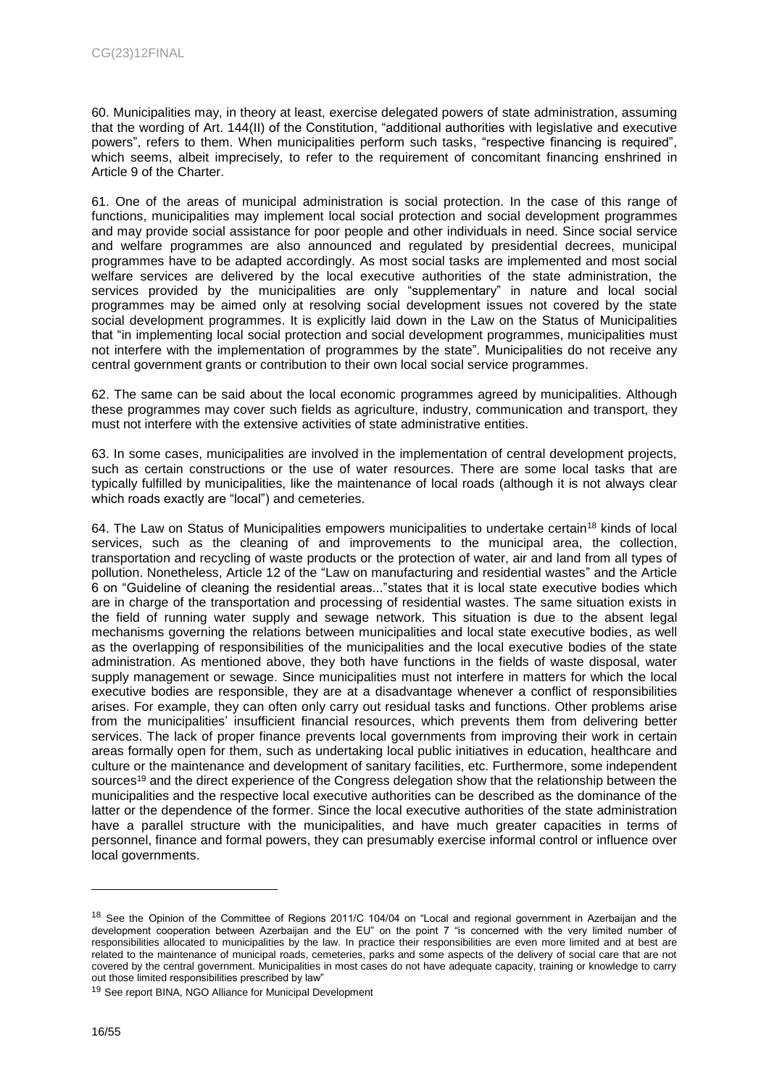60. Municipalities may, in theory at least, exercise delegated powers of state administration, assuming that the wording of Art. 144(II) of the Constitution, "additional authorities with legislative and executive powers", refers to them. When municipalities perform such tasks, "respective financing is required", which seems, albeit imprecisely, to refer to the requirement of concomitant financing enshrined in Article 9 of the Charter.

61. One of the areas of municipal administration is social protection. In the case of this range of functions, municipalities may implement local social protection and social development programmes and may provide social assistance for poor people and other individuals in need. Since social service and welfare programmes are also announced and regulated by presidential decrees, municipal programmes have to be adapted accordingly. As most social tasks are implemented and most social welfare services are delivered by the local executive authorities of the state administration, the services provided by the municipalities are only "supplementary" in nature and local social programmes may be aimed only at resolving social development issues not covered by the state social development programmes. It is explicitly laid down in the Law on the Status of Municipalities that "in implementing local social protection and social development programmes, municipalities must not interfere with the implementation of programmes by the state". Municipalities do not receive any central government grants or contribution to their own local social service programmes.

62. The same can be said about the local economic programmes agreed by municipalities. Although these programmes may cover such fields as agriculture, industry, communication and transport, they must not interfere with the extensive activities of state administrative entities.

63. In some cases, municipalities are involved in the implementation of central development projects, such as certain constructions or the use of water resources. There are some local tasks that are typically fulfilled by municipalities, like the maintenance of local roads (although it is not always clear which roads exactly are "local") and cemeteries.

64. The Law on Status of Municipalities empowers municipalities to undertake certain<sup>18</sup> kinds of local services, such as the cleaning of and improvements to the municipal area, the collection, transportation and recycling of waste products or the protection of water, air and land from all types of pollution. Nonetheless, Article 12 of the "Law on manufacturing and residential wastes" and the Article 6 on "Guideline of cleaning the residential areas..."states that it is local state executive bodies which are in charge of the transportation and processing of residential wastes. The same situation exists in the field of running water supply and sewage network. This situation is due to the absent legal mechanisms governing the relations between municipalities and local state executive bodies, as well as the overlapping of responsibilities of the municipalities and the local executive bodies of the state administration. As mentioned above, they both have functions in the fields of waste disposal, water supply management or sewage. Since municipalities must not interfere in matters for which the local executive bodies are responsible, they are at a disadvantage whenever a conflict of responsibilities arises. For example, they can often only carry out residual tasks and functions. Other problems arise from the municipalities' insufficient financial resources, which prevents them from delivering better services. The lack of proper finance prevents local governments from improving their work in certain areas formally open for them, such as undertaking local public initiatives in education, healthcare and culture or the maintenance and development of sanitary facilities, etc. Furthermore, some independent sources<sup>19</sup> and the direct experience of the Congress delegation show that the relationship between the municipalities and the respective local executive authorities can be described as the dominance of the latter or the dependence of the former. Since the local executive authorities of the state administration have a parallel structure with the municipalities, and have much greater capacities in terms of personnel, finance and formal powers, they can presumably exercise informal control or influence over local governments.

<sup>&</sup>lt;sup>18</sup> See the Opinion of the Committee of Regions 2011/C 104/04 on "Local and regional government in Azerbaijan and the development cooperation between Azerbaijan and the EU" on the point 7 "is concerned with the very limited number of responsibilities allocated to municipalities by the law. In practice their responsibilities are even more limited and at best are related to the maintenance of municipal roads, cemeteries, parks and some aspects of the delivery of social care that are not covered by the central government. Municipalities in most cases do not have adequate capacity, training or knowledge to carry out those limited responsibilities prescribed by law"

<sup>&</sup>lt;sup>19</sup> See report BINA, NGO Alliance for Municipal Development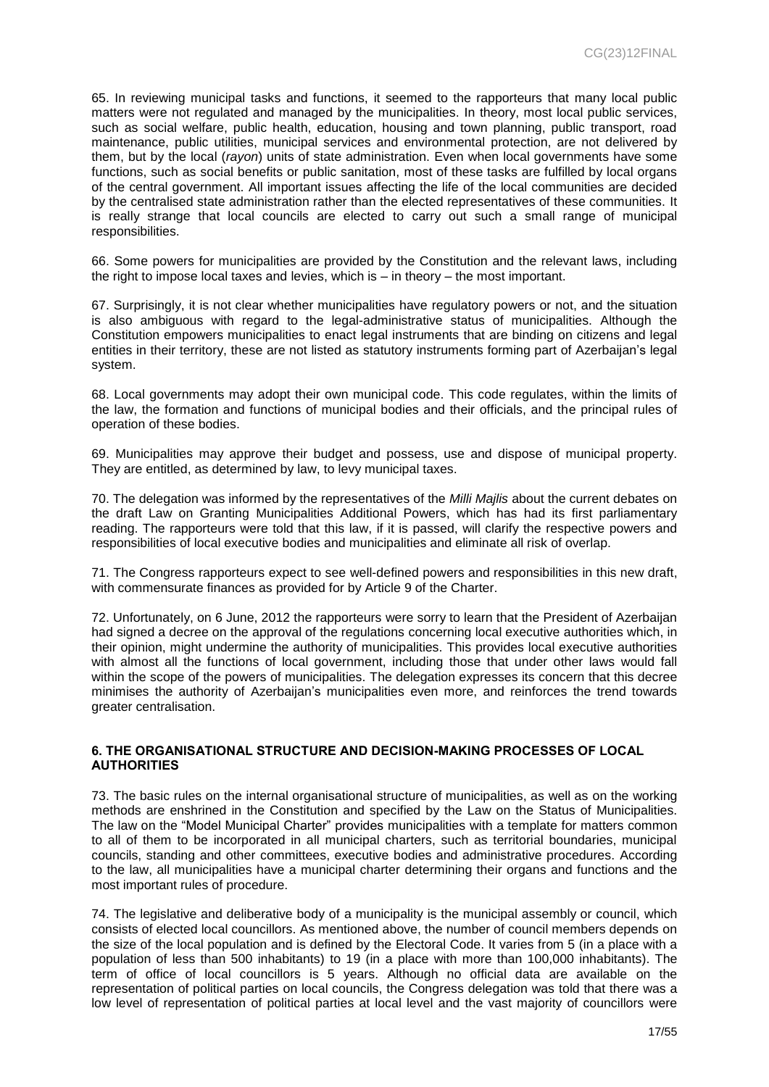65. In reviewing municipal tasks and functions, it seemed to the rapporteurs that many local public matters were not regulated and managed by the municipalities. In theory, most local public services, such as social welfare, public health, education, housing and town planning, public transport, road maintenance, public utilities, municipal services and environmental protection, are not delivered by them, but by the local (*rayon*) units of state administration. Even when local governments have some functions, such as social benefits or public sanitation, most of these tasks are fulfilled by local organs of the central government. All important issues affecting the life of the local communities are decided by the centralised state administration rather than the elected representatives of these communities. It is really strange that local councils are elected to carry out such a small range of municipal responsibilities.

66. Some powers for municipalities are provided by the Constitution and the relevant laws, including the right to impose local taxes and levies, which is – in theory – the most important.

67. Surprisingly, it is not clear whether municipalities have regulatory powers or not, and the situation is also ambiguous with regard to the legal-administrative status of municipalities. Although the Constitution empowers municipalities to enact legal instruments that are binding on citizens and legal entities in their territory, these are not listed as statutory instruments forming part of Azerbaijan's legal system.

68. Local governments may adopt their own municipal code. This code regulates, within the limits of the law, the formation and functions of municipal bodies and their officials, and the principal rules of operation of these bodies.

69. Municipalities may approve their budget and possess, use and dispose of municipal property. They are entitled, as determined by law, to levy municipal taxes.

70. The delegation was informed by the representatives of the *Milli Majlis* about the current debates on the draft Law on Granting Municipalities Additional Powers, which has had its first parliamentary reading. The rapporteurs were told that this law, if it is passed, will clarify the respective powers and responsibilities of local executive bodies and municipalities and eliminate all risk of overlap.

71. The Congress rapporteurs expect to see well-defined powers and responsibilities in this new draft, with commensurate finances as provided for by Article 9 of the Charter.

72. Unfortunately, on 6 June, 2012 the rapporteurs were sorry to learn that the President of Azerbaijan had signed a decree on the approval of the regulations concerning local executive authorities which, in their opinion, might undermine the authority of municipalities. This provides local executive authorities with almost all the functions of local government, including those that under other laws would fall within the scope of the powers of municipalities. The delegation expresses its concern that this decree minimises the authority of Azerbaijan's municipalities even more, and reinforces the trend towards greater centralisation.

#### <span id="page-16-0"></span>**6. THE ORGANISATIONAL STRUCTURE AND DECISION-MAKING PROCESSES OF LOCAL AUTHORITIES**

73. The basic rules on the internal organisational structure of municipalities, as well as on the working methods are enshrined in the Constitution and specified by the Law on the Status of Municipalities. The law on the "Model Municipal Charter" provides municipalities with a template for matters common to all of them to be incorporated in all municipal charters, such as territorial boundaries, municipal councils, standing and other committees, executive bodies and administrative procedures. According to the law, all municipalities have a municipal charter determining their organs and functions and the most important rules of procedure.

74. The legislative and deliberative body of a municipality is the municipal assembly or council, which consists of elected local councillors. As mentioned above, the number of council members depends on the size of the local population and is defined by the Electoral Code. It varies from 5 (in a place with a population of less than 500 inhabitants) to 19 (in a place with more than 100,000 inhabitants). The term of office of local councillors is 5 years. Although no official data are available on the representation of political parties on local councils, the Congress delegation was told that there was a low level of representation of political parties at local level and the vast majority of councillors were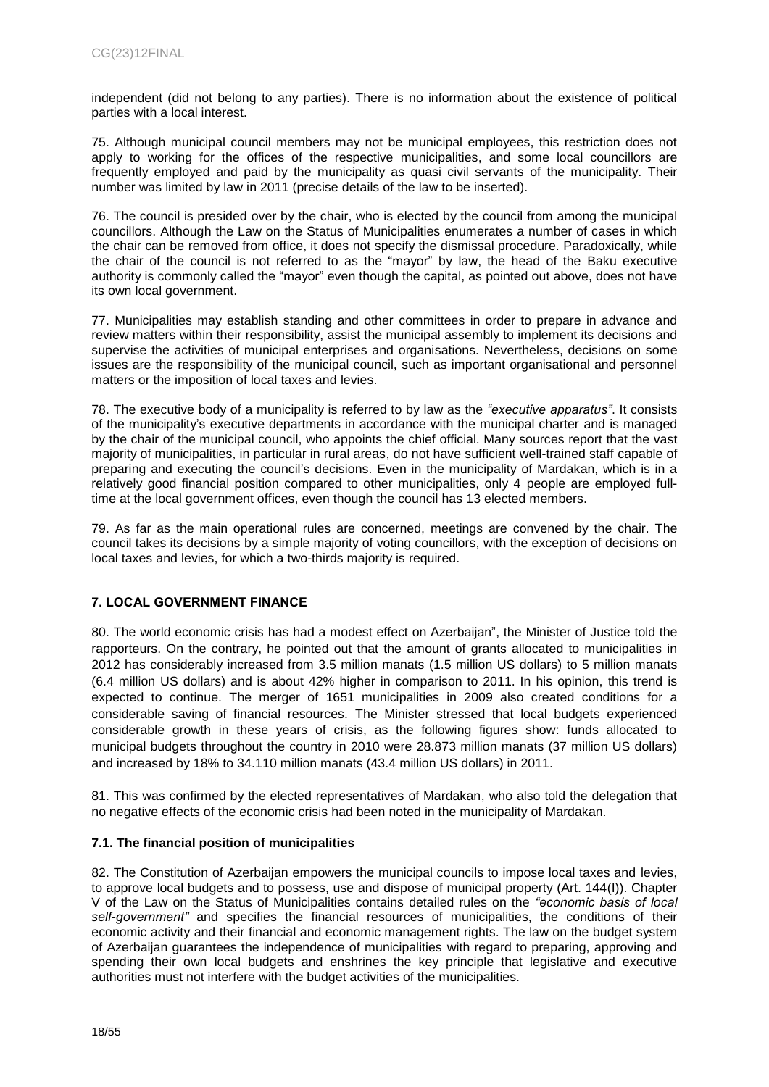independent (did not belong to any parties). There is no information about the existence of political parties with a local interest.

75. Although municipal council members may not be municipal employees, this restriction does not apply to working for the offices of the respective municipalities, and some local councillors are frequently employed and paid by the municipality as quasi civil servants of the municipality. Their number was limited by law in 2011 (precise details of the law to be inserted).

76. The council is presided over by the chair, who is elected by the council from among the municipal councillors. Although the Law on the Status of Municipalities enumerates a number of cases in which the chair can be removed from office, it does not specify the dismissal procedure. Paradoxically, while the chair of the council is not referred to as the "mayor" by law, the head of the Baku executive authority is commonly called the "mayor" even though the capital, as pointed out above, does not have its own local government.

77. Municipalities may establish standing and other committees in order to prepare in advance and review matters within their responsibility, assist the municipal assembly to implement its decisions and supervise the activities of municipal enterprises and organisations. Nevertheless, decisions on some issues are the responsibility of the municipal council, such as important organisational and personnel matters or the imposition of local taxes and levies.

78. The executive body of a municipality is referred to by law as the *"executive apparatus"*. It consists of the municipality's executive departments in accordance with the municipal charter and is managed by the chair of the municipal council, who appoints the chief official. Many sources report that the vast majority of municipalities, in particular in rural areas, do not have sufficient well-trained staff capable of preparing and executing the council's decisions. Even in the municipality of Mardakan, which is in a relatively good financial position compared to other municipalities, only 4 people are employed fulltime at the local government offices, even though the council has 13 elected members.

79. As far as the main operational rules are concerned, meetings are convened by the chair. The council takes its decisions by a simple majority of voting councillors, with the exception of decisions on local taxes and levies, for which a two-thirds majority is required.

## <span id="page-17-0"></span>**7. LOCAL GOVERNMENT FINANCE**

80. The world economic crisis has had a modest effect on Azerbaijan", the Minister of Justice told the rapporteurs. On the contrary, he pointed out that the amount of grants allocated to municipalities in 2012 has considerably increased from 3.5 million manats (1.5 million US dollars) to 5 million manats (6.4 million US dollars) and is about 42% higher in comparison to 2011. In his opinion, this trend is expected to continue. The merger of 1651 municipalities in 2009 also created conditions for a considerable saving of financial resources. The Minister stressed that local budgets experienced considerable growth in these years of crisis, as the following figures show: funds allocated to municipal budgets throughout the country in 2010 were 28.873 million manats (37 million US dollars) and increased by 18% to 34.110 million manats (43.4 million US dollars) in 2011.

81. This was confirmed by the elected representatives of Mardakan, who also told the delegation that no negative effects of the economic crisis had been noted in the municipality of Mardakan.

## <span id="page-17-1"></span>**7.1. The financial position of municipalities**

82. The Constitution of Azerbaijan empowers the municipal councils to impose local taxes and levies, to approve local budgets and to possess, use and dispose of municipal property (Art. 144(I)). Chapter V of the Law on the Status of Municipalities contains detailed rules on the *"economic basis of local self-government"* and specifies the financial resources of municipalities, the conditions of their economic activity and their financial and economic management rights. The law on the budget system of Azerbaijan guarantees the independence of municipalities with regard to preparing, approving and spending their own local budgets and enshrines the key principle that legislative and executive authorities must not interfere with the budget activities of the municipalities.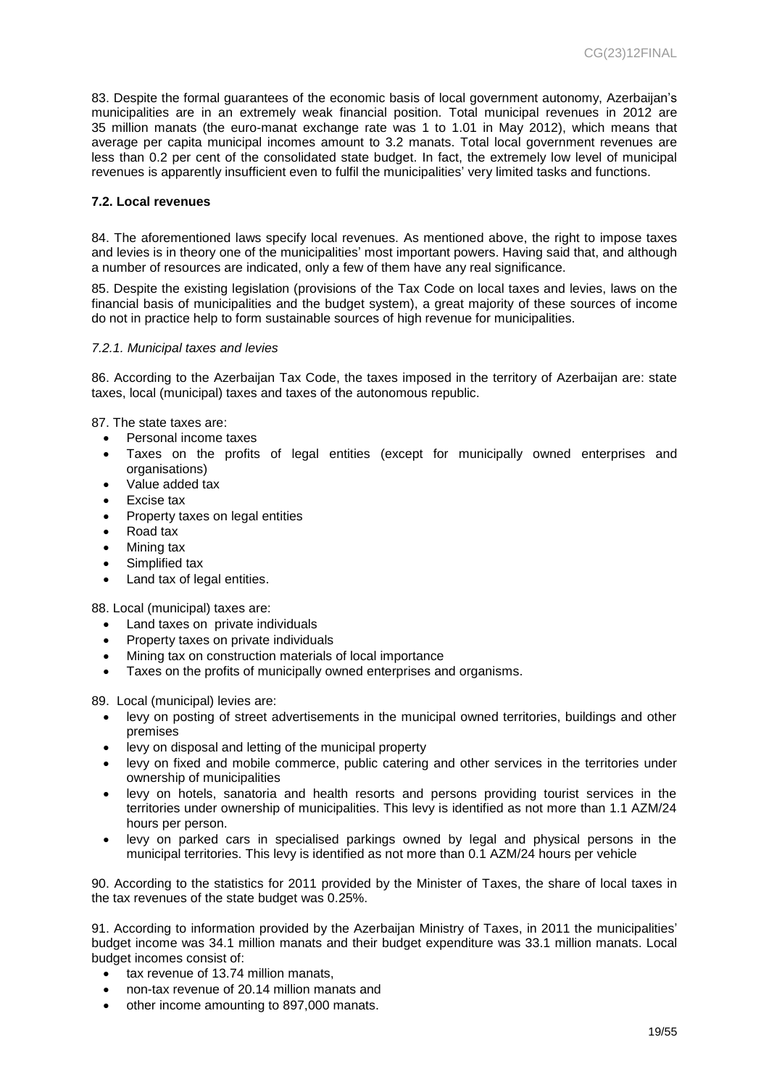83. Despite the formal guarantees of the economic basis of local government autonomy, Azerbaijan's municipalities are in an extremely weak financial position. Total municipal revenues in 2012 are 35 million manats (the euro-manat exchange rate was 1 to 1.01 in May 2012), which means that average per capita municipal incomes amount to 3.2 manats. Total local government revenues are less than 0.2 per cent of the consolidated state budget. In fact, the extremely low level of municipal revenues is apparently insufficient even to fulfil the municipalities' very limited tasks and functions.

#### <span id="page-18-0"></span>**7.2. Local revenues**

84. The aforementioned laws specify local revenues. As mentioned above, the right to impose taxes and levies is in theory one of the municipalities' most important powers. Having said that, and although a number of resources are indicated, only a few of them have any real significance.

85. Despite the existing legislation (provisions of the Tax Code on local taxes and levies, laws on the financial basis of municipalities and the budget system), a great majority of these sources of income do not in practice help to form sustainable sources of high revenue for municipalities.

#### <span id="page-18-1"></span>*7.2.1. Municipal taxes and levies*

86. According to the Azerbaijan Tax Code, the taxes imposed in the territory of Azerbaijan are: state taxes, local (municipal) taxes and taxes of the autonomous republic.

87. The state taxes are:

- Personal income taxes
- Taxes on the profits of legal entities (except for municipally owned enterprises and organisations)
- Value added tax
- Excise tax
- Property taxes on legal entities
- Road tax
- Mining tax
- Simplified tax
- Land tax of legal entities.

88. Local (municipal) taxes are:

- Land taxes on private individuals
- Property taxes on private individuals
- Mining tax on construction materials of local importance
- Taxes on the profits of municipally owned enterprises and organisms.

89. Local (municipal) levies are:

- levy on posting of street advertisements in the municipal owned territories, buildings and other premises
- levy on disposal and letting of the municipal property
- levy on fixed and mobile commerce, public catering and other services in the territories under ownership of municipalities
- levy on hotels, sanatoria and health resorts and persons providing tourist services in the territories under ownership of municipalities. This levy is identified as not more than 1.1 AZM/24 hours per person.
- levy on parked cars in specialised parkings owned by legal and physical persons in the municipal territories. This levy is identified as not more than 0.1 AZM/24 hours per vehicle

90. According to the statistics for 2011 provided by the Minister of Taxes, the share of local taxes in the tax revenues of the state budget was 0.25%.

91. According to information provided by the Azerbaijan Ministry of Taxes, in 2011 the municipalities' budget income was 34.1 million manats and their budget expenditure was 33.1 million manats. Local budget incomes consist of:

- tax revenue of 13.74 million manats,
- non-tax revenue of 20.14 million manats and
- other income amounting to 897,000 manats.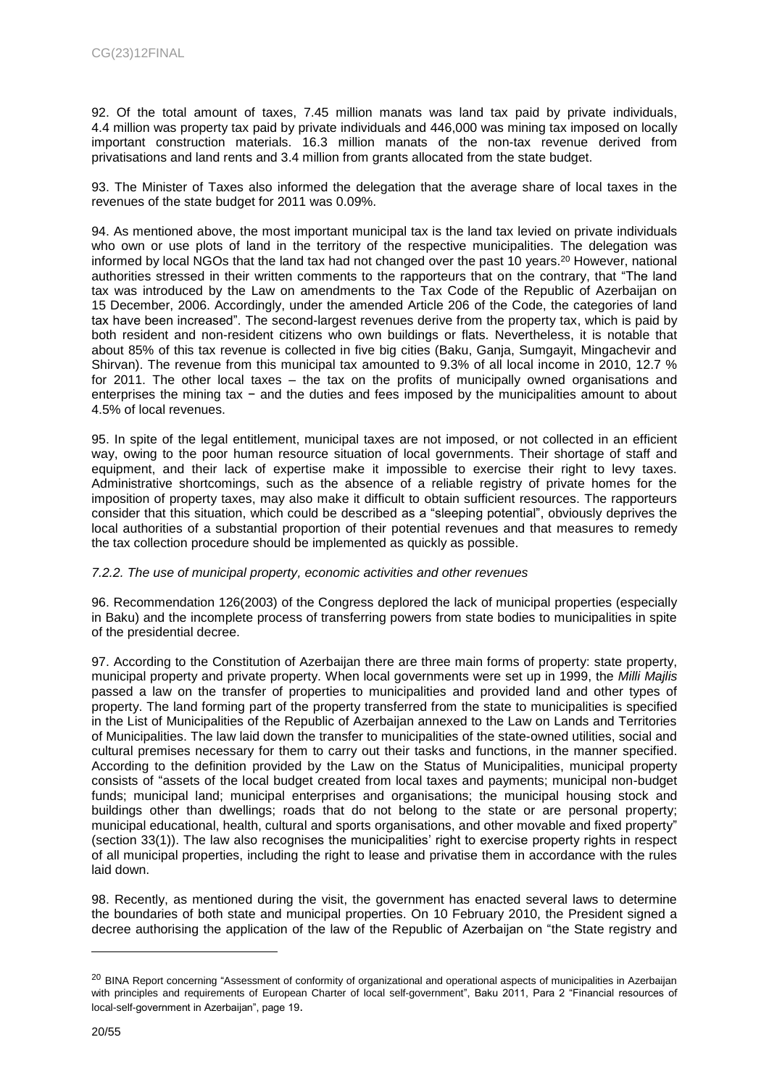92. Of the total amount of taxes, 7.45 million manats was land tax paid by private individuals, 4.4 million was property tax paid by private individuals and 446,000 was mining tax imposed on locally important construction materials. 16.3 million manats of the non-tax revenue derived from privatisations and land rents and 3.4 million from grants allocated from the state budget.

93. The Minister of Taxes also informed the delegation that the average share of local taxes in the revenues of the state budget for 2011 was 0.09%.

94. As mentioned above, the most important municipal tax is the land tax levied on private individuals who own or use plots of land in the territory of the respective municipalities. The delegation was informed by local NGOs that the land tax had not changed over the past 10 years.<sup>20</sup> However, national authorities stressed in their written comments to the rapporteurs that on the contrary, that "The land tax was introduced by the Law on amendments to the Tax Code of the Republic of Azerbaijan on 15 December, 2006. Accordingly, under the amended Article 206 of the Code, the categories of land tax have been increased". The second-largest revenues derive from the property tax, which is paid by both resident and non-resident citizens who own buildings or flats. Nevertheless, it is notable that about 85% of this tax revenue is collected in five big cities (Baku, Ganja, Sumgayit, Mingachevir and Shirvan). The revenue from this municipal tax amounted to 9.3% of all local income in 2010, 12.7 % for 2011. The other local taxes – the tax on the profits of municipally owned organisations and enterprises the mining tax − and the duties and fees imposed by the municipalities amount to about 4.5% of local revenues.

95. In spite of the legal entitlement, municipal taxes are not imposed, or not collected in an efficient way, owing to the poor human resource situation of local governments. Their shortage of staff and equipment, and their lack of expertise make it impossible to exercise their right to levy taxes. Administrative shortcomings, such as the absence of a reliable registry of private homes for the imposition of property taxes, may also make it difficult to obtain sufficient resources. The rapporteurs consider that this situation, which could be described as a "sleeping potential", obviously deprives the local authorities of a substantial proportion of their potential revenues and that measures to remedy the tax collection procedure should be implemented as quickly as possible.

#### <span id="page-19-0"></span>*7.2.2. The use of municipal property, economic activities and other revenues*

96. Recommendation 126(2003) of the Congress deplored the lack of municipal properties (especially in Baku) and the incomplete process of transferring powers from state bodies to municipalities in spite of the presidential decree.

97. According to the Constitution of Azerbaijan there are three main forms of property: state property, municipal property and private property. When local governments were set up in 1999, the *Milli Majlis* passed a law on the transfer of properties to municipalities and provided land and other types of property. The land forming part of the property transferred from the state to municipalities is specified in the List of Municipalities of the Republic of Azerbaijan annexed to the Law on Lands and Territories of Municipalities. The law laid down the transfer to municipalities of the state-owned utilities, social and cultural premises necessary for them to carry out their tasks and functions, in the manner specified. According to the definition provided by the Law on the Status of Municipalities, municipal property consists of "assets of the local budget created from local taxes and payments; municipal non-budget funds; municipal land; municipal enterprises and organisations; the municipal housing stock and buildings other than dwellings; roads that do not belong to the state or are personal property; municipal educational, health, cultural and sports organisations, and other movable and fixed property" (section 33(1)). The law also recognises the municipalities' right to exercise property rights in respect of all municipal properties, including the right to lease and privatise them in accordance with the rules laid down.

98. Recently, as mentioned during the visit, the government has enacted several laws to determine the boundaries of both state and municipal properties. On 10 February 2010, the President signed a decree authorising the application of the law of the Republic of Azerbaijan on "the State registry and

<sup>&</sup>lt;sup>20</sup> BINA Report concerning "Assessment of conformity of organizational and operational aspects of municipalities in Azerbaijan with principles and requirements of European Charter of local self-government", Baku 2011, Para 2 "Financial resources of local-self-government in Azerbaijan", page 19.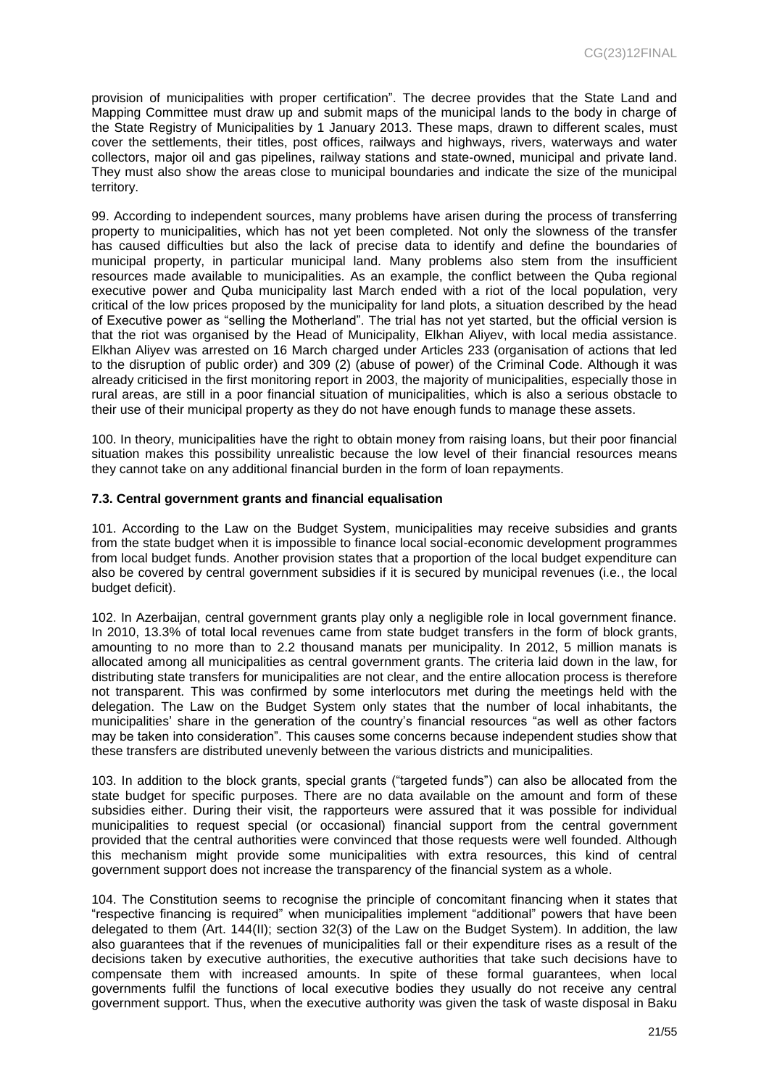provision of municipalities with proper certification". The decree provides that the State Land and Mapping Committee must draw up and submit maps of the municipal lands to the body in charge of the State Registry of Municipalities by 1 January 2013. These maps, drawn to different scales, must cover the settlements, their titles, post offices, railways and highways, rivers, waterways and water collectors, major oil and gas pipelines, railway stations and state-owned, municipal and private land. They must also show the areas close to municipal boundaries and indicate the size of the municipal territory.

99. According to independent sources, many problems have arisen during the process of transferring property to municipalities, which has not yet been completed. Not only the slowness of the transfer has caused difficulties but also the lack of precise data to identify and define the boundaries of municipal property, in particular municipal land. Many problems also stem from the insufficient resources made available to municipalities. As an example, the conflict between the Quba regional executive power and Quba municipality last March ended with a riot of the local population, very critical of the low prices proposed by the municipality for land plots, a situation described by the head of Executive power as "selling the Motherland". The trial has not yet started, but the official version is that the riot was organised by the Head of Municipality, Elkhan Aliyev, with local media assistance. Elkhan Aliyev was arrested on 16 March charged under Articles 233 (organisation of actions that led to the disruption of public order) and 309 (2) (abuse of power) of the Criminal Code. Although it was already criticised in the first monitoring report in 2003, the majority of municipalities, especially those in rural areas, are still in a poor financial situation of municipalities, which is also a serious obstacle to their use of their municipal property as they do not have enough funds to manage these assets.

100. In theory, municipalities have the right to obtain money from raising loans, but their poor financial situation makes this possibility unrealistic because the low level of their financial resources means they cannot take on any additional financial burden in the form of loan repayments.

#### <span id="page-20-0"></span>**7.3. Central government grants and financial equalisation**

101. According to the Law on the Budget System, municipalities may receive subsidies and grants from the state budget when it is impossible to finance local social-economic development programmes from local budget funds. Another provision states that a proportion of the local budget expenditure can also be covered by central government subsidies if it is secured by municipal revenues (i.e., the local budget deficit).

102. In Azerbaijan, central government grants play only a negligible role in local government finance. In 2010, 13.3% of total local revenues came from state budget transfers in the form of block grants, amounting to no more than to 2.2 thousand manats per municipality. In 2012, 5 million manats is allocated among all municipalities as central government grants. The criteria laid down in the law, for distributing state transfers for municipalities are not clear, and the entire allocation process is therefore not transparent. This was confirmed by some interlocutors met during the meetings held with the delegation. The Law on the Budget System only states that the number of local inhabitants, the municipalities' share in the generation of the country's financial resources "as well as other factors may be taken into consideration". This causes some concerns because independent studies show that these transfers are distributed unevenly between the various districts and municipalities.

103. In addition to the block grants, special grants ("targeted funds") can also be allocated from the state budget for specific purposes. There are no data available on the amount and form of these subsidies either. During their visit, the rapporteurs were assured that it was possible for individual municipalities to request special (or occasional) financial support from the central government provided that the central authorities were convinced that those requests were well founded. Although this mechanism might provide some municipalities with extra resources, this kind of central government support does not increase the transparency of the financial system as a whole.

104. The Constitution seems to recognise the principle of concomitant financing when it states that "respective financing is required" when municipalities implement "additional" powers that have been delegated to them (Art. 144(II); section 32(3) of the Law on the Budget System). In addition, the law also guarantees that if the revenues of municipalities fall or their expenditure rises as a result of the decisions taken by executive authorities, the executive authorities that take such decisions have to compensate them with increased amounts. In spite of these formal guarantees, when local governments fulfil the functions of local executive bodies they usually do not receive any central government support. Thus, when the executive authority was given the task of waste disposal in Baku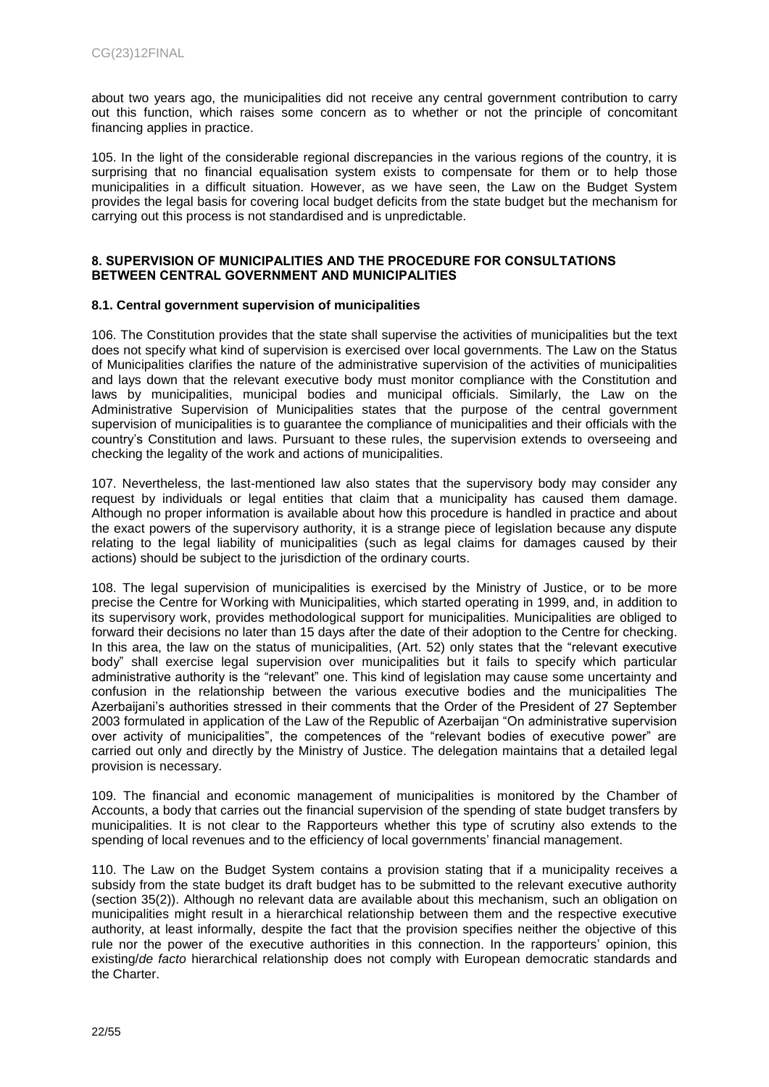about two years ago, the municipalities did not receive any central government contribution to carry out this function, which raises some concern as to whether or not the principle of concomitant financing applies in practice.

105. In the light of the considerable regional discrepancies in the various regions of the country, it is surprising that no financial equalisation system exists to compensate for them or to help those municipalities in a difficult situation. However, as we have seen, the Law on the Budget System provides the legal basis for covering local budget deficits from the state budget but the mechanism for carrying out this process is not standardised and is unpredictable.

#### <span id="page-21-0"></span>**8. SUPERVISION OF MUNICIPALITIES AND THE PROCEDURE FOR CONSULTATIONS BETWEEN CENTRAL GOVERNMENT AND MUNICIPALITIES**

#### <span id="page-21-1"></span>**8.1. Central government supervision of municipalities**

106. The Constitution provides that the state shall supervise the activities of municipalities but the text does not specify what kind of supervision is exercised over local governments. The Law on the Status of Municipalities clarifies the nature of the administrative supervision of the activities of municipalities and lays down that the relevant executive body must monitor compliance with the Constitution and laws by municipalities, municipal bodies and municipal officials. Similarly, the Law on the Administrative Supervision of Municipalities states that the purpose of the central government supervision of municipalities is to guarantee the compliance of municipalities and their officials with the country's Constitution and laws. Pursuant to these rules, the supervision extends to overseeing and checking the legality of the work and actions of municipalities.

107. Nevertheless, the last-mentioned law also states that the supervisory body may consider any request by individuals or legal entities that claim that a municipality has caused them damage. Although no proper information is available about how this procedure is handled in practice and about the exact powers of the supervisory authority, it is a strange piece of legislation because any dispute relating to the legal liability of municipalities (such as legal claims for damages caused by their actions) should be subject to the jurisdiction of the ordinary courts.

108. The legal supervision of municipalities is exercised by the Ministry of Justice, or to be more precise the Centre for Working with Municipalities, which started operating in 1999, and, in addition to its supervisory work, provides methodological support for municipalities. Municipalities are obliged to forward their decisions no later than 15 days after the date of their adoption to the Centre for checking. In this area, the law on the status of municipalities, (Art. 52) only states that the "relevant executive body" shall exercise legal supervision over municipalities but it fails to specify which particular administrative authority is the "relevant" one. This kind of legislation may cause some uncertainty and confusion in the relationship between the various executive bodies and the municipalities The Azerbaijani's authorities stressed in their comments that the Order of the President of 27 September 2003 formulated in application of the Law of the Republic of Azerbaijan "On administrative supervision over activity of municipalities", the competences of the "relevant bodies of executive power" are carried out only and directly by the Ministry of Justice. The delegation maintains that a detailed legal provision is necessary.

109. The financial and economic management of municipalities is monitored by the Chamber of Accounts, a body that carries out the financial supervision of the spending of state budget transfers by municipalities. It is not clear to the Rapporteurs whether this type of scrutiny also extends to the spending of local revenues and to the efficiency of local governments' financial management.

110. The Law on the Budget System contains a provision stating that if a municipality receives a subsidy from the state budget its draft budget has to be submitted to the relevant executive authority (section 35(2)). Although no relevant data are available about this mechanism, such an obligation on municipalities might result in a hierarchical relationship between them and the respective executive authority, at least informally, despite the fact that the provision specifies neither the objective of this rule nor the power of the executive authorities in this connection. In the rapporteurs' opinion, this existing/*de facto* hierarchical relationship does not comply with European democratic standards and the Charter.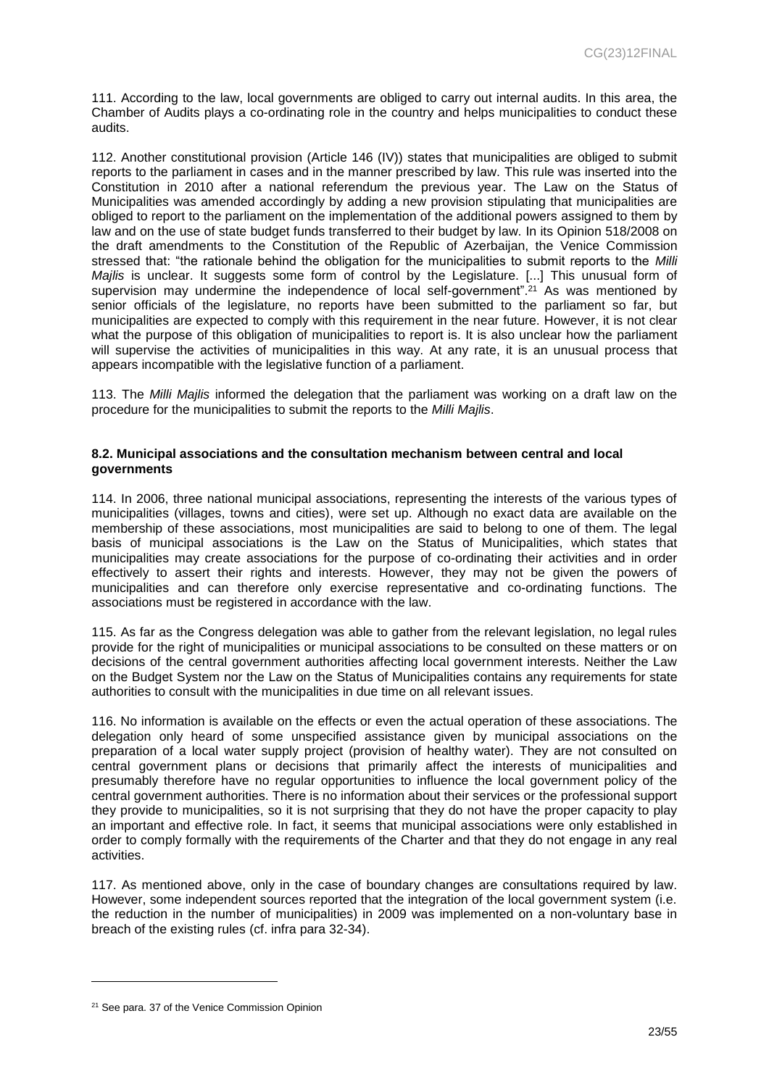111. According to the law, local governments are obliged to carry out internal audits. In this area, the Chamber of Audits plays a co-ordinating role in the country and helps municipalities to conduct these audits.

112. Another constitutional provision (Article 146 (IV)) states that municipalities are obliged to submit reports to the parliament in cases and in the manner prescribed by law. This rule was inserted into the Constitution in 2010 after a national referendum the previous year. The Law on the Status of Municipalities was amended accordingly by adding a new provision stipulating that municipalities are obliged to report to the parliament on the implementation of the additional powers assigned to them by law and on the use of state budget funds transferred to their budget by law. In its Opinion 518/2008 on the draft amendments to the Constitution of the Republic of Azerbaijan, the Venice Commission stressed that: "the rationale behind the obligation for the municipalities to submit reports to the *Milli Majlis* is unclear. It suggests some form of control by the Legislature. [...] This unusual form of supervision may undermine the independence of local self-government". <sup>21</sup> As was mentioned by senior officials of the legislature, no reports have been submitted to the parliament so far, but municipalities are expected to comply with this requirement in the near future. However, it is not clear what the purpose of this obligation of municipalities to report is. It is also unclear how the parliament will supervise the activities of municipalities in this way. At any rate, it is an unusual process that appears incompatible with the legislative function of a parliament.

113. The *Milli Majlis* informed the delegation that the parliament was working on a draft law on the procedure for the municipalities to submit the reports to the *Milli Majlis*.

#### <span id="page-22-1"></span><span id="page-22-0"></span>**8.2. Municipal associations and the consultation mechanism between central and local governments**

114. In 2006, three national municipal associations, representing the interests of the various types of municipalities (villages, towns and cities), were set up. Although no exact data are available on the membership of these associations, most municipalities are said to belong to one of them. The legal basis of municipal associations is the Law on the Status of Municipalities, which states that municipalities may create associations for the purpose of co-ordinating their activities and in order effectively to assert their rights and interests. However, they may not be given the powers of municipalities and can therefore only exercise representative and co-ordinating functions. The associations must be registered in accordance with the law.

115. As far as the Congress delegation was able to gather from the relevant legislation, no legal rules provide for the right of municipalities or municipal associations to be consulted on these matters or on decisions of the central government authorities affecting local government interests. Neither the Law on the Budget System nor the Law on the Status of Municipalities contains any requirements for state authorities to consult with the municipalities in due time on all relevant issues.

116. No information is available on the effects or even the actual operation of these associations. The delegation only heard of some unspecified assistance given by municipal associations on the preparation of a local water supply project (provision of healthy water). They are not consulted on central government plans or decisions that primarily affect the interests of municipalities and presumably therefore have no regular opportunities to influence the local government policy of the central government authorities. There is no information about their services or the professional support they provide to municipalities, so it is not surprising that they do not have the proper capacity to play an important and effective role. In fact, it seems that municipal associations were only established in order to comply formally with the requirements of the Charter and that they do not engage in any real activities.

117. As mentioned above, only in the case of boundary changes are consultations required by law. However, some independent sources reported that the integration of the local government system (i.e. the reduction in the number of municipalities) in 2009 was implemented on a non-voluntary base in breach of the existing rules (cf. infra para 32-34).

<sup>&</sup>lt;sup>21</sup> See para. 37 of the Venice Commission Opinion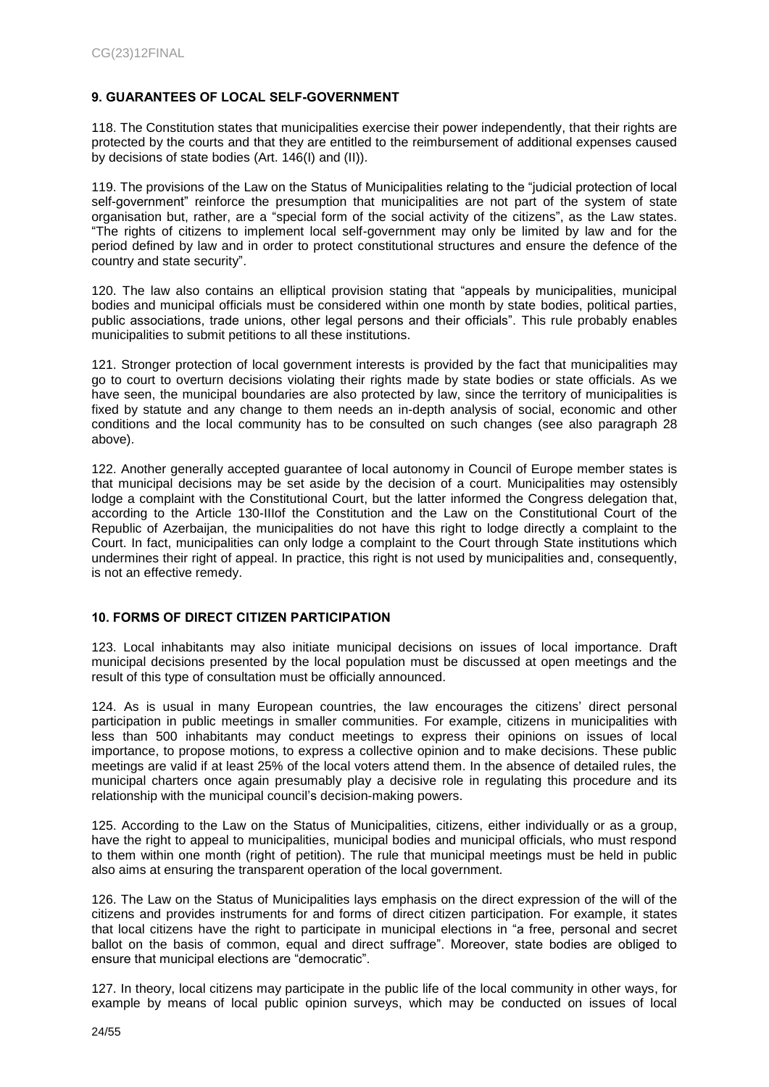## <span id="page-23-0"></span>**9. GUARANTEES OF LOCAL SELF-GOVERNMENT**

118. The Constitution states that municipalities exercise their power independently, that their rights are protected by the courts and that they are entitled to the reimbursement of additional expenses caused by decisions of state bodies (Art. 146(I) and (II)).

119. The provisions of the Law on the Status of Municipalities relating to the "judicial protection of local self-government" reinforce the presumption that municipalities are not part of the system of state organisation but, rather, are a "special form of the social activity of the citizens", as the Law states. "The rights of citizens to implement local self-government may only be limited by law and for the period defined by law and in order to protect constitutional structures and ensure the defence of the country and state security".

120. The law also contains an elliptical provision stating that "appeals by municipalities, municipal bodies and municipal officials must be considered within one month by state bodies, political parties, public associations, trade unions, other legal persons and their officials". This rule probably enables municipalities to submit petitions to all these institutions.

121. Stronger protection of local government interests is provided by the fact that municipalities may go to court to overturn decisions violating their rights made by state bodies or state officials. As we have seen, the municipal boundaries are also protected by law, since the territory of municipalities is fixed by statute and any change to them needs an in-depth analysis of social, economic and other conditions and the local community has to be consulted on such changes (see also paragraph 28 above).

122. Another generally accepted guarantee of local autonomy in Council of Europe member states is that municipal decisions may be set aside by the decision of a court. Municipalities may ostensibly lodge a complaint with the Constitutional Court, but the latter informed the Congress delegation that, according to the Article 130-IIIof the Constitution and the Law on the Constitutional Court of the Republic of Azerbaijan, the municipalities do not have this right to lodge directly a complaint to the Court. In fact, municipalities can only lodge a complaint to the Court through State institutions which undermines their right of appeal. In practice, this right is not used by municipalities and, consequently, is not an effective remedy.

## <span id="page-23-1"></span>**10. FORMS OF DIRECT CITIZEN PARTICIPATION**

123. Local inhabitants may also initiate municipal decisions on issues of local importance. Draft municipal decisions presented by the local population must be discussed at open meetings and the result of this type of consultation must be officially announced.

124. As is usual in many European countries, the law encourages the citizens' direct personal participation in public meetings in smaller communities. For example, citizens in municipalities with less than 500 inhabitants may conduct meetings to express their opinions on issues of local importance, to propose motions, to express a collective opinion and to make decisions. These public meetings are valid if at least 25% of the local voters attend them. In the absence of detailed rules, the municipal charters once again presumably play a decisive role in regulating this procedure and its relationship with the municipal council's decision-making powers.

125. According to the Law on the Status of Municipalities, citizens, either individually or as a group, have the right to appeal to municipalities, municipal bodies and municipal officials, who must respond to them within one month (right of petition). The rule that municipal meetings must be held in public also aims at ensuring the transparent operation of the local government.

126. The Law on the Status of Municipalities lays emphasis on the direct expression of the will of the citizens and provides instruments for and forms of direct citizen participation. For example, it states that local citizens have the right to participate in municipal elections in "a free, personal and secret ballot on the basis of common, equal and direct suffrage". Moreover, state bodies are obliged to ensure that municipal elections are "democratic".

127. In theory, local citizens may participate in the public life of the local community in other ways, for example by means of local public opinion surveys, which may be conducted on issues of local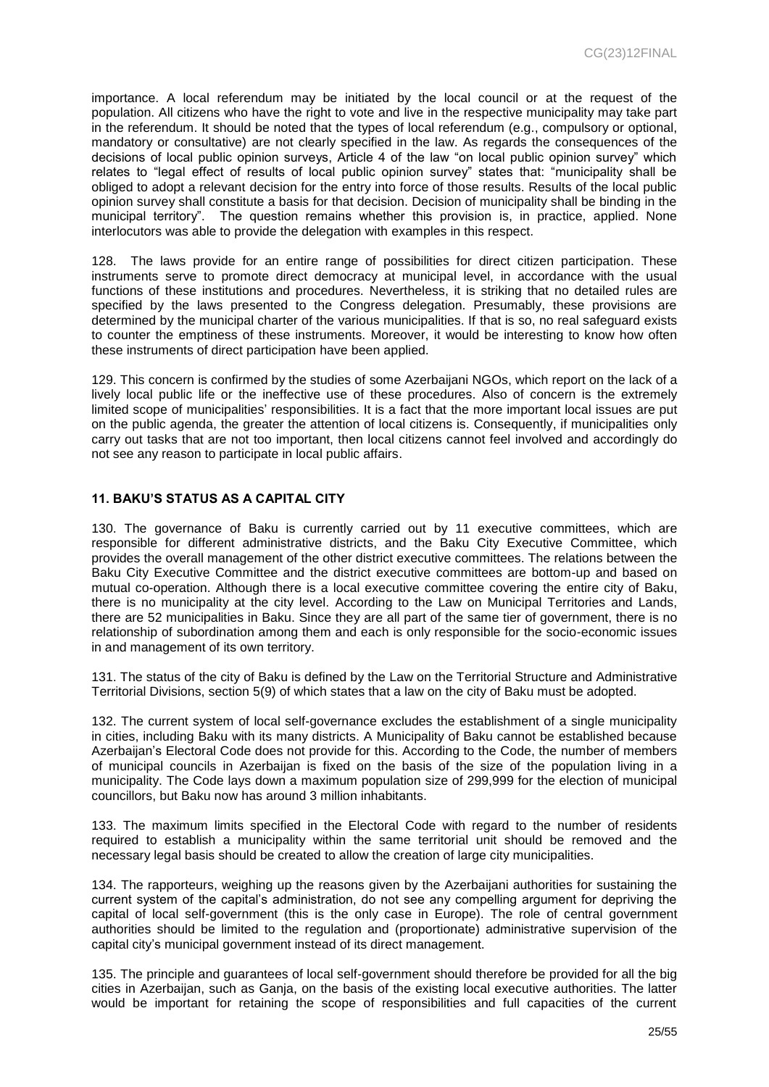importance. A local referendum may be initiated by the local council or at the request of the population. All citizens who have the right to vote and live in the respective municipality may take part in the referendum. It should be noted that the types of local referendum (e.g., compulsory or optional, mandatory or consultative) are not clearly specified in the law. As regards the consequences of the decisions of local public opinion surveys, Article 4 of the law "on local public opinion survey" which relates to "legal effect of results of local public opinion survey" states that: "municipality shall be obliged to adopt a relevant decision for the entry into force of those results. Results of the local public opinion survey shall constitute a basis for that decision. Decision of municipality shall be binding in the municipal territory". The question remains whether this provision is, in practice, applied. None interlocutors was able to provide the delegation with examples in this respect.

128. The laws provide for an entire range of possibilities for direct citizen participation. These instruments serve to promote direct democracy at municipal level, in accordance with the usual functions of these institutions and procedures. Nevertheless, it is striking that no detailed rules are specified by the laws presented to the Congress delegation. Presumably, these provisions are determined by the municipal charter of the various municipalities. If that is so, no real safeguard exists to counter the emptiness of these instruments. Moreover, it would be interesting to know how often these instruments of direct participation have been applied.

129. This concern is confirmed by the studies of some Azerbaijani NGOs, which report on the lack of a lively local public life or the ineffective use of these procedures. Also of concern is the extremely limited scope of municipalities' responsibilities. It is a fact that the more important local issues are put on the public agenda, the greater the attention of local citizens is. Consequently, if municipalities only carry out tasks that are not too important, then local citizens cannot feel involved and accordingly do not see any reason to participate in local public affairs.

## <span id="page-24-0"></span>**11. BAKU'S STATUS AS A CAPITAL CITY**

130. The governance of Baku is currently carried out by 11 executive committees, which are responsible for different administrative districts, and the Baku City Executive Committee, which provides the overall management of the other district executive committees. The relations between the Baku City Executive Committee and the district executive committees are bottom-up and based on mutual co-operation. Although there is a local executive committee covering the entire city of Baku, there is no municipality at the city level. According to the Law on Municipal Territories and Lands, there are 52 municipalities in Baku. Since they are all part of the same tier of government, there is no relationship of subordination among them and each is only responsible for the socio-economic issues in and management of its own territory.

131. The status of the city of Baku is defined by the Law on the Territorial Structure and Administrative Territorial Divisions, section 5(9) of which states that a law on the city of Baku must be adopted.

132. The current system of local self-governance excludes the establishment of a single municipality in cities, including Baku with its many districts. A Municipality of Baku cannot be established because Azerbaijan's Electoral Code does not provide for this. According to the Code, the number of members of municipal councils in Azerbaijan is fixed on the basis of the size of the population living in a municipality. The Code lays down a maximum population size of 299,999 for the election of municipal councillors, but Baku now has around 3 million inhabitants.

133. The maximum limits specified in the Electoral Code with regard to the number of residents required to establish a municipality within the same territorial unit should be removed and the necessary legal basis should be created to allow the creation of large city municipalities.

134. The rapporteurs, weighing up the reasons given by the Azerbaijani authorities for sustaining the current system of the capital's administration, do not see any compelling argument for depriving the capital of local self-government (this is the only case in Europe). The role of central government authorities should be limited to the regulation and (proportionate) administrative supervision of the capital city's municipal government instead of its direct management.

135. The principle and guarantees of local self-government should therefore be provided for all the big cities in Azerbaijan, such as Ganja, on the basis of the existing local executive authorities. The latter would be important for retaining the scope of responsibilities and full capacities of the current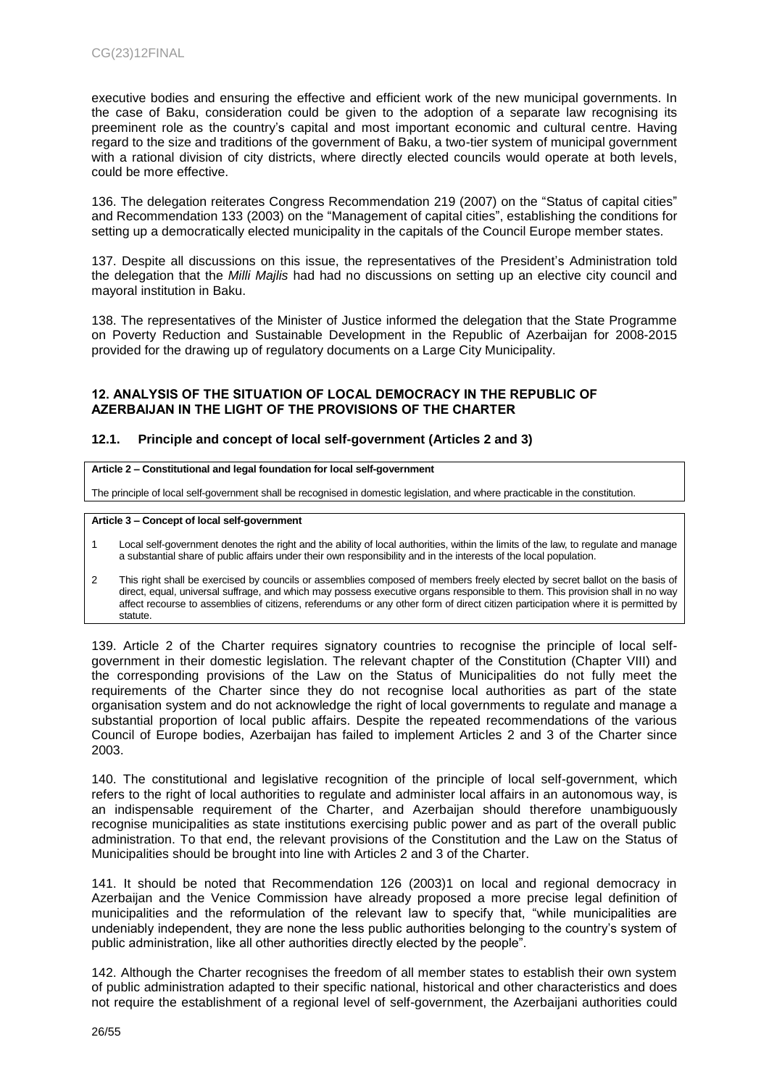executive bodies and ensuring the effective and efficient work of the new municipal governments. In the case of Baku, consideration could be given to the adoption of a separate law recognising its preeminent role as the country's capital and most important economic and cultural centre. Having regard to the size and traditions of the government of Baku, a two-tier system of municipal government with a rational division of city districts, where directly elected councils would operate at both levels, could be more effective.

136. The delegation reiterates Congress Recommendation 219 (2007) on the "Status of capital cities" and Recommendation 133 (2003) on the "Management of capital cities", establishing the conditions for setting up a democratically elected municipality in the capitals of the Council Europe member states.

137. Despite all discussions on this issue, the representatives of the President's Administration told the delegation that the *Milli Majlis* had had no discussions on setting up an elective city council and mayoral institution in Baku.

138. The representatives of the Minister of Justice informed the delegation that the State Programme on Poverty Reduction and Sustainable Development in the Republic of Azerbaijan for 2008-2015 provided for the drawing up of regulatory documents on a Large City Municipality.

#### <span id="page-25-0"></span>**12. ANALYSIS OF THE SITUATION OF LOCAL DEMOCRACY IN THE REPUBLIC OF AZERBAIJAN IN THE LIGHT OF THE PROVISIONS OF THE CHARTER**

#### <span id="page-25-1"></span>**12.1. Principle and concept of local self-government (Articles 2 and 3)**

#### **Article 2 – Constitutional and legal foundation for local self-government**

The principle of local self-government shall be recognised in domestic legislation, and where practicable in the constitution.

#### **Article 3 – Concept of local self-government**

- 1 Local self-government denotes the right and the ability of local authorities, within the limits of the law, to regulate and manage a substantial share of public affairs under their own responsibility and in the interests of the local population.
- 2 This right shall be exercised by councils or assemblies composed of members freely elected by secret ballot on the basis of direct, equal, universal suffrage, and which may possess executive organs responsible to them. This provision shall in no way affect recourse to assemblies of citizens, referendums or any other form of direct citizen participation where it is permitted by statute.

139. Article 2 of the Charter requires signatory countries to recognise the principle of local selfgovernment in their domestic legislation. The relevant chapter of the Constitution (Chapter VIII) and the corresponding provisions of the Law on the Status of Municipalities do not fully meet the requirements of the Charter since they do not recognise local authorities as part of the state organisation system and do not acknowledge the right of local governments to regulate and manage a substantial proportion of local public affairs. Despite the repeated recommendations of the various Council of Europe bodies, Azerbaijan has failed to implement Articles 2 and 3 of the Charter since 2003.

140. The constitutional and legislative recognition of the principle of local self-government, which refers to the right of local authorities to regulate and administer local affairs in an autonomous way, is an indispensable requirement of the Charter, and Azerbaijan should therefore unambiguously recognise municipalities as state institutions exercising public power and as part of the overall public administration. To that end, the relevant provisions of the Constitution and the Law on the Status of Municipalities should be brought into line with Articles 2 and 3 of the Charter.

141. It should be noted that Recommendation 126 (2003)1 on local and regional democracy in Azerbaijan and the Venice Commission have already proposed a more precise legal definition of municipalities and the reformulation of the relevant law to specify that, "while municipalities are undeniably independent, they are none the less public authorities belonging to the country's system of public administration, like all other authorities directly elected by the people".

142. Although the Charter recognises the freedom of all member states to establish their own system of public administration adapted to their specific national, historical and other characteristics and does not require the establishment of a regional level of self-government, the Azerbaijani authorities could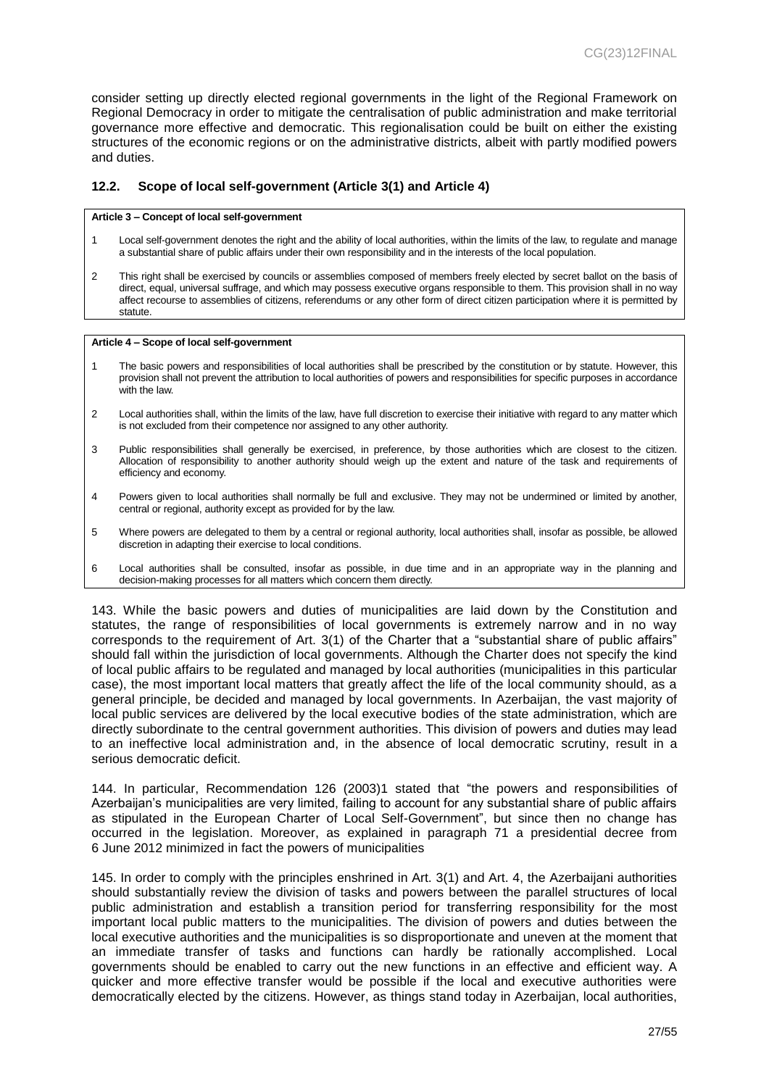consider setting up directly elected regional governments in the light of the Regional Framework on Regional Democracy in order to mitigate the centralisation of public administration and make territorial governance more effective and democratic. This regionalisation could be built on either the existing structures of the economic regions or on the administrative districts, albeit with partly modified powers and duties.

#### <span id="page-26-0"></span>**12.2. Scope of local self-government (Article 3(1) and Article 4)**

#### **Article 3 – Concept of local self-government**

- 1 Local self-government denotes the right and the ability of local authorities, within the limits of the law, to regulate and manage a substantial share of public affairs under their own responsibility and in the interests of the local population.
- 2 This right shall be exercised by councils or assemblies composed of members freely elected by secret ballot on the basis of direct, equal, universal suffrage, and which may possess executive organs responsible to them. This provision shall in no way affect recourse to assemblies of citizens, referendums or any other form of direct citizen participation where it is permitted by statute.

#### **Article 4 – Scope of local self-government**

- 1 The basic powers and responsibilities of local authorities shall be prescribed by the constitution or by statute. However, this provision shall not prevent the attribution to local authorities of powers and responsibilities for specific purposes in accordance with the law.
- 2 Local authorities shall, within the limits of the law, have full discretion to exercise their initiative with regard to any matter which is not excluded from their competence nor assigned to any other authority.
- 3 Public responsibilities shall generally be exercised, in preference, by those authorities which are closest to the citizen. Allocation of responsibility to another authority should weigh up the extent and nature of the task and requirements of efficiency and economy.
- 4 Powers given to local authorities shall normally be full and exclusive. They may not be undermined or limited by another, central or regional, authority except as provided for by the law.
- 5 Where powers are delegated to them by a central or regional authority, local authorities shall, insofar as possible, be allowed discretion in adapting their exercise to local conditions.
- 6 Local authorities shall be consulted, insofar as possible, in due time and in an appropriate way in the planning and decision-making processes for all matters which concern them directly.

143. While the basic powers and duties of municipalities are laid down by the Constitution and statutes, the range of responsibilities of local governments is extremely narrow and in no way corresponds to the requirement of Art. 3(1) of the Charter that a "substantial share of public affairs" should fall within the jurisdiction of local governments. Although the Charter does not specify the kind of local public affairs to be regulated and managed by local authorities (municipalities in this particular case), the most important local matters that greatly affect the life of the local community should, as a general principle, be decided and managed by local governments. In Azerbaijan, the vast majority of local public services are delivered by the local executive bodies of the state administration, which are directly subordinate to the central government authorities. This division of powers and duties may lead to an ineffective local administration and, in the absence of local democratic scrutiny, result in a serious democratic deficit.

144. In particular, Recommendation 126 (2003)1 stated that "the powers and responsibilities of Azerbaijan's municipalities are very limited, failing to account for any substantial share of public affairs as stipulated in the European Charter of Local Self-Government", but since then no change has occurred in the legislation. Moreover, as explained in paragraph 71 a presidential decree from 6 June 2012 minimized in fact the powers of municipalities

145. In order to comply with the principles enshrined in Art. 3(1) and Art. 4, the Azerbaijani authorities should substantially review the division of tasks and powers between the parallel structures of local public administration and establish a transition period for transferring responsibility for the most important local public matters to the municipalities. The division of powers and duties between the local executive authorities and the municipalities is so disproportionate and uneven at the moment that an immediate transfer of tasks and functions can hardly be rationally accomplished. Local governments should be enabled to carry out the new functions in an effective and efficient way. A quicker and more effective transfer would be possible if the local and executive authorities were democratically elected by the citizens. However, as things stand today in Azerbaijan, local authorities,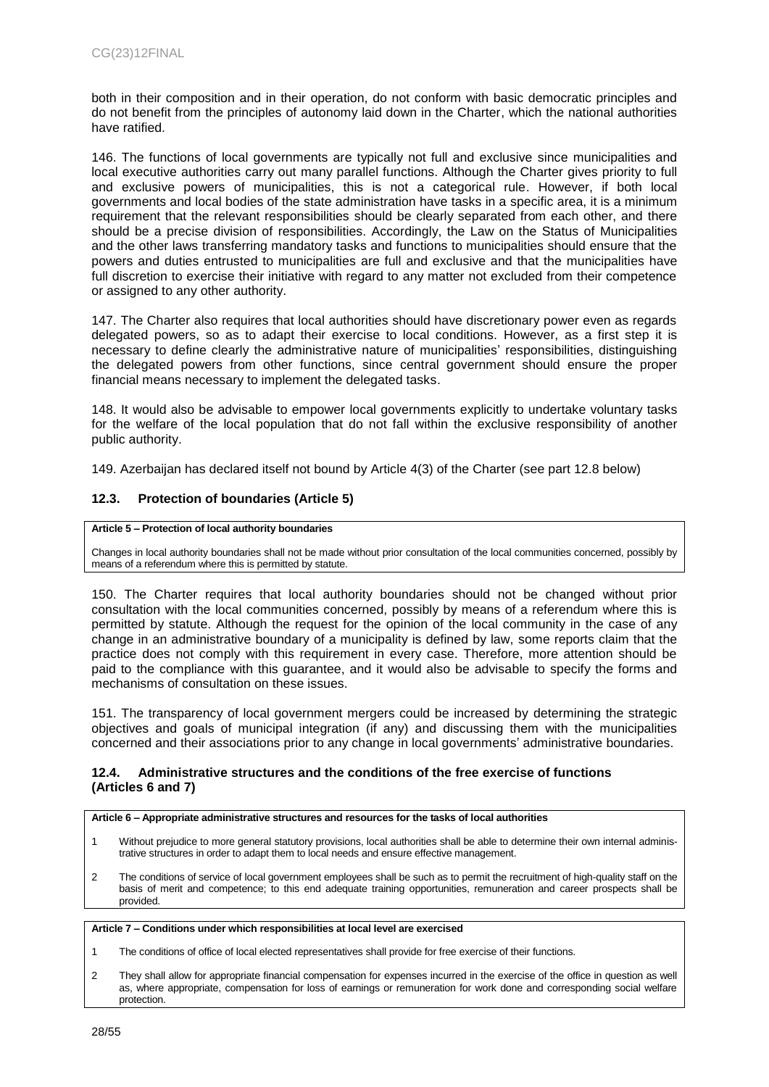both in their composition and in their operation, do not conform with basic democratic principles and do not benefit from the principles of autonomy laid down in the Charter, which the national authorities have ratified.

146. The functions of local governments are typically not full and exclusive since municipalities and local executive authorities carry out many parallel functions. Although the Charter gives priority to full and exclusive powers of municipalities, this is not a categorical rule. However, if both local governments and local bodies of the state administration have tasks in a specific area, it is a minimum requirement that the relevant responsibilities should be clearly separated from each other, and there should be a precise division of responsibilities. Accordingly, the Law on the Status of Municipalities and the other laws transferring mandatory tasks and functions to municipalities should ensure that the powers and duties entrusted to municipalities are full and exclusive and that the municipalities have full discretion to exercise their initiative with regard to any matter not excluded from their competence or assigned to any other authority.

147. The Charter also requires that local authorities should have discretionary power even as regards delegated powers, so as to adapt their exercise to local conditions. However, as a first step it is necessary to define clearly the administrative nature of municipalities' responsibilities, distinguishing the delegated powers from other functions, since central government should ensure the proper financial means necessary to implement the delegated tasks.

148. It would also be advisable to empower local governments explicitly to undertake voluntary tasks for the welfare of the local population that do not fall within the exclusive responsibility of another public authority.

149. Azerbaijan has declared itself not bound by Article 4(3) of the Charter (see part 12.8 below)

#### <span id="page-27-0"></span>**12.3. Protection of boundaries (Article 5)**

#### **Article 5 – Protection of local authority boundaries**

Changes in local authority boundaries shall not be made without prior consultation of the local communities concerned, possibly by means of a referendum where this is permitted by statute.

150. The Charter requires that local authority boundaries should not be changed without prior consultation with the local communities concerned, possibly by means of a referendum where this is permitted by statute. Although the request for the opinion of the local community in the case of any change in an administrative boundary of a municipality is defined by law, some reports claim that the practice does not comply with this requirement in every case. Therefore, more attention should be paid to the compliance with this guarantee, and it would also be advisable to specify the forms and mechanisms of consultation on these issues.

151. The transparency of local government mergers could be increased by determining the strategic objectives and goals of municipal integration (if any) and discussing them with the municipalities concerned and their associations prior to any change in local governments' administrative boundaries.

#### <span id="page-27-2"></span><span id="page-27-1"></span>**12.4. Administrative structures and the conditions of the free exercise of functions (Articles 6 and 7)**

#### **Article 6 – Appropriate administrative structures and resources for the tasks of local authorities**

- 1 Without prejudice to more general statutory provisions, local authorities shall be able to determine their own internal administrative structures in order to adapt them to local needs and ensure effective management.
- 2 The conditions of service of local government employees shall be such as to permit the recruitment of high-quality staff on the basis of merit and competence; to this end adequate training opportunities, remuneration and career prospects shall be provided.

#### **Article 7 – Conditions under which responsibilities at local level are exercised**

- 1 The conditions of office of local elected representatives shall provide for free exercise of their functions.
- 2 They shall allow for appropriate financial compensation for expenses incurred in the exercise of the office in question as well as, where appropriate, compensation for loss of earnings or remuneration for work done and corresponding social welfare protection.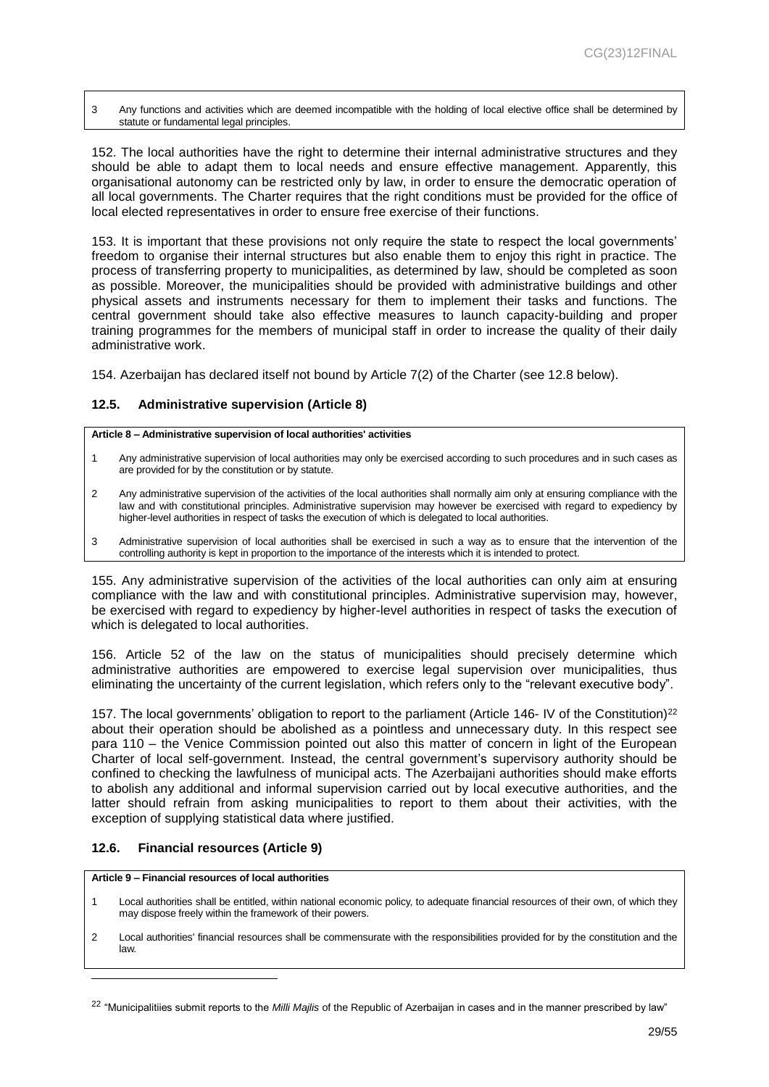3 Any functions and activities which are deemed incompatible with the holding of local elective office shall be determined by statute or fundamental legal principles.

152. The local authorities have the right to determine their internal administrative structures and they should be able to adapt them to local needs and ensure effective management. Apparently, this organisational autonomy can be restricted only by law, in order to ensure the democratic operation of all local governments. The Charter requires that the right conditions must be provided for the office of local elected representatives in order to ensure free exercise of their functions.

153. It is important that these provisions not only require the state to respect the local governments' freedom to organise their internal structures but also enable them to enjoy this right in practice. The process of transferring property to municipalities, as determined by law, should be completed as soon as possible. Moreover, the municipalities should be provided with administrative buildings and other physical assets and instruments necessary for them to implement their tasks and functions. The central government should take also effective measures to launch capacity-building and proper training programmes for the members of municipal staff in order to increase the quality of their daily administrative work.

154. Azerbaijan has declared itself not bound by Article 7(2) of the Charter (see 12.8 below).

#### <span id="page-28-0"></span>**12.5. Administrative supervision (Article 8)**

#### **Article 8 – Administrative supervision of local authorities' activities**

- 1 Any administrative supervision of local authorities may only be exercised according to such procedures and in such cases as are provided for by the constitution or by statute.
- 2 Any administrative supervision of the activities of the local authorities shall normally aim only at ensuring compliance with the law and with constitutional principles. Administrative supervision may however be exercised with regard to expediency by higher-level authorities in respect of tasks the execution of which is delegated to local authorities.
- 3 Administrative supervision of local authorities shall be exercised in such a way as to ensure that the intervention of the controlling authority is kept in proportion to the importance of the interests which it is intended to protect.

155. Any administrative supervision of the activities of the local authorities can only aim at ensuring compliance with the law and with constitutional principles. Administrative supervision may, however, be exercised with regard to expediency by higher-level authorities in respect of tasks the execution of which is delegated to local authorities.

156. Article 52 of the law on the status of municipalities should precisely determine which administrative authorities are empowered to exercise legal supervision over municipalities, thus eliminating the uncertainty of the current legislation, which refers only to the "relevant executive body".

157. The local governments' obligation to report to the parliament (Article 146- IV of the Constitution)<sup>22</sup> about their operation should be abolished as a pointless and unnecessary duty. In this respect see para 110 – the Venice Commission pointed out also this matter of concern in light of the European Charter of local self-government. Instead, the central government's supervisory authority should be confined to checking the lawfulness of municipal acts. The Azerbaijani authorities should make efforts to abolish any additional and informal supervision carried out by local executive authorities, and the latter should refrain from asking municipalities to report to them about their activities, with the exception of supplying statistical data where justified.

#### <span id="page-28-1"></span>**12.6. Financial resources (Article 9)**

**Article 9 – Financial resources of local authorities**

- 1 Local authorities shall be entitled, within national economic policy, to adequate financial resources of their own, of which they may dispose freely within the framework of their powers.
- 2 Local authorities' financial resources shall be commensurate with the responsibilities provided for by the constitution and the law.

<sup>22</sup> "Municipalitiies submit reports to the *Milli Majlis* of the Republic of Azerbaijan in cases and in the manner prescribed by law"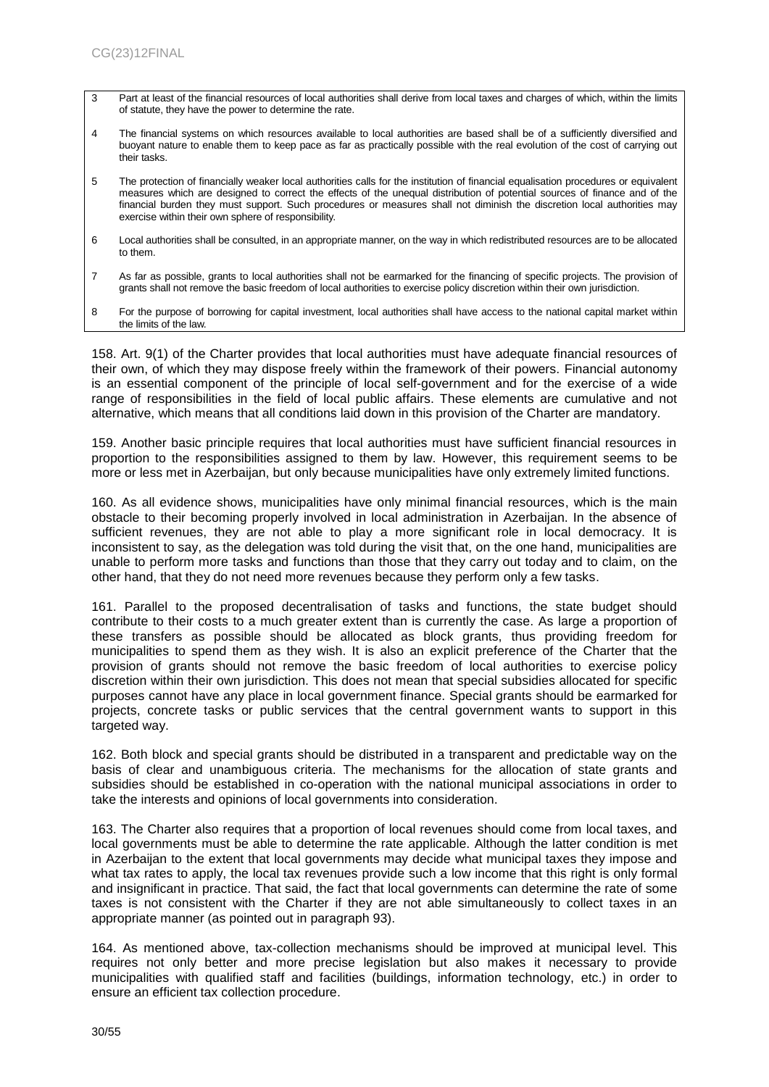- 3 Part at least of the financial resources of local authorities shall derive from local taxes and charges of which, within the limits of statute, they have the power to determine the rate.
- 4 The financial systems on which resources available to local authorities are based shall be of a sufficiently diversified and buoyant nature to enable them to keep pace as far as practically possible with the real evolution of the cost of carrying out their tasks.
- 5 The protection of financially weaker local authorities calls for the institution of financial equalisation procedures or equivalent measures which are designed to correct the effects of the unequal distribution of potential sources of finance and of the financial burden they must support. Such procedures or measures shall not diminish the discretion local authorities may exercise within their own sphere of responsibility.
- 6 Local authorities shall be consulted, in an appropriate manner, on the way in which redistributed resources are to be allocated to them.
- 7 As far as possible, grants to local authorities shall not be earmarked for the financing of specific projects. The provision of grants shall not remove the basic freedom of local authorities to exercise policy discretion within their own jurisdiction.
- 8 For the purpose of borrowing for capital investment, local authorities shall have access to the national capital market within the limits of the law.

158. Art. 9(1) of the Charter provides that local authorities must have adequate financial resources of their own, of which they may dispose freely within the framework of their powers. Financial autonomy is an essential component of the principle of local self-government and for the exercise of a wide range of responsibilities in the field of local public affairs. These elements are cumulative and not alternative, which means that all conditions laid down in this provision of the Charter are mandatory.

159. Another basic principle requires that local authorities must have sufficient financial resources in proportion to the responsibilities assigned to them by law. However, this requirement seems to be more or less met in Azerbaijan, but only because municipalities have only extremely limited functions.

160. As all evidence shows, municipalities have only minimal financial resources, which is the main obstacle to their becoming properly involved in local administration in Azerbaijan. In the absence of sufficient revenues, they are not able to play a more significant role in local democracy. It is inconsistent to say, as the delegation was told during the visit that, on the one hand, municipalities are unable to perform more tasks and functions than those that they carry out today and to claim, on the other hand, that they do not need more revenues because they perform only a few tasks.

161. Parallel to the proposed decentralisation of tasks and functions, the state budget should contribute to their costs to a much greater extent than is currently the case. As large a proportion of these transfers as possible should be allocated as block grants, thus providing freedom for municipalities to spend them as they wish. It is also an explicit preference of the Charter that the provision of grants should not remove the basic freedom of local authorities to exercise policy discretion within their own jurisdiction. This does not mean that special subsidies allocated for specific purposes cannot have any place in local government finance. Special grants should be earmarked for projects, concrete tasks or public services that the central government wants to support in this targeted way.

162. Both block and special grants should be distributed in a transparent and predictable way on the basis of clear and unambiguous criteria. The mechanisms for the allocation of state grants and subsidies should be established in co-operation with the national municipal associations in order to take the interests and opinions of local governments into consideration.

163. The Charter also requires that a proportion of local revenues should come from local taxes, and local governments must be able to determine the rate applicable. Although the latter condition is met in Azerbaijan to the extent that local governments may decide what municipal taxes they impose and what tax rates to apply, the local tax revenues provide such a low income that this right is only formal and insignificant in practice. That said, the fact that local governments can determine the rate of some taxes is not consistent with the Charter if they are not able simultaneously to collect taxes in an appropriate manner (as pointed out in paragraph 93).

164. As mentioned above, tax-collection mechanisms should be improved at municipal level. This requires not only better and more precise legislation but also makes it necessary to provide municipalities with qualified staff and facilities (buildings, information technology, etc.) in order to ensure an efficient tax collection procedure.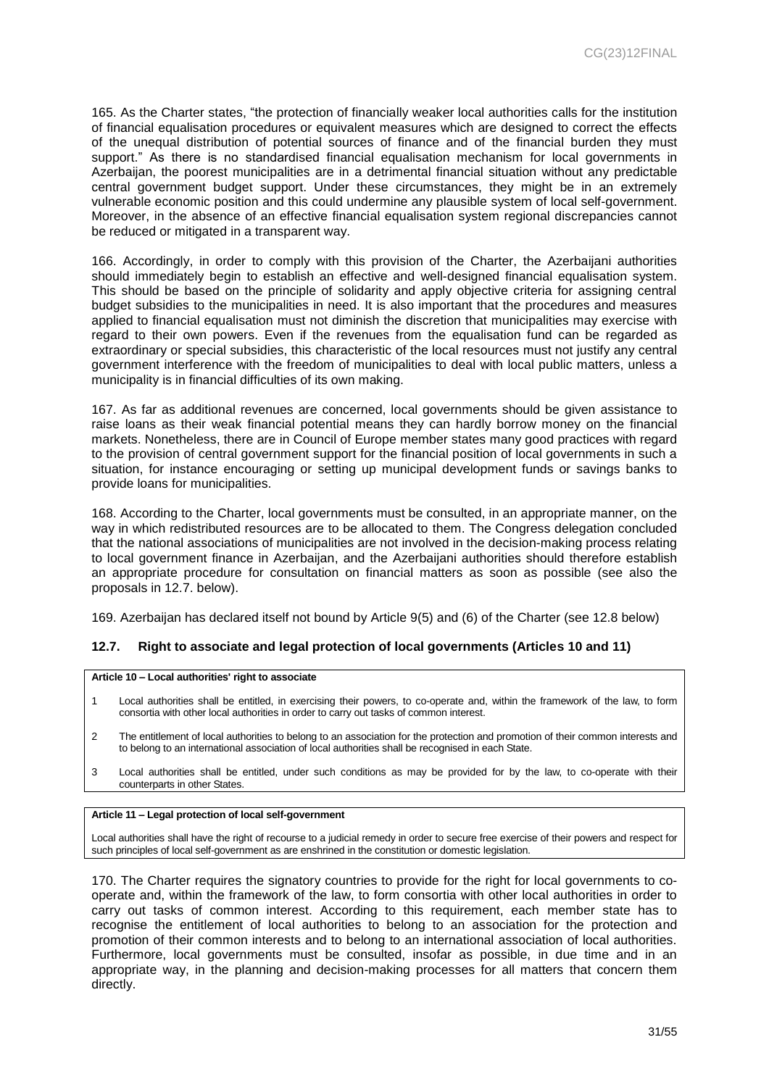165. As the Charter states, "the protection of financially weaker local authorities calls for the institution of financial equalisation procedures or equivalent measures which are designed to correct the effects of the unequal distribution of potential sources of finance and of the financial burden they must support." As there is no standardised financial equalisation mechanism for local governments in Azerbaijan, the poorest municipalities are in a detrimental financial situation without any predictable central government budget support. Under these circumstances, they might be in an extremely vulnerable economic position and this could undermine any plausible system of local self-government. Moreover, in the absence of an effective financial equalisation system regional discrepancies cannot be reduced or mitigated in a transparent way.

166. Accordingly, in order to comply with this provision of the Charter, the Azerbaijani authorities should immediately begin to establish an effective and well-designed financial equalisation system. This should be based on the principle of solidarity and apply objective criteria for assigning central budget subsidies to the municipalities in need. It is also important that the procedures and measures applied to financial equalisation must not diminish the discretion that municipalities may exercise with regard to their own powers. Even if the revenues from the equalisation fund can be regarded as extraordinary or special subsidies, this characteristic of the local resources must not justify any central government interference with the freedom of municipalities to deal with local public matters, unless a municipality is in financial difficulties of its own making.

167. As far as additional revenues are concerned, local governments should be given assistance to raise loans as their weak financial potential means they can hardly borrow money on the financial markets. Nonetheless, there are in Council of Europe member states many good practices with regard to the provision of central government support for the financial position of local governments in such a situation, for instance encouraging or setting up municipal development funds or savings banks to provide loans for municipalities.

168. According to the Charter, local governments must be consulted, in an appropriate manner, on the way in which redistributed resources are to be allocated to them. The Congress delegation concluded that the national associations of municipalities are not involved in the decision-making process relating to local government finance in Azerbaijan, and the Azerbaijani authorities should therefore establish an appropriate procedure for consultation on financial matters as soon as possible (see also the proposals in 12.7. below).

169. Azerbaijan has declared itself not bound by Article 9(5) and (6) of the Charter (see 12.8 below)

#### <span id="page-30-0"></span>**12.7. Right to associate and legal protection of local governments (Articles 10 and 11)**

#### **Article 10 – Local authorities' right to associate**

- 1 Local authorities shall be entitled, in exercising their powers, to co-operate and, within the framework of the law, to form consortia with other local authorities in order to carry out tasks of common interest.
- 2 The entitlement of local authorities to belong to an association for the protection and promotion of their common interests and to belong to an international association of local authorities shall be recognised in each State.
- 3 Local authorities shall be entitled, under such conditions as may be provided for by the law, to co-operate with their counterparts in other States.

#### **Article 11 – Legal protection of local self-government**

Local authorities shall have the right of recourse to a judicial remedy in order to secure free exercise of their powers and respect for such principles of local self-government as are enshrined in the constitution or domestic legislation.

170. The Charter requires the signatory countries to provide for the right for local governments to cooperate and, within the framework of the law, to form consortia with other local authorities in order to carry out tasks of common interest. According to this requirement, each member state has to recognise the entitlement of local authorities to belong to an association for the protection and promotion of their common interests and to belong to an international association of local authorities. Furthermore, local governments must be consulted, insofar as possible, in due time and in an appropriate way, in the planning and decision-making processes for all matters that concern them directly.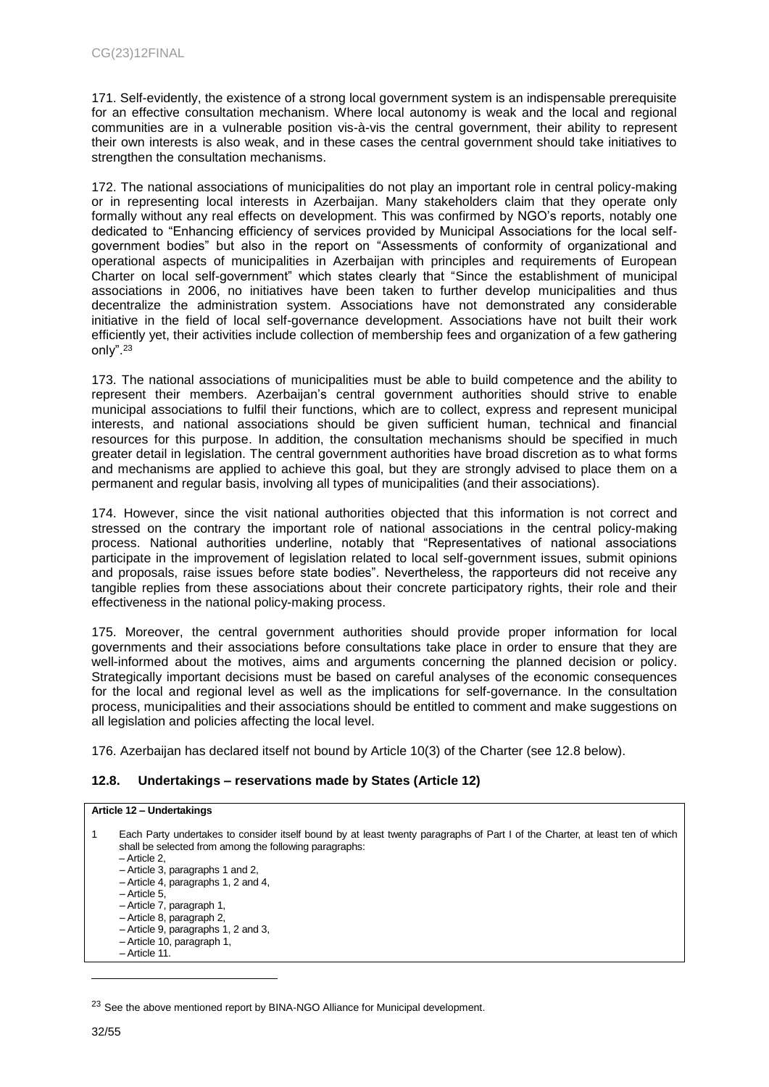171. Self-evidently, the existence of a strong local government system is an indispensable prerequisite for an effective consultation mechanism. Where local autonomy is weak and the local and regional communities are in a vulnerable position vis-à-vis the central government, their ability to represent their own interests is also weak, and in these cases the central government should take initiatives to strengthen the consultation mechanisms.

172. The national associations of municipalities do not play an important role in central policy-making or in representing local interests in Azerbaijan. Many stakeholders claim that they operate only formally without any real effects on development. This was confirmed by NGO's reports, notably one dedicated to "Enhancing efficiency of services provided by Municipal Associations for the local selfgovernment bodies" but also in the report on "Assessments of conformity of organizational and operational aspects of municipalities in Azerbaijan with principles and requirements of European Charter on local self-government" which states clearly that "Since the establishment of municipal associations in 2006, no initiatives have been taken to further develop municipalities and thus decentralize the administration system. Associations have not demonstrated any considerable initiative in the field of local self-governance development. Associations have not built their work efficiently yet, their activities include collection of membership fees and organization of a few gathering only".<sup>23</sup>

173. The national associations of municipalities must be able to build competence and the ability to represent their members. Azerbaijan's central government authorities should strive to enable municipal associations to fulfil their functions, which are to collect, express and represent municipal interests, and national associations should be given sufficient human, technical and financial resources for this purpose. In addition, the consultation mechanisms should be specified in much greater detail in legislation. The central government authorities have broad discretion as to what forms and mechanisms are applied to achieve this goal, but they are strongly advised to place them on a permanent and regular basis, involving all types of municipalities (and their associations).

174. However, since the visit national authorities objected that this information is not correct and stressed on the contrary the important role of national associations in the central policy-making process. National authorities underline, notably that "Representatives of national associations participate in the improvement of legislation related to local self-government issues, submit opinions and proposals, raise issues before state bodies". Nevertheless, the rapporteurs did not receive any tangible replies from these associations about their concrete participatory rights, their role and their effectiveness in the national policy-making process.

175. Moreover, the central government authorities should provide proper information for local governments and their associations before consultations take place in order to ensure that they are well-informed about the motives, aims and arguments concerning the planned decision or policy. Strategically important decisions must be based on careful analyses of the economic consequences for the local and regional level as well as the implications for self-governance. In the consultation process, municipalities and their associations should be entitled to comment and make suggestions on all legislation and policies affecting the local level.

176. Azerbaijan has declared itself not bound by Article 10(3) of the Charter (see 12.8 below).

## <span id="page-31-0"></span>**12.8. Undertakings – reservations made by States (Article 12)**

#### **Article 12 – Undertakings**

| $\overline{1}$ | Each Party undertakes to consider itself bound by at least twenty paragraphs of Part I of the Charter, at least ten of which<br>shall be selected from among the following paragraphs:<br>- Article 2.<br>$-$ Article 3, paragraphs 1 and 2,<br>$-$ Article 4, paragraphs 1, 2 and 4,<br>$-$ Article 5.<br>- Article 7, paragraph 1,<br>- Article 8, paragraph 2,<br>$-$ Article 9, paragraphs 1, 2 and 3,<br>- Article 10, paragraph 1,<br>$-$ Article 11. |
|----------------|-------------------------------------------------------------------------------------------------------------------------------------------------------------------------------------------------------------------------------------------------------------------------------------------------------------------------------------------------------------------------------------------------------------------------------------------------------------|
|----------------|-------------------------------------------------------------------------------------------------------------------------------------------------------------------------------------------------------------------------------------------------------------------------------------------------------------------------------------------------------------------------------------------------------------------------------------------------------------|

<sup>&</sup>lt;sup>23</sup> See the above mentioned report by BINA-NGO Alliance for Municipal development.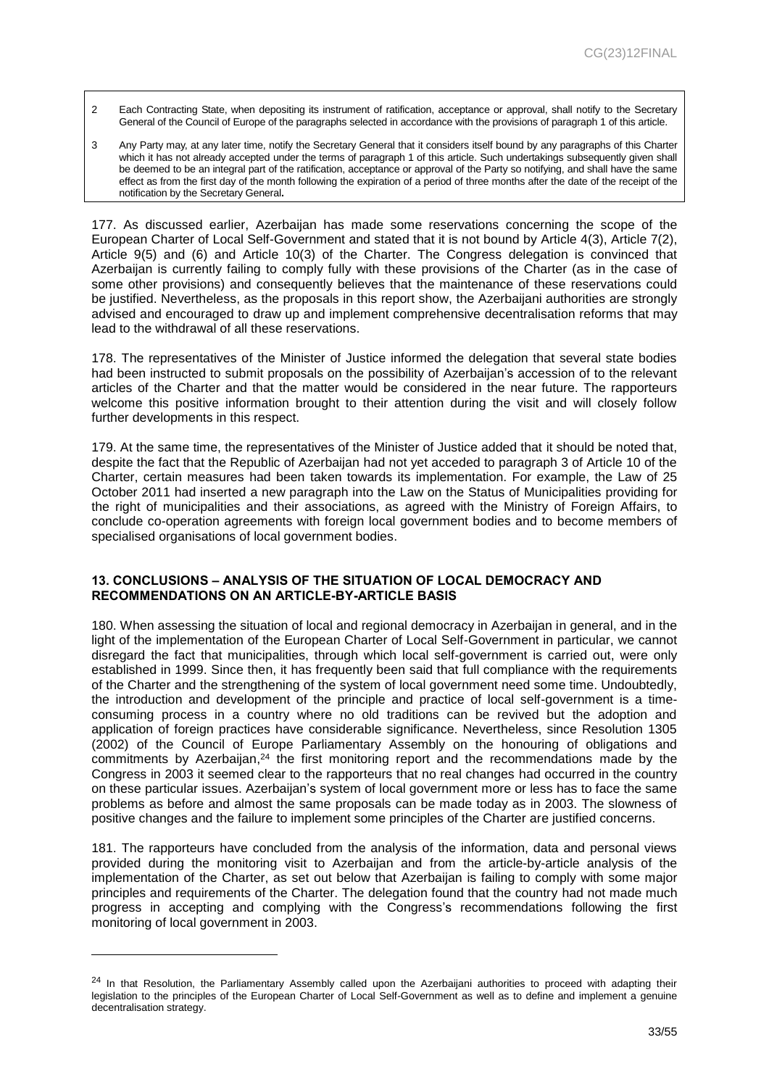- 2 Each Contracting State, when depositing its instrument of ratification, acceptance or approval, shall notify to the Secretary General of the Council of Europe of the paragraphs selected in accordance with the provisions of paragraph 1 of this article.
- 3 Any Party may, at any later time, notify the Secretary General that it considers itself bound by any paragraphs of this Charter which it has not already accepted under the terms of paragraph 1 of this article. Such undertakings subsequently given shall be deemed to be an integral part of the ratification, acceptance or approval of the Party so notifying, and shall have the same effect as from the first day of the month following the expiration of a period of three months after the date of the receipt of the notification by the Secretary General**.**

177. As discussed earlier, Azerbaijan has made some reservations concerning the scope of the European Charter of Local Self-Government and stated that it is not bound by Article 4(3), Article 7(2), Article 9(5) and (6) and Article 10(3) of the Charter. The Congress delegation is convinced that Azerbaijan is currently failing to comply fully with these provisions of the Charter (as in the case of some other provisions) and consequently believes that the maintenance of these reservations could be justified. Nevertheless, as the proposals in this report show, the Azerbaijani authorities are strongly advised and encouraged to draw up and implement comprehensive decentralisation reforms that may lead to the withdrawal of all these reservations.

178. The representatives of the Minister of Justice informed the delegation that several state bodies had been instructed to submit proposals on the possibility of Azerbaijan's accession of to the relevant articles of the Charter and that the matter would be considered in the near future. The rapporteurs welcome this positive information brought to their attention during the visit and will closely follow further developments in this respect.

179. At the same time, the representatives of the Minister of Justice added that it should be noted that, despite the fact that the Republic of Azerbaijan had not yet acceded to paragraph 3 of Article 10 of the Charter, certain measures had been taken towards its implementation. For example, the Law of 25 October 2011 had inserted a new paragraph into the Law on the Status of Municipalities providing for the right of municipalities and their associations, as agreed with the Ministry of Foreign Affairs, to conclude co-operation agreements with foreign local government bodies and to become members of specialised organisations of local government bodies.

#### <span id="page-32-0"></span>**13. CONCLUSIONS – ANALYSIS OF THE SITUATION OF LOCAL DEMOCRACY AND RECOMMENDATIONS ON AN ARTICLE-BY-ARTICLE BASIS**

180. When assessing the situation of local and regional democracy in Azerbaijan in general, and in the light of the implementation of the European Charter of Local Self-Government in particular, we cannot disregard the fact that municipalities, through which local self-government is carried out, were only established in 1999. Since then, it has frequently been said that full compliance with the requirements of the Charter and the strengthening of the system of local government need some time. Undoubtedly, the introduction and development of the principle and practice of local self-government is a timeconsuming process in a country where no old traditions can be revived but the adoption and application of foreign practices have considerable significance. Nevertheless, since Resolution 1305 (2002) of the Council of Europe Parliamentary Assembly on the honouring of obligations and commitments by Azerbaijan,<sup>24</sup> the first monitoring report and the recommendations made by the Congress in 2003 it seemed clear to the rapporteurs that no real changes had occurred in the country on these particular issues. Azerbaijan's system of local government more or less has to face the same problems as before and almost the same proposals can be made today as in 2003. The slowness of positive changes and the failure to implement some principles of the Charter are justified concerns.

181. The rapporteurs have concluded from the analysis of the information, data and personal views provided during the monitoring visit to Azerbaijan and from the article-by-article analysis of the implementation of the Charter, as set out below that Azerbaijan is failing to comply with some major principles and requirements of the Charter. The delegation found that the country had not made much progress in accepting and complying with the Congress's recommendations following the first monitoring of local government in 2003.

 $24$  In that Resolution, the Parliamentary Assembly called upon the Azerbaijani authorities to proceed with adapting their legislation to the principles of the European Charter of Local Self-Government as well as to define and implement a genuine decentralisation strategy.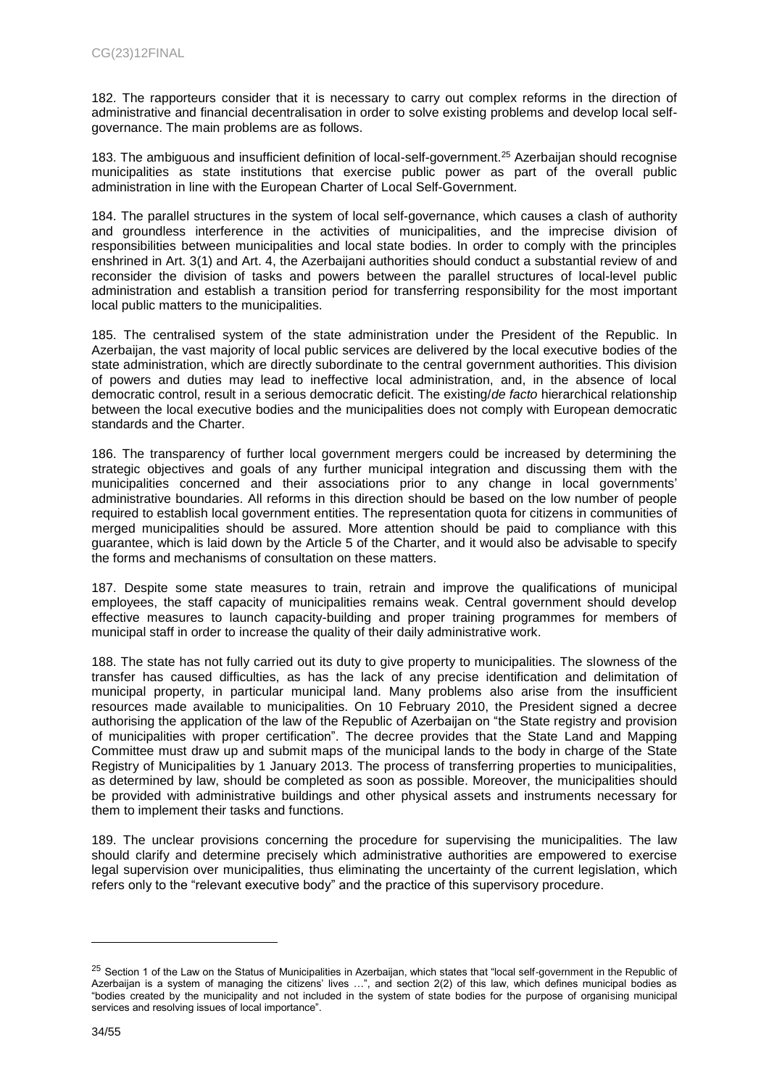182. The rapporteurs consider that it is necessary to carry out complex reforms in the direction of administrative and financial decentralisation in order to solve existing problems and develop local selfgovernance. The main problems are as follows.

183. The ambiguous and insufficient definition of local-self-government. <sup>25</sup> Azerbaijan should recognise municipalities as state institutions that exercise public power as part of the overall public administration in line with the European Charter of Local Self-Government.

184. The parallel structures in the system of local self-governance, which causes a clash of authority and groundless interference in the activities of municipalities, and the imprecise division of responsibilities between municipalities and local state bodies. In order to comply with the principles enshrined in Art. 3(1) and Art. 4, the Azerbaijani authorities should conduct a substantial review of and reconsider the division of tasks and powers between the parallel structures of local-level public administration and establish a transition period for transferring responsibility for the most important local public matters to the municipalities.

185. The centralised system of the state administration under the President of the Republic. In Azerbaijan, the vast majority of local public services are delivered by the local executive bodies of the state administration, which are directly subordinate to the central government authorities. This division of powers and duties may lead to ineffective local administration, and, in the absence of local democratic control, result in a serious democratic deficit. The existing/*de facto* hierarchical relationship between the local executive bodies and the municipalities does not comply with European democratic standards and the Charter.

186. The transparency of further local government mergers could be increased by determining the strategic objectives and goals of any further municipal integration and discussing them with the municipalities concerned and their associations prior to any change in local governments' administrative boundaries. All reforms in this direction should be based on the low number of people required to establish local government entities. The representation quota for citizens in communities of merged municipalities should be assured. More attention should be paid to compliance with this guarantee, which is laid down by the Article 5 of the Charter, and it would also be advisable to specify the forms and mechanisms of consultation on these matters.

187. Despite some state measures to train, retrain and improve the qualifications of municipal employees, the staff capacity of municipalities remains weak. Central government should develop effective measures to launch capacity-building and proper training programmes for members of municipal staff in order to increase the quality of their daily administrative work.

188. The state has not fully carried out its duty to give property to municipalities. The slowness of the transfer has caused difficulties, as has the lack of any precise identification and delimitation of municipal property, in particular municipal land. Many problems also arise from the insufficient resources made available to municipalities. On 10 February 2010, the President signed a decree authorising the application of the law of the Republic of Azerbaijan on "the State registry and provision of municipalities with proper certification". The decree provides that the State Land and Mapping Committee must draw up and submit maps of the municipal lands to the body in charge of the State Registry of Municipalities by 1 January 2013. The process of transferring properties to municipalities, as determined by law, should be completed as soon as possible. Moreover, the municipalities should be provided with administrative buildings and other physical assets and instruments necessary for them to implement their tasks and functions.

189. The unclear provisions concerning the procedure for supervising the municipalities. The law should clarify and determine precisely which administrative authorities are empowered to exercise legal supervision over municipalities, thus eliminating the uncertainty of the current legislation, which refers only to the "relevant executive body" and the practice of this supervisory procedure.

<sup>&</sup>lt;sup>25</sup> Section 1 of the Law on the Status of Municipalities in Azerbaijan, which states that "local self-government in the Republic of Azerbaijan is a system of managing the citizens' lives …", and section 2(2) of this law, which defines municipal bodies as "bodies created by the municipality and not included in the system of state bodies for the purpose of organising municipal services and resolving issues of local importance".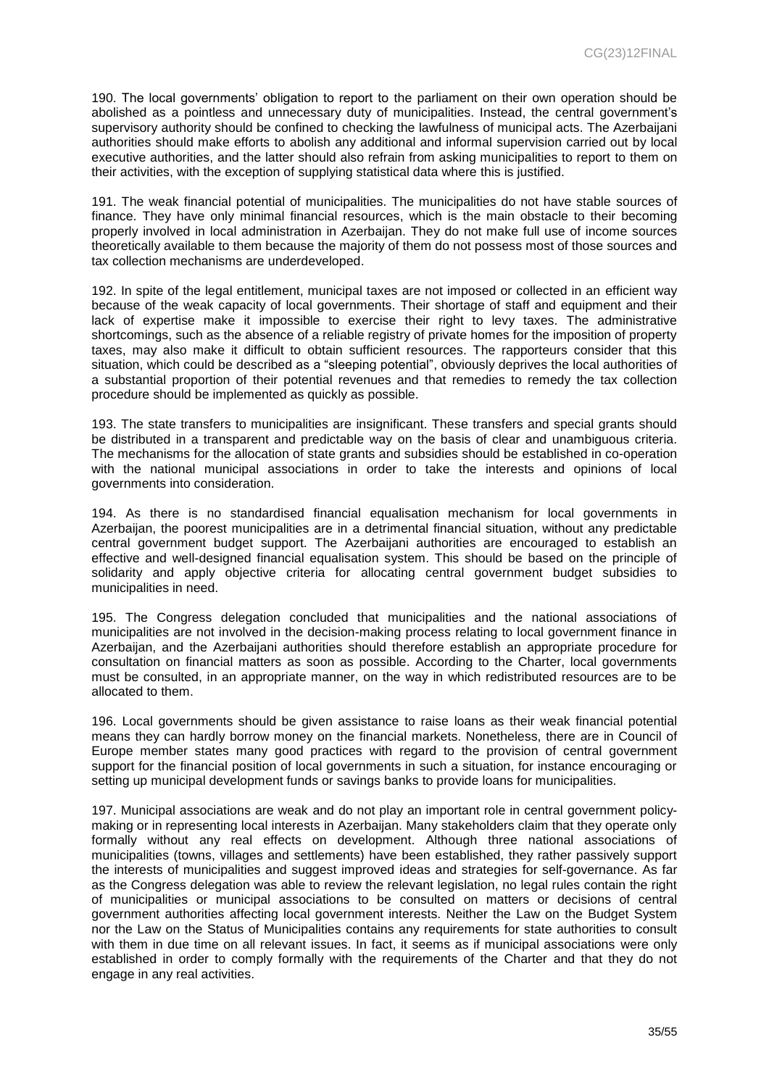190. The local governments' obligation to report to the parliament on their own operation should be abolished as a pointless and unnecessary duty of municipalities. Instead, the central government's supervisory authority should be confined to checking the lawfulness of municipal acts. The Azerbaijani authorities should make efforts to abolish any additional and informal supervision carried out by local executive authorities, and the latter should also refrain from asking municipalities to report to them on their activities, with the exception of supplying statistical data where this is justified.

191. The weak financial potential of municipalities. The municipalities do not have stable sources of finance. They have only minimal financial resources, which is the main obstacle to their becoming properly involved in local administration in Azerbaijan. They do not make full use of income sources theoretically available to them because the majority of them do not possess most of those sources and tax collection mechanisms are underdeveloped.

192. In spite of the legal entitlement, municipal taxes are not imposed or collected in an efficient way because of the weak capacity of local governments. Their shortage of staff and equipment and their lack of expertise make it impossible to exercise their right to levy taxes. The administrative shortcomings, such as the absence of a reliable registry of private homes for the imposition of property taxes, may also make it difficult to obtain sufficient resources. The rapporteurs consider that this situation, which could be described as a "sleeping potential", obviously deprives the local authorities of a substantial proportion of their potential revenues and that remedies to remedy the tax collection procedure should be implemented as quickly as possible.

193. The state transfers to municipalities are insignificant. These transfers and special grants should be distributed in a transparent and predictable way on the basis of clear and unambiguous criteria. The mechanisms for the allocation of state grants and subsidies should be established in co-operation with the national municipal associations in order to take the interests and opinions of local governments into consideration.

194. As there is no standardised financial equalisation mechanism for local governments in Azerbaijan, the poorest municipalities are in a detrimental financial situation, without any predictable central government budget support. The Azerbaijani authorities are encouraged to establish an effective and well-designed financial equalisation system. This should be based on the principle of solidarity and apply objective criteria for allocating central government budget subsidies to municipalities in need.

195. The Congress delegation concluded that municipalities and the national associations of municipalities are not involved in the decision-making process relating to local government finance in Azerbaijan, and the Azerbaijani authorities should therefore establish an appropriate procedure for consultation on financial matters as soon as possible. According to the Charter, local governments must be consulted, in an appropriate manner, on the way in which redistributed resources are to be allocated to them.

196. Local governments should be given assistance to raise loans as their weak financial potential means they can hardly borrow money on the financial markets. Nonetheless, there are in Council of Europe member states many good practices with regard to the provision of central government support for the financial position of local governments in such a situation, for instance encouraging or setting up municipal development funds or savings banks to provide loans for municipalities.

197. Municipal associations are weak and do not play an important role in central government policymaking or in representing local interests in Azerbaijan. Many stakeholders claim that they operate only formally without any real effects on development. Although three national associations of municipalities (towns, villages and settlements) have been established, they rather passively support the interests of municipalities and suggest improved ideas and strategies for self-governance. As far as the Congress delegation was able to review the relevant legislation, no legal rules contain the right of municipalities or municipal associations to be consulted on matters or decisions of central government authorities affecting local government interests. Neither the Law on the Budget System nor the Law on the Status of Municipalities contains any requirements for state authorities to consult with them in due time on all relevant issues. In fact, it seems as if municipal associations were only established in order to comply formally with the requirements of the Charter and that they do not engage in any real activities.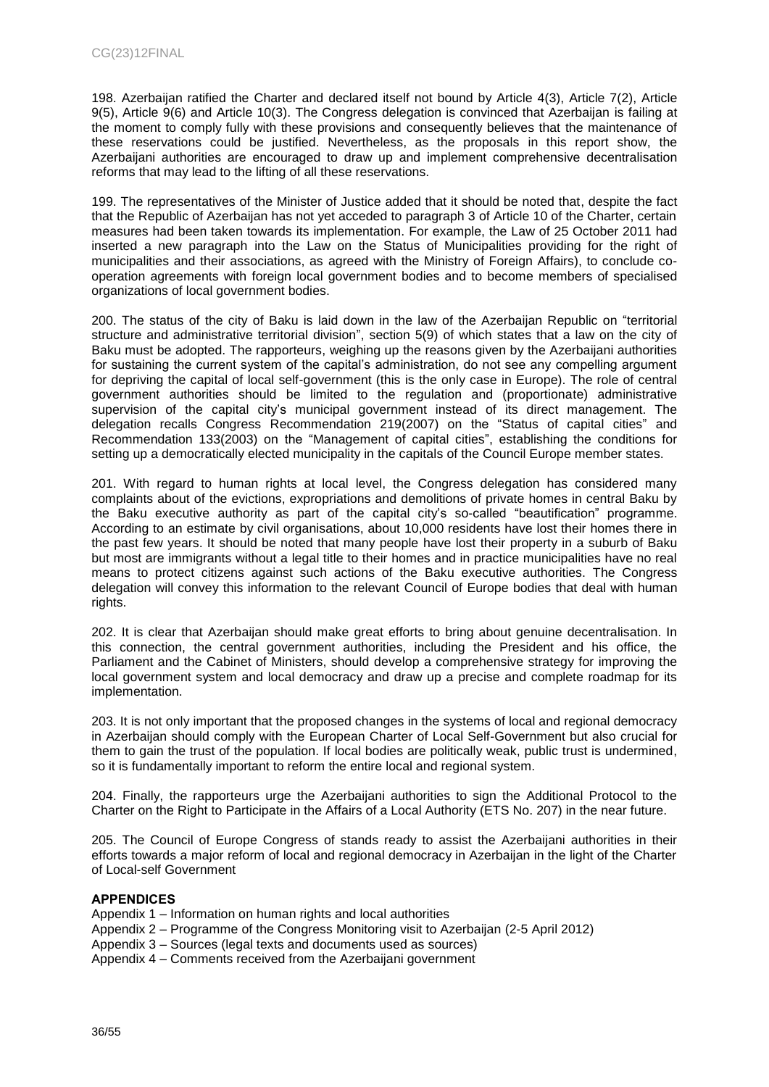198. Azerbaijan ratified the Charter and declared itself not bound by Article 4(3), Article 7(2), Article 9(5), Article 9(6) and Article 10(3). The Congress delegation is convinced that Azerbaijan is failing at the moment to comply fully with these provisions and consequently believes that the maintenance of these reservations could be justified. Nevertheless, as the proposals in this report show, the Azerbaijani authorities are encouraged to draw up and implement comprehensive decentralisation reforms that may lead to the lifting of all these reservations.

199. The representatives of the Minister of Justice added that it should be noted that, despite the fact that the Republic of Azerbaijan has not yet acceded to paragraph 3 of Article 10 of the Charter, certain measures had been taken towards its implementation. For example, the Law of 25 October 2011 had inserted a new paragraph into the Law on the Status of Municipalities providing for the right of municipalities and their associations, as agreed with the Ministry of Foreign Affairs), to conclude cooperation agreements with foreign local government bodies and to become members of specialised organizations of local government bodies.

200. The status of the city of Baku is laid down in the law of the Azerbaijan Republic on "territorial structure and administrative territorial division", section 5(9) of which states that a law on the city of Baku must be adopted. The rapporteurs, weighing up the reasons given by the Azerbaijani authorities for sustaining the current system of the capital's administration, do not see any compelling argument for depriving the capital of local self-government (this is the only case in Europe). The role of central government authorities should be limited to the regulation and (proportionate) administrative supervision of the capital city's municipal government instead of its direct management. The delegation recalls Congress Recommendation 219(2007) on the "Status of capital cities" and Recommendation 133(2003) on the "Management of capital cities", establishing the conditions for setting up a democratically elected municipality in the capitals of the Council Europe member states.

201. With regard to human rights at local level, the Congress delegation has considered many complaints about of the evictions, expropriations and demolitions of private homes in central Baku by the Baku executive authority as part of the capital city's so-called "beautification" programme. According to an estimate by civil organisations, about 10,000 residents have lost their homes there in the past few years. It should be noted that many people have lost their property in a suburb of Baku but most are immigrants without a legal title to their homes and in practice municipalities have no real means to protect citizens against such actions of the Baku executive authorities. The Congress delegation will convey this information to the relevant Council of Europe bodies that deal with human rights.

202. It is clear that Azerbaijan should make great efforts to bring about genuine decentralisation. In this connection, the central government authorities, including the President and his office, the Parliament and the Cabinet of Ministers, should develop a comprehensive strategy for improving the local government system and local democracy and draw up a precise and complete roadmap for its implementation.

203. It is not only important that the proposed changes in the systems of local and regional democracy in Azerbaijan should comply with the European Charter of Local Self-Government but also crucial for them to gain the trust of the population. If local bodies are politically weak, public trust is undermined, so it is fundamentally important to reform the entire local and regional system.

204. Finally, the rapporteurs urge the Azerbaijani authorities to sign the Additional Protocol to the Charter on the Right to Participate in the Affairs of a Local Authority (ETS No. 207) in the near future.

205. The Council of Europe Congress of stands ready to assist the Azerbaijani authorities in their efforts towards a major reform of local and regional democracy in Azerbaijan in the light of the Charter of Local-self Government

## **APPENDICES**

Appendix 1 – Information on human rights and local authorities

- Appendix 2 Programme of the Congress Monitoring visit to Azerbaijan (2-5 April 2012)
- Appendix 3 Sources (legal texts and documents used as sources)

Appendix 4 – Comments received from the Azerbaijani government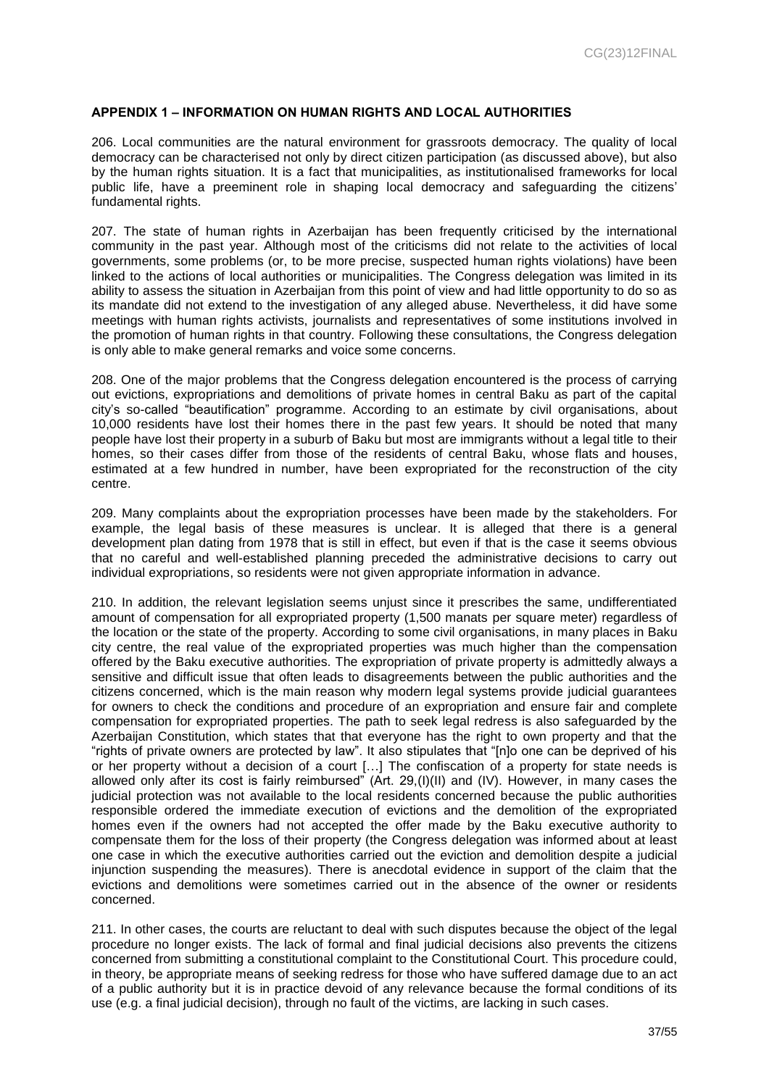#### <span id="page-36-0"></span>**APPENDIX 1 – INFORMATION ON HUMAN RIGHTS AND LOCAL AUTHORITIES**

206. Local communities are the natural environment for grassroots democracy. The quality of local democracy can be characterised not only by direct citizen participation (as discussed above), but also by the human rights situation. It is a fact that municipalities, as institutionalised frameworks for local public life, have a preeminent role in shaping local democracy and safeguarding the citizens' fundamental rights.

207. The state of human rights in Azerbaijan has been frequently criticised by the international community in the past year. Although most of the criticisms did not relate to the activities of local governments, some problems (or, to be more precise, suspected human rights violations) have been linked to the actions of local authorities or municipalities. The Congress delegation was limited in its ability to assess the situation in Azerbaijan from this point of view and had little opportunity to do so as its mandate did not extend to the investigation of any alleged abuse. Nevertheless, it did have some meetings with human rights activists, journalists and representatives of some institutions involved in the promotion of human rights in that country. Following these consultations, the Congress delegation is only able to make general remarks and voice some concerns.

208. One of the major problems that the Congress delegation encountered is the process of carrying out evictions, expropriations and demolitions of private homes in central Baku as part of the capital city's so-called "beautification" programme. According to an estimate by civil organisations, about 10,000 residents have lost their homes there in the past few years. It should be noted that many people have lost their property in a suburb of Baku but most are immigrants without a legal title to their homes, so their cases differ from those of the residents of central Baku, whose flats and houses, estimated at a few hundred in number, have been expropriated for the reconstruction of the city centre.

209. Many complaints about the expropriation processes have been made by the stakeholders. For example, the legal basis of these measures is unclear. It is alleged that there is a general development plan dating from 1978 that is still in effect, but even if that is the case it seems obvious that no careful and well-established planning preceded the administrative decisions to carry out individual expropriations, so residents were not given appropriate information in advance.

210. In addition, the relevant legislation seems unjust since it prescribes the same, undifferentiated amount of compensation for all expropriated property (1,500 manats per square meter) regardless of the location or the state of the property. According to some civil organisations, in many places in Baku city centre, the real value of the expropriated properties was much higher than the compensation offered by the Baku executive authorities. The expropriation of private property is admittedly always a sensitive and difficult issue that often leads to disagreements between the public authorities and the citizens concerned, which is the main reason why modern legal systems provide judicial guarantees for owners to check the conditions and procedure of an expropriation and ensure fair and complete compensation for expropriated properties. The path to seek legal redress is also safeguarded by the Azerbaijan Constitution, which states that that everyone has the right to own property and that the "rights of private owners are protected by law". It also stipulates that "[n]o one can be deprived of his or her property without a decision of a court […] The confiscation of a property for state needs is allowed only after its cost is fairly reimbursed" (Art. 29,(I)(II) and (IV). However, in many cases the judicial protection was not available to the local residents concerned because the public authorities responsible ordered the immediate execution of evictions and the demolition of the expropriated homes even if the owners had not accepted the offer made by the Baku executive authority to compensate them for the loss of their property (the Congress delegation was informed about at least one case in which the executive authorities carried out the eviction and demolition despite a judicial injunction suspending the measures). There is anecdotal evidence in support of the claim that the evictions and demolitions were sometimes carried out in the absence of the owner or residents concerned.

211. In other cases, the courts are reluctant to deal with such disputes because the object of the legal procedure no longer exists. The lack of formal and final judicial decisions also prevents the citizens concerned from submitting a constitutional complaint to the Constitutional Court. This procedure could, in theory, be appropriate means of seeking redress for those who have suffered damage due to an act of a public authority but it is in practice devoid of any relevance because the formal conditions of its use (e.g. a final judicial decision), through no fault of the victims, are lacking in such cases.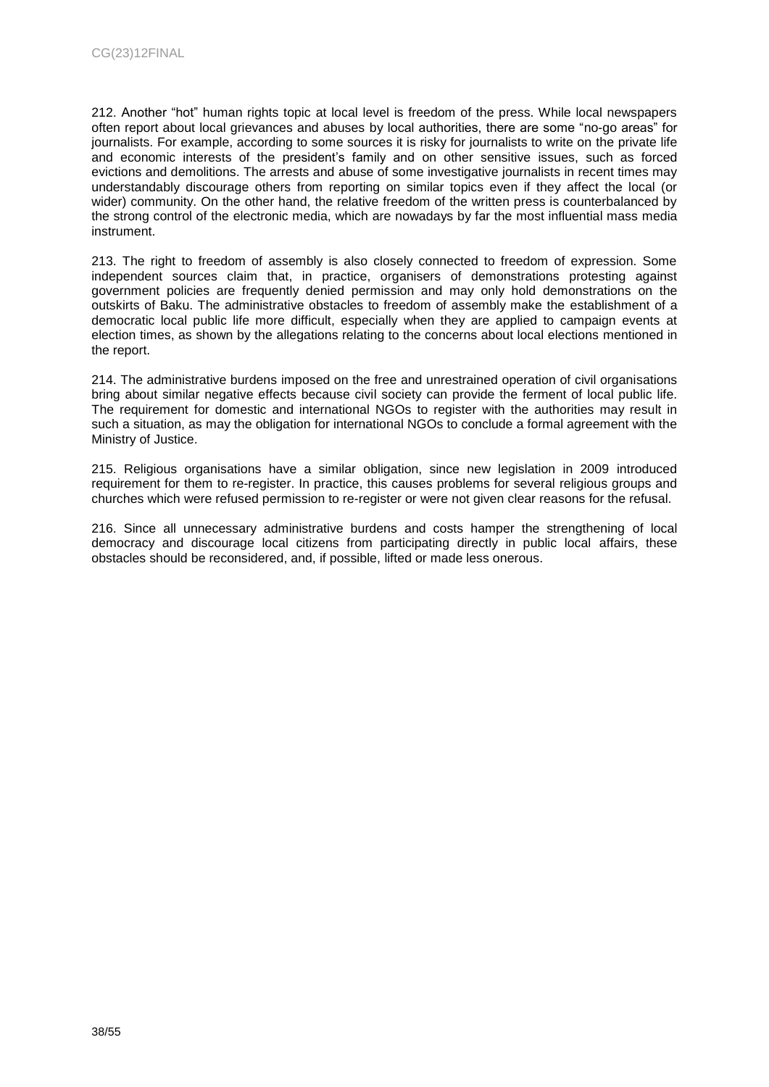212. Another "hot" human rights topic at local level is freedom of the press. While local newspapers often report about local grievances and abuses by local authorities, there are some "no-go areas" for journalists. For example, according to some sources it is risky for journalists to write on the private life and economic interests of the president's family and on other sensitive issues, such as forced evictions and demolitions. The arrests and abuse of some investigative journalists in recent times may understandably discourage others from reporting on similar topics even if they affect the local (or wider) community. On the other hand, the relative freedom of the written press is counterbalanced by the strong control of the electronic media, which are nowadays by far the most influential mass media instrument.

213. The right to freedom of assembly is also closely connected to freedom of expression. Some independent sources claim that, in practice, organisers of demonstrations protesting against government policies are frequently denied permission and may only hold demonstrations on the outskirts of Baku. The administrative obstacles to freedom of assembly make the establishment of a democratic local public life more difficult, especially when they are applied to campaign events at election times, as shown by the allegations relating to the concerns about local elections mentioned in the report.

214. The administrative burdens imposed on the free and unrestrained operation of civil organisations bring about similar negative effects because civil society can provide the ferment of local public life. The requirement for domestic and international NGOs to register with the authorities may result in such a situation, as may the obligation for international NGOs to conclude a formal agreement with the Ministry of Justice.

215. Religious organisations have a similar obligation, since new legislation in 2009 introduced requirement for them to re-register. In practice, this causes problems for several religious groups and churches which were refused permission to re-register or were not given clear reasons for the refusal.

216. Since all unnecessary administrative burdens and costs hamper the strengthening of local democracy and discourage local citizens from participating directly in public local affairs, these obstacles should be reconsidered, and, if possible, lifted or made less onerous.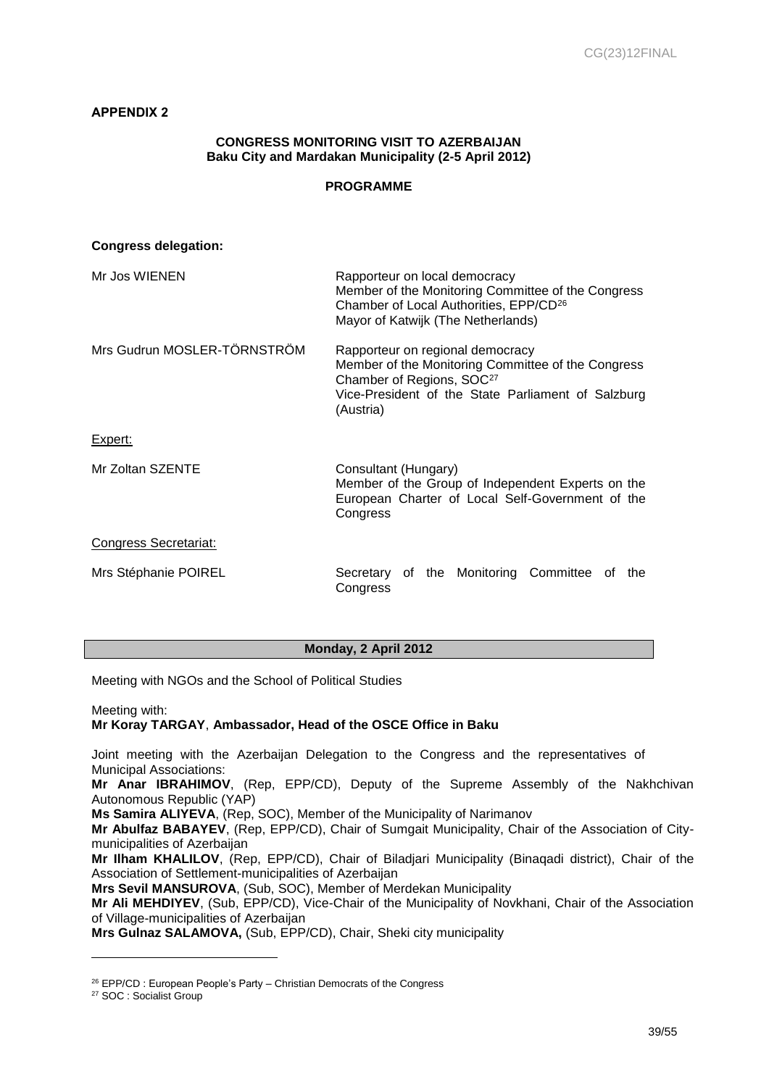## <span id="page-38-0"></span>**APPENDIX 2**

## **CONGRESS MONITORING VISIT TO AZERBAIJAN Baku City and Mardakan Municipality (2-5 April 2012)**

## **PROGRAMME**

| <b>Congress delegation:</b>  |                                                                                                                                                                                                    |
|------------------------------|----------------------------------------------------------------------------------------------------------------------------------------------------------------------------------------------------|
| Mr Jos WIENEN                | Rapporteur on local democracy<br>Member of the Monitoring Committee of the Congress<br>Chamber of Local Authorities, EPP/CD <sup>26</sup><br>Mayor of Katwijk (The Netherlands)                    |
| Mrs Gudrun MOSLER-TÖRNSTRÖM  | Rapporteur on regional democracy<br>Member of the Monitoring Committee of the Congress<br>Chamber of Regions, SOC <sup>27</sup><br>Vice-President of the State Parliament of Salzburg<br>(Austria) |
| Expert:                      |                                                                                                                                                                                                    |
| Mr Zoltan SZENTE             | Consultant (Hungary)<br>Member of the Group of Independent Experts on the<br>European Charter of Local Self-Government of the<br>Congress                                                          |
| <b>Congress Secretariat:</b> |                                                                                                                                                                                                    |
| Mrs Stéphanie POIREL         | Secretary of the Monitoring Committee of<br>the<br>Congress                                                                                                                                        |

## **Monday, 2 April 2012**

Meeting with NGOs and the School of Political Studies

Meeting with:

## **Mr Koray TARGAY**, **Ambassador, Head of the OSCE Office in Baku**

Joint meeting with the Azerbaijan Delegation to the Congress and the representatives of Municipal Associations:

**Mr Anar IBRAHIMOV**, (Rep, EPP/CD), Deputy of the Supreme Assembly of the Nakhchivan Autonomous Republic (YAP)

**Ms Samira ALIYEVA**, (Rep, SOC), Member of the Municipality of Narimanov

**Mr Abulfaz BABAYEV**, (Rep, EPP/CD), Chair of Sumgait Municipality, Chair of the Association of Citymunicipalities of Azerbaijan

**Mr Ilham KHALILOV**, (Rep, EPP/CD), Chair of Biladjari Municipality (Binaqadi district), Chair of the Association of Settlement-municipalities of Azerbaijan

**Mrs Sevil MANSUROVA**, (Sub, SOC), Member of Merdekan Municipality

**Mr Ali MEHDIYEV**, (Sub, EPP/CD), Vice-Chair of the Municipality of Novkhani, Chair of the Association of Village-municipalities of Azerbaijan

**Mrs Gulnaz SALAMOVA,** (Sub, EPP/CD), Chair, Sheki city municipality

<sup>&</sup>lt;sup>26</sup> EPP/CD : European People's Party – Christian Democrats of the Congress

<sup>27</sup> SOC : Socialist Group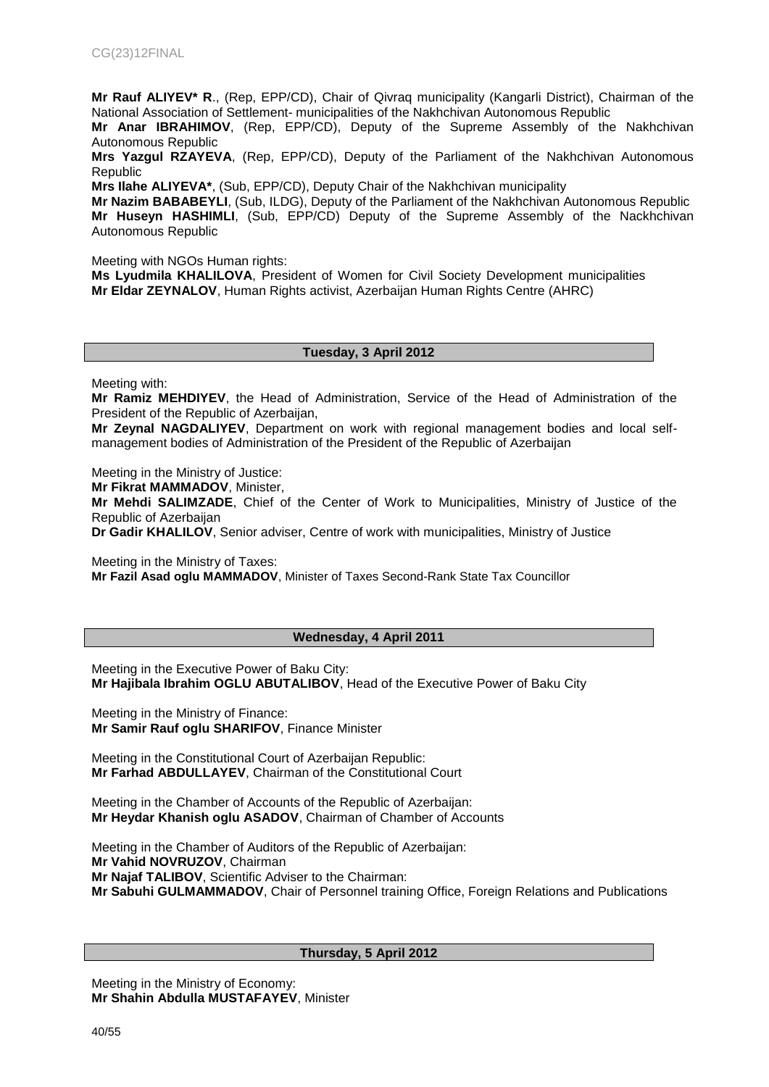**Mr Rauf ALIYEV\* R**., (Rep, EPP/CD), Chair of Qivraq municipality (Kangarli District), Chairman of the National Association of Settlement- municipalities of the Nakhchivan Autonomous Republic

**Mr Anar IBRAHIMOV**, (Rep, EPP/CD), Deputy of the Supreme Assembly of the Nakhchivan Autonomous Republic

**Mrs Yazgul RZAYEVA**, (Rep, EPP/CD), Deputy of the Parliament of the Nakhchivan Autonomous Republic

**Mrs Ilahe ALIYEVA\***, (Sub, EPP/CD), Deputy Chair of the Nakhchivan municipality

**Mr Nazim BABABEYLI**, (Sub, ILDG), Deputy of the Parliament of the Nakhchivan Autonomous Republic Mr Huseyn HASHIMLI, (Sub, EPP/CD) Deputy of the Supreme Assembly of the Nackhchivan Autonomous Republic

Meeting with NGOs Human rights:

**Ms Lyudmila KHALILOVA**, President of Women for Civil Society Development municipalities **Mr Eldar ZEYNALOV**, Human Rights activist, Azerbaijan Human Rights Centre (AHRC)

#### **Tuesday, 3 April 2012**

Meeting with:

**Mr Ramiz MEHDIYEV**, the Head of Administration, Service of the Head of Administration of the President of the Republic of Azerbaijan,

**Mr Zeynal NAGDALIYEV**, Department on work with regional management bodies and local selfmanagement bodies of Administration of the President of the Republic of Azerbaijan

Meeting in the Ministry of Justice:

**Mr Fikrat MAMMADOV**, Minister,

**Mr Mehdi SALIMZADE**, Chief of the Center of Work to Municipalities, Ministry of Justice of the Republic of Azerbaijan

**Dr Gadir KHALILOV**, Senior adviser, Centre of work with municipalities, Ministry of Justice

Meeting in the Ministry of Taxes:

**Mr Fazil Asad oglu MAMMADOV**, Minister of Taxes Second-Rank State Tax Councillor

#### **Wednesday, 4 April 2011**

Meeting in the Executive Power of Baku City: **Mr Hajibala Ibrahim OGLU ABUTALIBOV**, Head of the Executive Power of Baku City

Meeting in the Ministry of Finance: **Mr Samir Rauf oglu SHARIFOV**, Finance Minister

Meeting in the Constitutional Court of Azerbaijan Republic: **Mr Farhad ABDULLAYEV**, Chairman of the Constitutional Court

Meeting in the Chamber of Accounts of the Republic of Azerbaijan: **Mr Heydar Khanish oglu ASADOV**, Chairman of Chamber of Accounts

Meeting in the Chamber of Auditors of the Republic of Azerbaijan: **Mr Vahid NOVRUZOV**, Chairman **Mr Najaf TALIBOV**, Scientific Adviser to the Chairman: **Mr Sabuhi GULMAMMADOV**, Chair of Personnel training Office, Foreign Relations and Publications

#### **Thursday, 5 April 2012**

Meeting in the Ministry of Economy: **Mr Shahin Abdulla MUSTAFAYEV**, Minister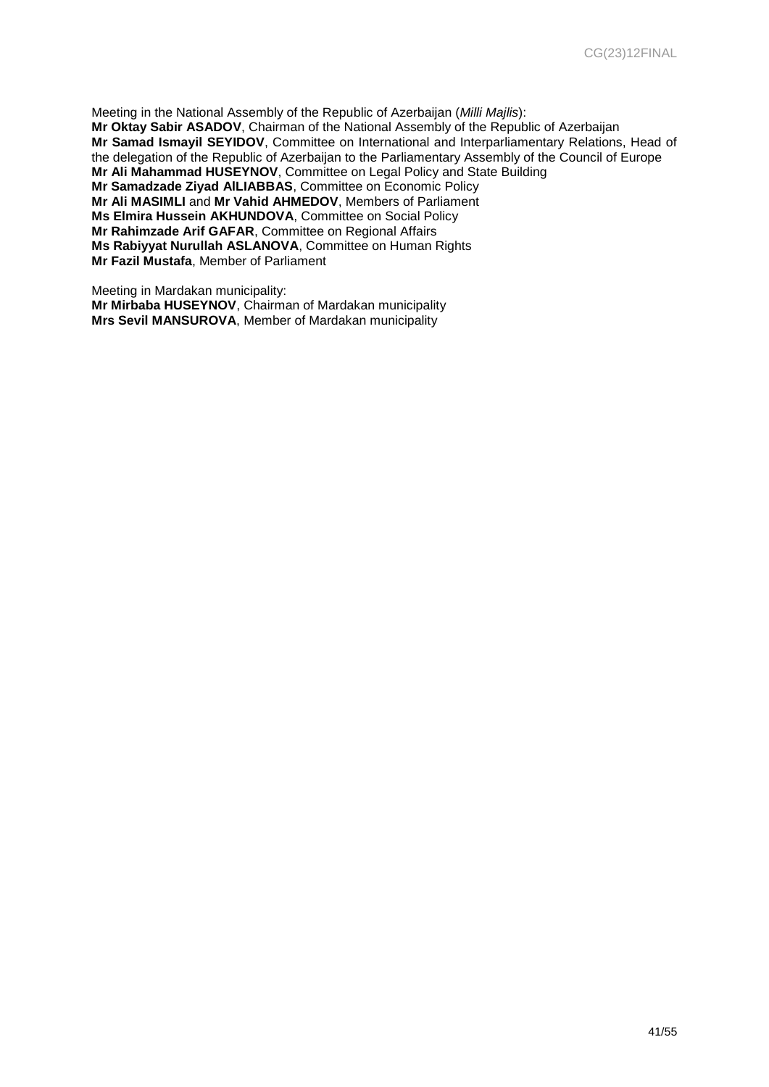Meeting in the National Assembly of the Republic of Azerbaijan (*Milli Majlis*): **Mr Oktay Sabir ASADOV**, Chairman of the National Assembly of the Republic of Azerbaijan **Mr Samad Ismayil SEYIDOV**, Committee on International and Interparliamentary Relations, Head of the delegation of the Republic of Azerbaijan to the Parliamentary Assembly of the Council of Europe **Mr Ali Mahammad HUSEYNOV**, Committee on Legal Policy and State Building **Mr Samadzade Ziyad AlLIABBAS**, Committee on Economic Policy **Mr Ali MASIMLI** and **Mr Vahid AHMEDOV**, Members of Parliament **Ms Elmira Hussein AKHUNDOVA**, Committee on Social Policy **Mr Rahimzade Arif GAFAR**, Committee on Regional Affairs **Ms Rabiyyat Nurullah ASLANOVA**, Committee on Human Rights **Mr Fazil Mustafa**, Member of Parliament

Meeting in Mardakan municipality: **Mr Mirbaba HUSEYNOV**, Chairman of Mardakan municipality **Mrs Sevil MANSUROVA**, Member of Mardakan municipality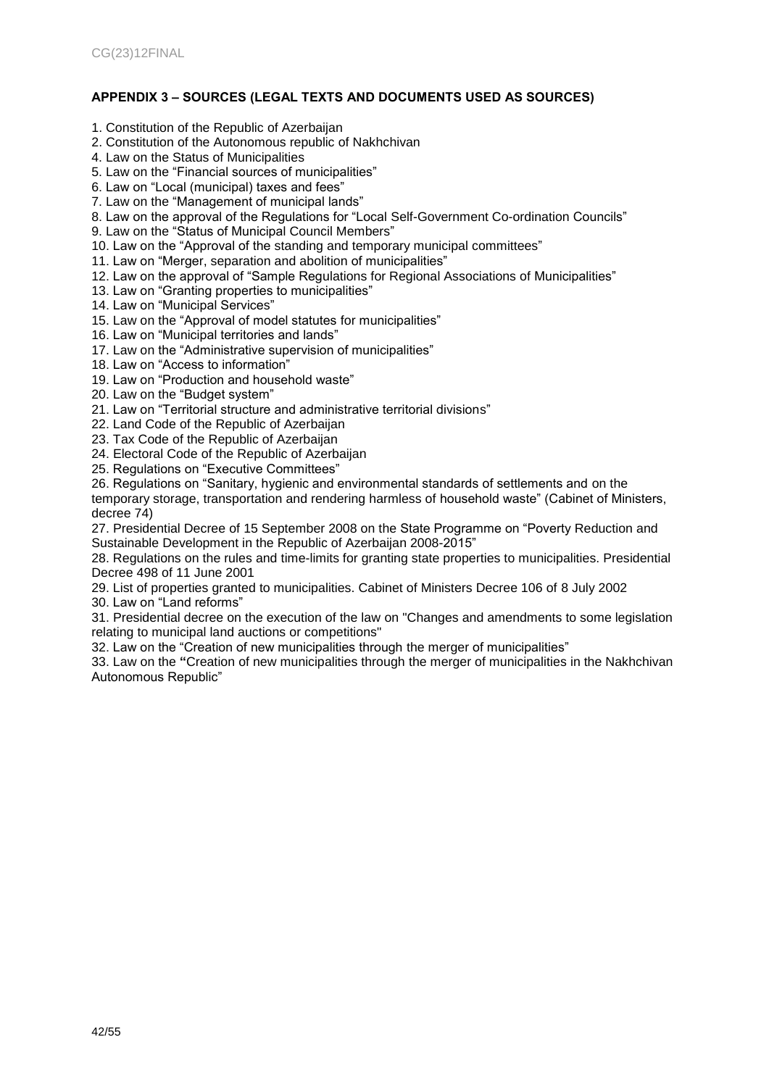## <span id="page-41-0"></span>**APPENDIX 3 – SOURCES (LEGAL TEXTS AND DOCUMENTS USED AS SOURCES)**

- 1. Constitution of the Republic of Azerbaijan
- 2. Constitution of the Autonomous republic of Nakhchivan
- 4. Law on the Status of Municipalities
- 5. Law on the "Financial sources of municipalities"
- 6. Law on "Local (municipal) taxes and fees"
- 7. Law on the "Management of municipal lands"
- 8. Law on the approval of the Regulations for "Local Self-Government Co-ordination Councils"
- 9. Law on the "Status of Municipal Council Members"
- 10. Law on the "Approval of the standing and temporary municipal committees"
- 11. Law on "Merger, separation and abolition of municipalities"
- 12. Law on the approval of "Sample Regulations for Regional Associations of Municipalities"
- 13. Law on "Granting properties to municipalities"
- 14. Law on "Municipal Services"
- 15. Law on the "Approval of model statutes for municipalities"
- 16. Law on "Municipal territories and lands"
- 17. Law on the "Administrative supervision of municipalities"
- 18. Law on "Access to information"
- 19. Law on "Production and household waste"
- 20. Law on the "Budget system"
- 21. Law on "Territorial structure and administrative territorial divisions"
- 22. Land Code of the Republic of Azerbaijan
- 23. Tax Code of the Republic of Azerbaijan
- 24. Electoral Code of the Republic of Azerbaijan
- 25. Regulations on "Executive Committees"
- 26. Regulations on "Sanitary, hygienic and environmental standards of settlements and on the

temporary storage, transportation and rendering harmless of household waste" (Cabinet of Ministers, decree 74)

27. Presidential Decree of 15 September 2008 on the State Programme on "Poverty Reduction and Sustainable Development in the Republic of Azerbaijan 2008-2015"

28. Regulations on the rules and time-limits for granting state properties to municipalities. Presidential Decree 498 of 11 June 2001

29. List of properties granted to municipalities. Cabinet of Ministers Decree 106 of 8 July 2002

30. Law on "Land reforms"

31. Presidential decree on the execution of the law on "Changes and amendments to some legislation relating to municipal land auctions or competitions"

32. Law on the "Creation of new municipalities through the merger of municipalities"

33. Law on the **"**Creation of new municipalities through the merger of municipalities in the Nakhchivan Autonomous Republic"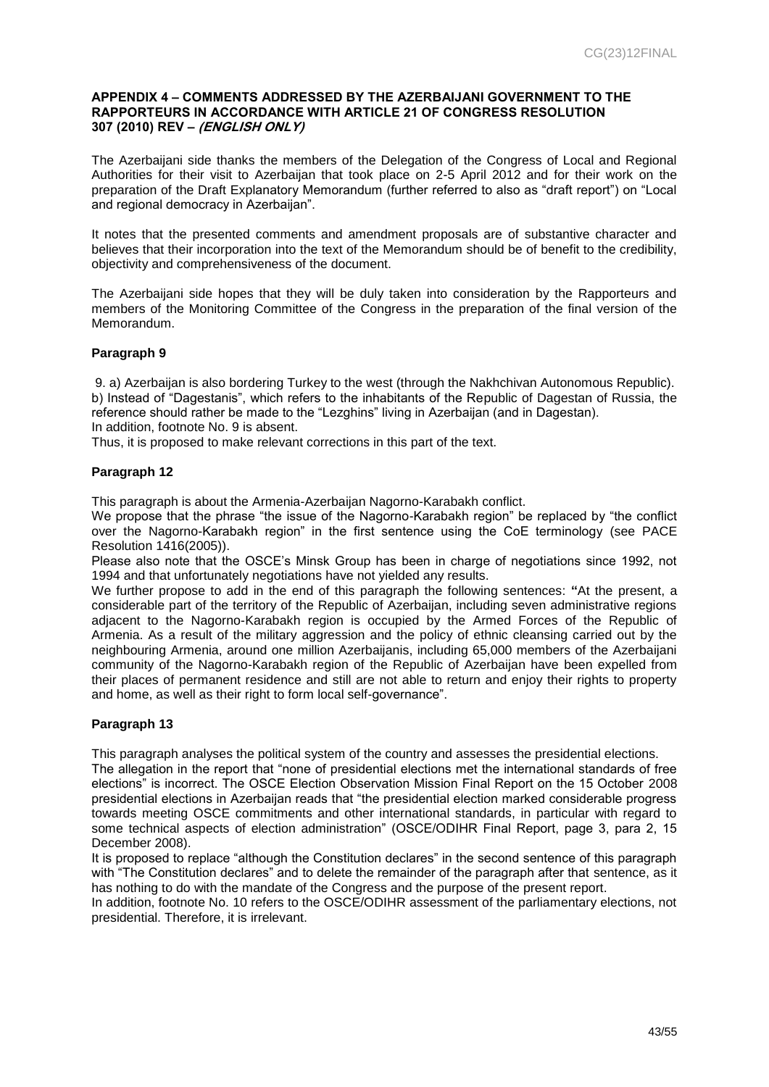#### <span id="page-42-0"></span>**APPENDIX 4 – COMMENTS ADDRESSED BY THE AZERBAIJANI GOVERNMENT TO THE RAPPORTEURS IN ACCORDANCE WITH ARTICLE 21 OF CONGRESS RESOLUTION 307 (2010) REV – (ENGLISH ONLY)**

The Azerbaijani side thanks the members of the Delegation of the Congress of Local and Regional Authorities for their visit to Azerbaijan that took place on 2-5 April 2012 and for their work on the preparation of the Draft Explanatory Memorandum (further referred to also as "draft report") on "Local and regional democracy in Azerbaijan".

It notes that the presented comments and amendment proposals are of substantive character and believes that their incorporation into the text of the Memorandum should be of benefit to the credibility, objectivity and comprehensiveness of the document.

The Azerbaijani side hopes that they will be duly taken into consideration by the Rapporteurs and members of the Monitoring Committee of the Congress in the preparation of the final version of the Memorandum.

#### **Paragraph 9**

9. a) Azerbaijan is also bordering Turkey to the west (through the Nakhchivan Autonomous Republic). b) Instead of "Dagestanis", which refers to the inhabitants of the Republic of Dagestan of Russia, the reference should rather be made to the "Lezghins" living in Azerbaijan (and in Dagestan). In addition, footnote No. 9 is absent.

Thus, it is proposed to make relevant corrections in this part of the text.

#### **Paragraph 12**

This paragraph is about the Armenia-Azerbaijan Nagorno-Karabakh conflict.

We propose that the phrase "the issue of the Nagorno-Karabakh region" be replaced by "the conflict over the Nagorno-Karabakh region" in the first sentence using the CoE terminology (see PACE Resolution 1416(2005)).

Please also note that the OSCE's Minsk Group has been in charge of negotiations since 1992, not 1994 and that unfortunately negotiations have not yielded any results.

We further propose to add in the end of this paragraph the following sentences: **"**At the present, a considerable part of the territory of the Republic of Azerbaijan, including seven administrative regions adjacent to the Nagorno-Karabakh region is occupied by the Armed Forces of the Republic of Armenia. As a result of the military aggression and the policy of ethnic cleansing carried out by the neighbouring Armenia, around one million Azerbaijanis, including 65,000 members of the Azerbaijani community of the Nagorno-Karabakh region of the Republic of Azerbaijan have been expelled from their places of permanent residence and still are not able to return and enjoy their rights to property and home, as well as their right to form local self-governance".

#### **Paragraph 13**

This paragraph analyses the political system of the country and assesses the presidential elections.

The allegation in the report that "none of presidential elections met the international standards of free elections" is incorrect. The OSCE Election Observation Mission Final Report on the 15 October 2008 presidential elections in Azerbaijan reads that "the presidential election marked considerable progress towards meeting OSCE commitments and other international standards, in particular with regard to some technical aspects of election administration" (OSCE/ODIHR Final Report, page 3, para 2, 15 December 2008).

It is proposed to replace "although the Constitution declares" in the second sentence of this paragraph with "The Constitution declares" and to delete the remainder of the paragraph after that sentence, as it has nothing to do with the mandate of the Congress and the purpose of the present report.

In addition, footnote No. 10 refers to the OSCE/ODIHR assessment of the parliamentary elections, not presidential. Therefore, it is irrelevant.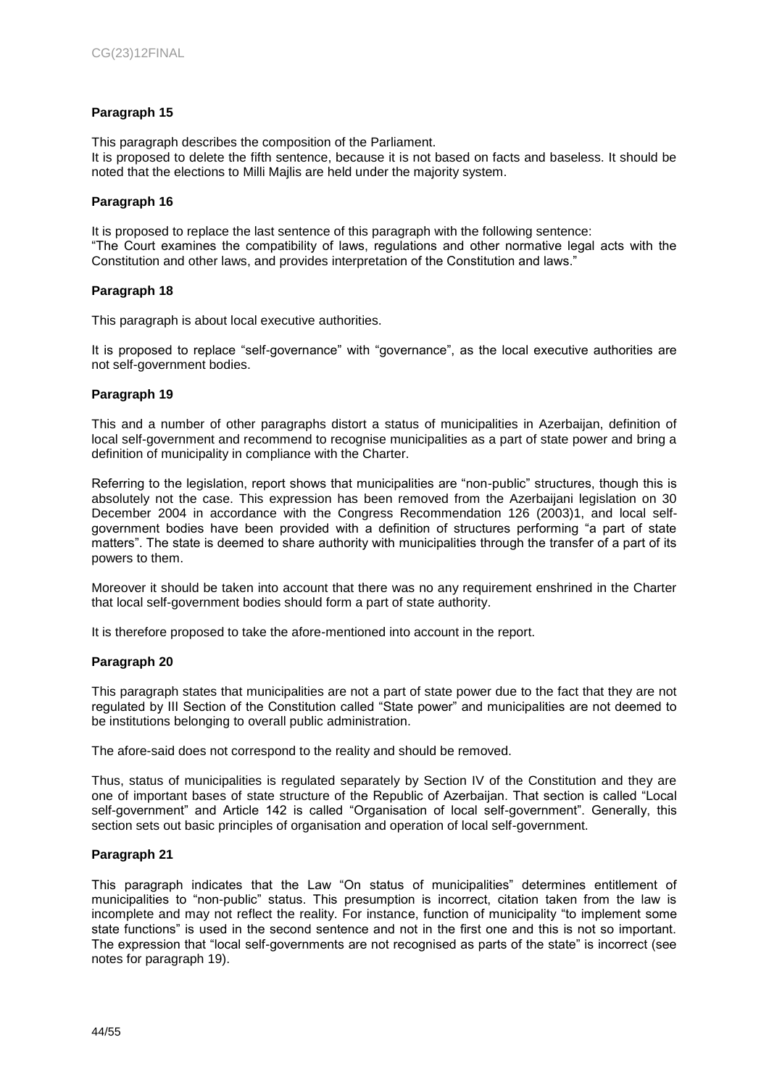#### **Paragraph 15**

This paragraph describes the composition of the Parliament. It is proposed to delete the fifth sentence, because it is not based on facts and baseless. It should be noted that the elections to Milli Majlis are held under the majority system.

#### **Paragraph 16**

It is proposed to replace the last sentence of this paragraph with the following sentence: "The Court examines the compatibility of laws, regulations and other normative legal acts with the Constitution and other laws, and provides interpretation of the Constitution and laws."

#### **Paragraph 18**

This paragraph is about local executive authorities.

It is proposed to replace "self-governance" with "governance", as the local executive authorities are not self-government bodies.

#### **Paragraph 19**

This and a number of other paragraphs distort a status of municipalities in Azerbaijan, definition of local self-government and recommend to recognise municipalities as a part of state power and bring a definition of municipality in compliance with the Charter.

Referring to the legislation, report shows that municipalities are "non-public" structures, though this is absolutely not the case. This expression has been removed from the Azerbaijani legislation on 30 December 2004 in accordance with the Congress Recommendation 126 (2003)1, and local selfgovernment bodies have been provided with a definition of structures performing "a part of state matters". The state is deemed to share authority with municipalities through the transfer of a part of its powers to them.

Moreover it should be taken into account that there was no any requirement enshrined in the Charter that local self-government bodies should form a part of state authority.

It is therefore proposed to take the afore-mentioned into account in the report.

#### **Paragraph 20**

This paragraph states that municipalities are not a part of state power due to the fact that they are not regulated by III Section of the Constitution called "State power" and municipalities are not deemed to be institutions belonging to overall public administration.

The afore-said does not correspond to the reality and should be removed.

Thus, status of municipalities is regulated separately by Section IV of the Constitution and they are one of important bases of state structure of the Republic of Azerbaijan. That section is called "Local self-government" and Article 142 is called "Organisation of local self-government". Generally, this section sets out basic principles of organisation and operation of local self-government.

#### **Paragraph 21**

This paragraph indicates that the Law "On status of municipalities" determines entitlement of municipalities to "non-public" status. This presumption is incorrect, citation taken from the law is incomplete and may not reflect the reality. For instance, function of municipality "to implement some state functions" is used in the second sentence and not in the first one and this is not so important. The expression that "local self-governments are not recognised as parts of the state" is incorrect (see notes for paragraph 19).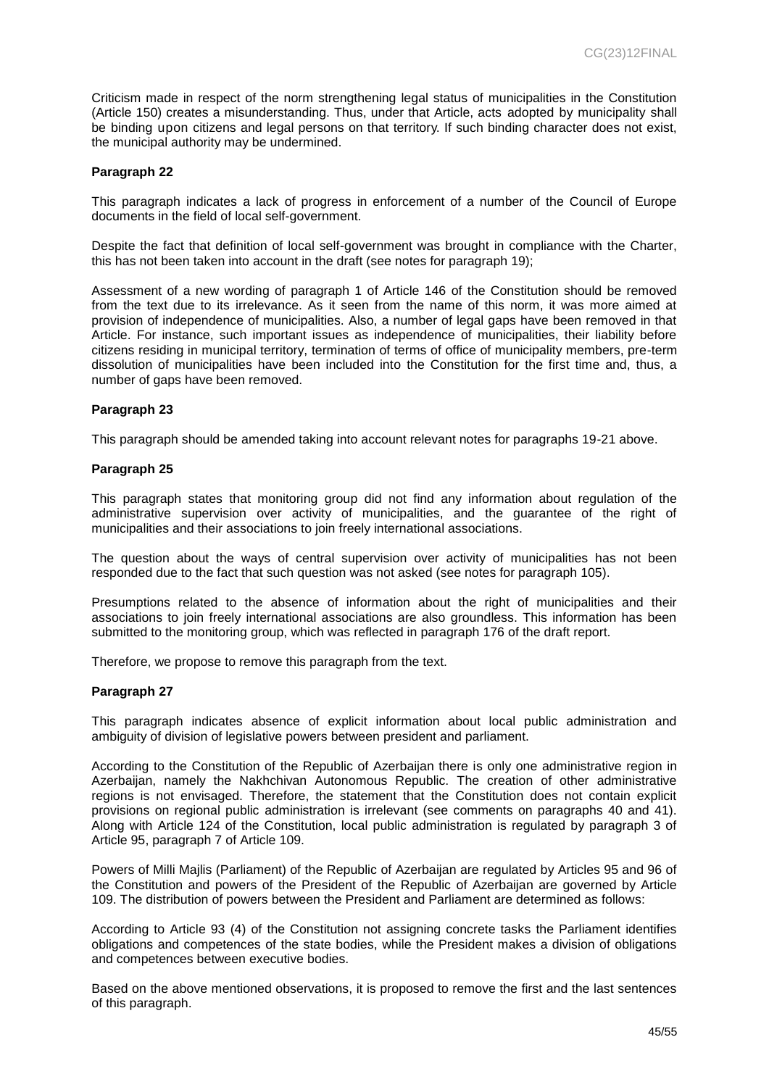Criticism made in respect of the norm strengthening legal status of municipalities in the Constitution (Article 150) creates a misunderstanding. Thus, under that Article, acts adopted by municipality shall be binding upon citizens and legal persons on that territory. If such binding character does not exist, the municipal authority may be undermined.

#### **Paragraph 22**

This paragraph indicates a lack of progress in enforcement of a number of the Council of Europe documents in the field of local self-government.

Despite the fact that definition of local self-government was brought in compliance with the Charter, this has not been taken into account in the draft (see notes for paragraph 19);

Assessment of a new wording of paragraph 1 of Article 146 of the Constitution should be removed from the text due to its irrelevance. As it seen from the name of this norm, it was more aimed at provision of independence of municipalities. Also, a number of legal gaps have been removed in that Article. For instance, such important issues as independence of municipalities, their liability before citizens residing in municipal territory, termination of terms of office of municipality members, pre-term dissolution of municipalities have been included into the Constitution for the first time and, thus, a number of gaps have been removed.

#### **Paragraph 23**

This paragraph should be amended taking into account relevant notes for paragraphs 19-21 above.

#### **Paragraph 25**

This paragraph states that monitoring group did not find any information about regulation of the administrative supervision over activity of municipalities, and the guarantee of the right of municipalities and their associations to join freely international associations.

The question about the ways of central supervision over activity of municipalities has not been responded due to the fact that such question was not asked (see notes for paragraph 105).

Presumptions related to the absence of information about the right of municipalities and their associations to join freely international associations are also groundless. This information has been submitted to the monitoring group, which was reflected in paragraph 176 of the draft report.

Therefore, we propose to remove this paragraph from the text.

#### **Paragraph 27**

This paragraph indicates absence of explicit information about local public administration and ambiguity of division of legislative powers between president and parliament.

According to the Constitution of the Republic of Azerbaijan there is only one administrative region in Azerbaijan, namely the Nakhchivan Autonomous Republic. The creation of other administrative regions is not envisaged. Therefore, the statement that the Constitution does not contain explicit provisions on regional public administration is irrelevant (see comments on paragraphs 40 and 41). Along with Article 124 of the Constitution, local public administration is regulated by paragraph 3 of Article 95, paragraph 7 of Article 109.

Powers of Milli Majlis (Parliament) of the Republic of Azerbaijan are regulated by Articles 95 and 96 of the Constitution and powers of the President of the Republic of Azerbaijan are governed by Article 109. The distribution of powers between the President and Parliament are determined as follows:

According to Article 93 (4) of the Constitution not assigning concrete tasks the Parliament identifies obligations and competences of the state bodies, while the President makes a division of obligations and competences between executive bodies.

Based on the above mentioned observations, it is proposed to remove the first and the last sentences of this paragraph.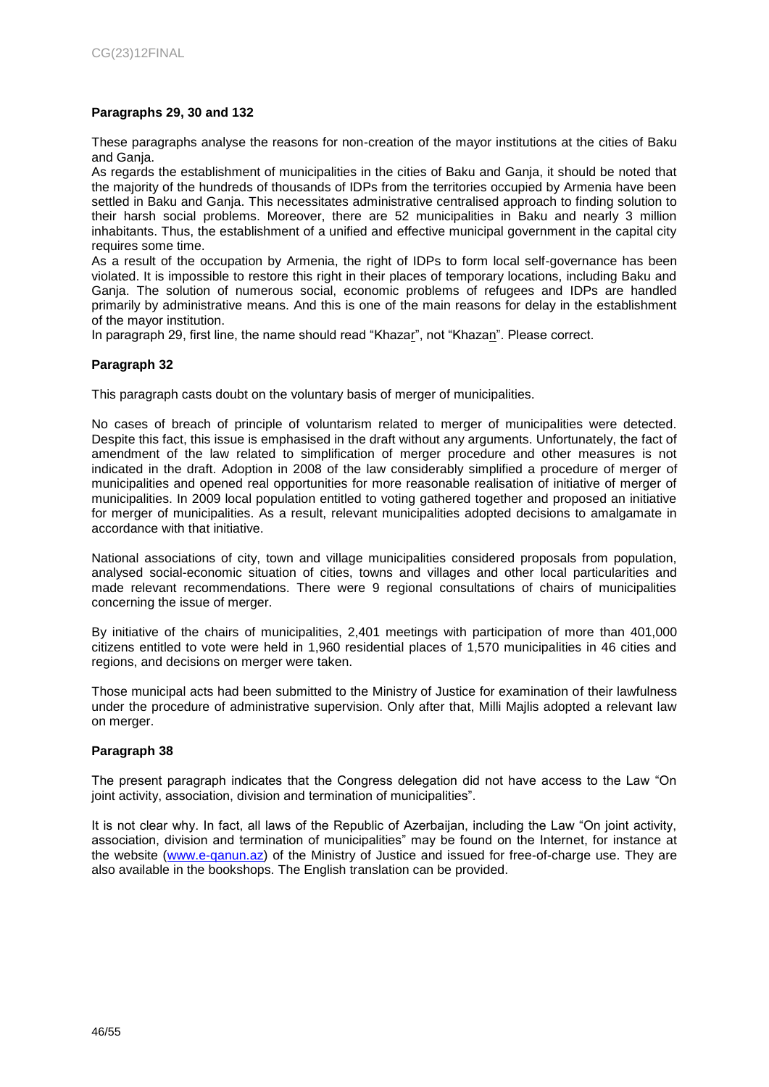#### **Paragraphs 29, 30 and 132**

These paragraphs analyse the reasons for non-creation of the mayor institutions at the cities of Baku and Ganja.

As regards the establishment of municipalities in the cities of Baku and Ganja, it should be noted that the majority of the hundreds of thousands of IDPs from the territories occupied by Armenia have been settled in Baku and Ganja. This necessitates administrative centralised approach to finding solution to their harsh social problems. Moreover, there are 52 municipalities in Baku and nearly 3 million inhabitants. Thus, the establishment of a unified and effective municipal government in the capital city requires some time.

As a result of the occupation by Armenia, the right of IDPs to form local self-governance has been violated. It is impossible to restore this right in their places of temporary locations, including Baku and Ganja. The solution of numerous social, economic problems of refugees and IDPs are handled primarily by administrative means. And this is one of the main reasons for delay in the establishment of the mayor institution.

In paragraph 29, first line, the name should read "Khazar", not "Khazan". Please correct.

#### **Paragraph 32**

This paragraph casts doubt on the voluntary basis of merger of municipalities.

No cases of breach of principle of voluntarism related to merger of municipalities were detected. Despite this fact, this issue is emphasised in the draft without any arguments. Unfortunately, the fact of amendment of the law related to simplification of merger procedure and other measures is not indicated in the draft. Adoption in 2008 of the law considerably simplified a procedure of merger of municipalities and opened real opportunities for more reasonable realisation of initiative of merger of municipalities. In 2009 local population entitled to voting gathered together and proposed an initiative for merger of municipalities. As a result, relevant municipalities adopted decisions to amalgamate in accordance with that initiative.

National associations of city, town and village municipalities considered proposals from population, analysed social-economic situation of cities, towns and villages and other local particularities and made relevant recommendations. There were 9 regional consultations of chairs of municipalities concerning the issue of merger.

By initiative of the chairs of municipalities, 2,401 meetings with participation of more than 401,000 citizens entitled to vote were held in 1,960 residential places of 1,570 municipalities in 46 cities and regions, and decisions on merger were taken.

Those municipal acts had been submitted to the Ministry of Justice for examination of their lawfulness under the procedure of administrative supervision. Only after that, Milli Majlis adopted a relevant law on merger.

#### **Paragraph 38**

The present paragraph indicates that the Congress delegation did not have access to the Law "On joint activity, association, division and termination of municipalities".

It is not clear why. In fact, all laws of the Republic of Azerbaijan, including the Law "On joint activity, association, division and termination of municipalities" may be found on the Internet, for instance at the website [\(www.e-qanun.az\)](http://www.e-qanun.az/) of the Ministry of Justice and issued for free-of-charge use. They are also available in the bookshops. The English translation can be provided.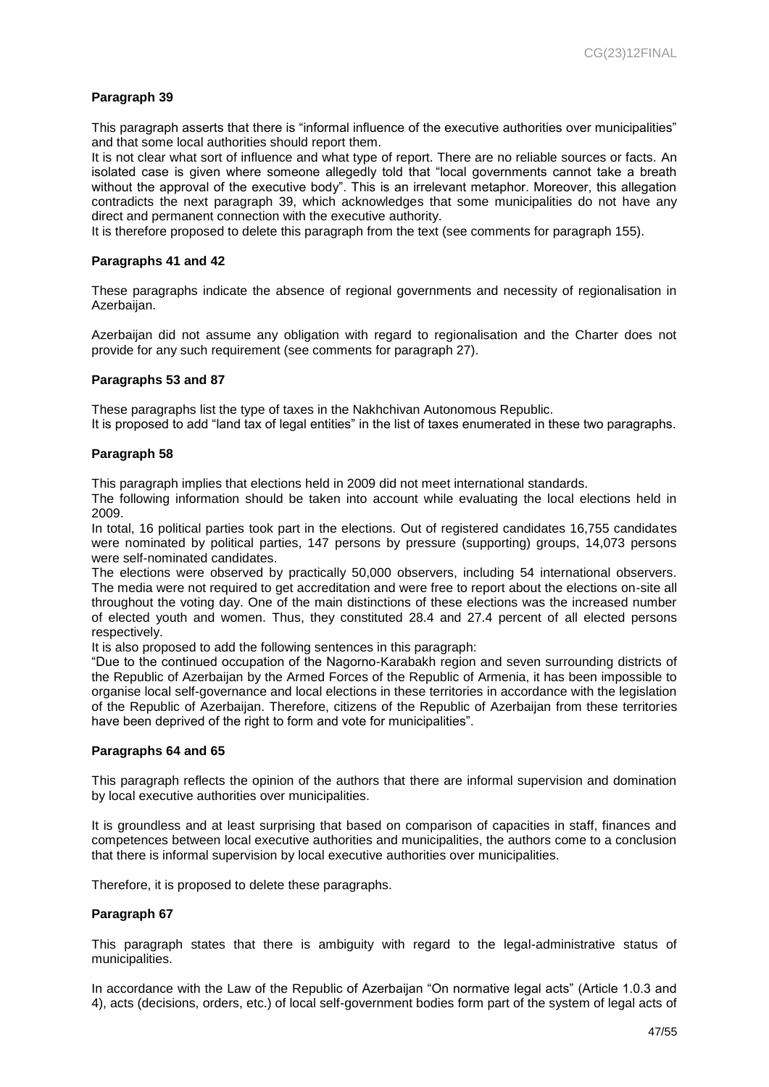#### **Paragraph 39**

This paragraph asserts that there is "informal influence of the executive authorities over municipalities" and that some local authorities should report them.

It is not clear what sort of influence and what type of report. There are no reliable sources or facts. An isolated case is given where someone allegedly told that "local governments cannot take a breath without the approval of the executive body". This is an irrelevant metaphor. Moreover, this allegation contradicts the next paragraph 39, which acknowledges that some municipalities do not have any direct and permanent connection with the executive authority.

It is therefore proposed to delete this paragraph from the text (see comments for paragraph 155).

#### **Paragraphs 41 and 42**

These paragraphs indicate the absence of regional governments and necessity of regionalisation in Azerbaijan.

Azerbaijan did not assume any obligation with regard to regionalisation and the Charter does not provide for any such requirement (see comments for paragraph 27).

#### **Paragraphs 53 and 87**

These paragraphs list the type of taxes in the Nakhchivan Autonomous Republic. It is proposed to add "land tax of legal entities" in the list of taxes enumerated in these two paragraphs.

#### **Paragraph 58**

This paragraph implies that elections held in 2009 did not meet international standards.

The following information should be taken into account while evaluating the local elections held in 2009.

In total, 16 political parties took part in the elections. Out of registered candidates 16,755 candidates were nominated by political parties, 147 persons by pressure (supporting) groups, 14,073 persons were self-nominated candidates.

The elections were observed by practically 50,000 observers, including 54 international observers. The media were not required to get accreditation and were free to report about the elections on-site all throughout the voting day. One of the main distinctions of these elections was the increased number of elected youth and women. Thus, they constituted 28.4 and 27.4 percent of all elected persons respectively.

It is also proposed to add the following sentences in this paragraph:

"Due to the continued occupation of the Nagorno-Karabakh region and seven surrounding districts of the Republic of Azerbaijan by the Armed Forces of the Republic of Armenia, it has been impossible to organise local self-governance and local elections in these territories in accordance with the legislation of the Republic of Azerbaijan. Therefore, citizens of the Republic of Azerbaijan from these territories have been deprived of the right to form and vote for municipalities".

#### **Paragraphs 64 and 65**

This paragraph reflects the opinion of the authors that there are informal supervision and domination by local executive authorities over municipalities.

It is groundless and at least surprising that based on comparison of capacities in staff, finances and competences between local executive authorities and municipalities, the authors come to a conclusion that there is informal supervision by local executive authorities over municipalities.

Therefore, it is proposed to delete these paragraphs.

#### **Paragraph 67**

This paragraph states that there is ambiguity with regard to the legal-administrative status of municipalities.

In accordance with the Law of the Republic of Azerbaijan "On normative legal acts" (Article 1.0.3 and 4), acts (decisions, orders, etc.) of local self-government bodies form part of the system of legal acts of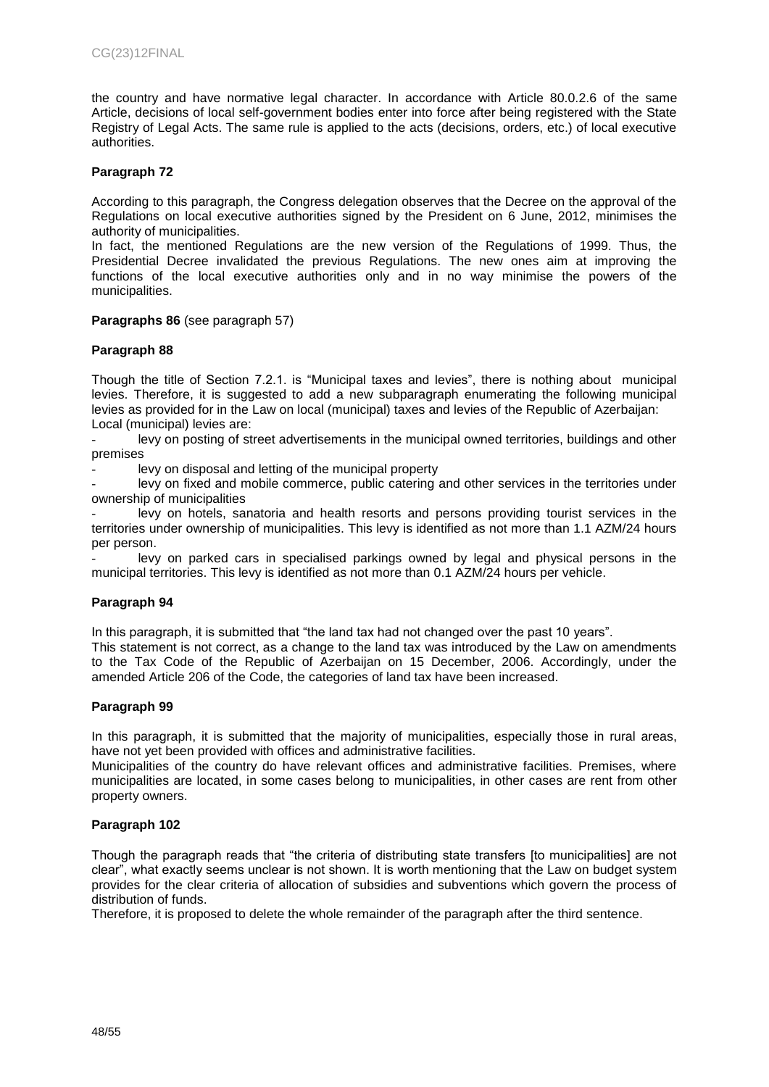the country and have normative legal character. In accordance with Article 80.0.2.6 of the same Article, decisions of local self-government bodies enter into force after being registered with the State Registry of Legal Acts. The same rule is applied to the acts (decisions, orders, etc.) of local executive authorities.

#### **Paragraph 72**

According to this paragraph, the Congress delegation observes that the Decree on the approval of the Regulations on local executive authorities signed by the President on 6 June, 2012, minimises the authority of municipalities.

In fact, the mentioned Regulations are the new version of the Regulations of 1999. Thus, the Presidential Decree invalidated the previous Regulations. The new ones aim at improving the functions of the local executive authorities only and in no way minimise the powers of the municipalities.

#### **Paragraphs 86** (see paragraph 57)

#### **Paragraph 88**

Though the title of Section 7.2.1. is "Municipal taxes and levies", there is nothing about municipal levies. Therefore, it is suggested to add a new subparagraph enumerating the following municipal levies as provided for in the Law on local (municipal) taxes and levies of the Republic of Azerbaijan: Local (municipal) levies are:

levy on posting of street advertisements in the municipal owned territories, buildings and other premises

levy on disposal and letting of the municipal property

levy on fixed and mobile commerce, public catering and other services in the territories under ownership of municipalities

levy on hotels, sanatoria and health resorts and persons providing tourist services in the territories under ownership of municipalities. This levy is identified as not more than 1.1 AZM/24 hours per person.

levy on parked cars in specialised parkings owned by legal and physical persons in the municipal territories. This levy is identified as not more than 0.1 AZM/24 hours per vehicle.

#### **Paragraph 94**

In this paragraph, it is submitted that "the land tax had not changed over the past 10 years".

This statement is not correct, as a change to the land tax was introduced by the Law on amendments to the Tax Code of the Republic of Azerbaijan on 15 December, 2006. Accordingly, under the amended Article 206 of the Code, the categories of land tax have been increased.

#### **Paragraph 99**

In this paragraph, it is submitted that the majority of municipalities, especially those in rural areas, have not yet been provided with offices and administrative facilities.

Municipalities of the country do have relevant offices and administrative facilities. Premises, where municipalities are located, in some cases belong to municipalities, in other cases are rent from other property owners.

#### **Paragraph 102**

Though the paragraph reads that "the criteria of distributing state transfers [to municipalities] are not clear", what exactly seems unclear is not shown. It is worth mentioning that the Law on budget system provides for the clear criteria of allocation of subsidies and subventions which govern the process of distribution of funds.

Therefore, it is proposed to delete the whole remainder of the paragraph after the third sentence.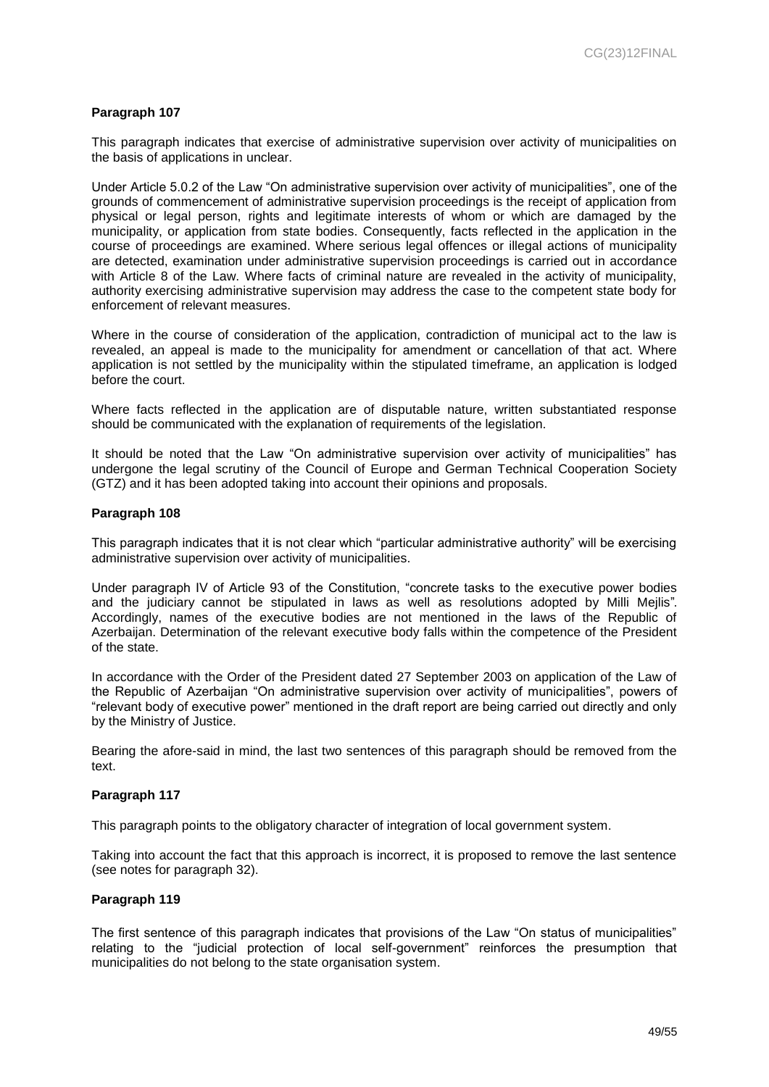#### **Paragraph 107**

This paragraph indicates that exercise of administrative supervision over activity of municipalities on the basis of applications in unclear.

Under Article 5.0.2 of the Law "On administrative supervision over activity of municipalities", one of the grounds of commencement of administrative supervision proceedings is the receipt of application from physical or legal person, rights and legitimate interests of whom or which are damaged by the municipality, or application from state bodies. Consequently, facts reflected in the application in the course of proceedings are examined. Where serious legal offences or illegal actions of municipality are detected, examination under administrative supervision proceedings is carried out in accordance with Article 8 of the Law. Where facts of criminal nature are revealed in the activity of municipality, authority exercising administrative supervision may address the case to the competent state body for enforcement of relevant measures.

Where in the course of consideration of the application, contradiction of municipal act to the law is revealed, an appeal is made to the municipality for amendment or cancellation of that act. Where application is not settled by the municipality within the stipulated timeframe, an application is lodged before the court.

Where facts reflected in the application are of disputable nature, written substantiated response should be communicated with the explanation of requirements of the legislation.

It should be noted that the Law "On administrative supervision over activity of municipalities" has undergone the legal scrutiny of the Council of Europe and German Technical Cooperation Society (GTZ) and it has been adopted taking into account their opinions and proposals.

#### **Paragraph 108**

This paragraph indicates that it is not clear which "particular administrative authority" will be exercising administrative supervision over activity of municipalities.

Under paragraph IV of Article 93 of the Constitution, "concrete tasks to the executive power bodies and the judiciary cannot be stipulated in laws as well as resolutions adopted by Milli Mejlis". Accordingly, names of the executive bodies are not mentioned in the laws of the Republic of Azerbaijan. Determination of the relevant executive body falls within the competence of the President of the state.

In accordance with the Order of the President dated 27 September 2003 on application of the Law of the Republic of Azerbaijan "On administrative supervision over activity of municipalities", powers of "relevant body of executive power" mentioned in the draft report are being carried out directly and only by the Ministry of Justice.

Bearing the afore-said in mind, the last two sentences of this paragraph should be removed from the text.

#### **Paragraph 117**

This paragraph points to the obligatory character of integration of local government system.

Taking into account the fact that this approach is incorrect, it is proposed to remove the last sentence (see notes for paragraph 32).

## **Paragraph 119**

The first sentence of this paragraph indicates that provisions of the Law "On status of municipalities" relating to the "judicial protection of local self-government" reinforces the presumption that municipalities do not belong to the state organisation system.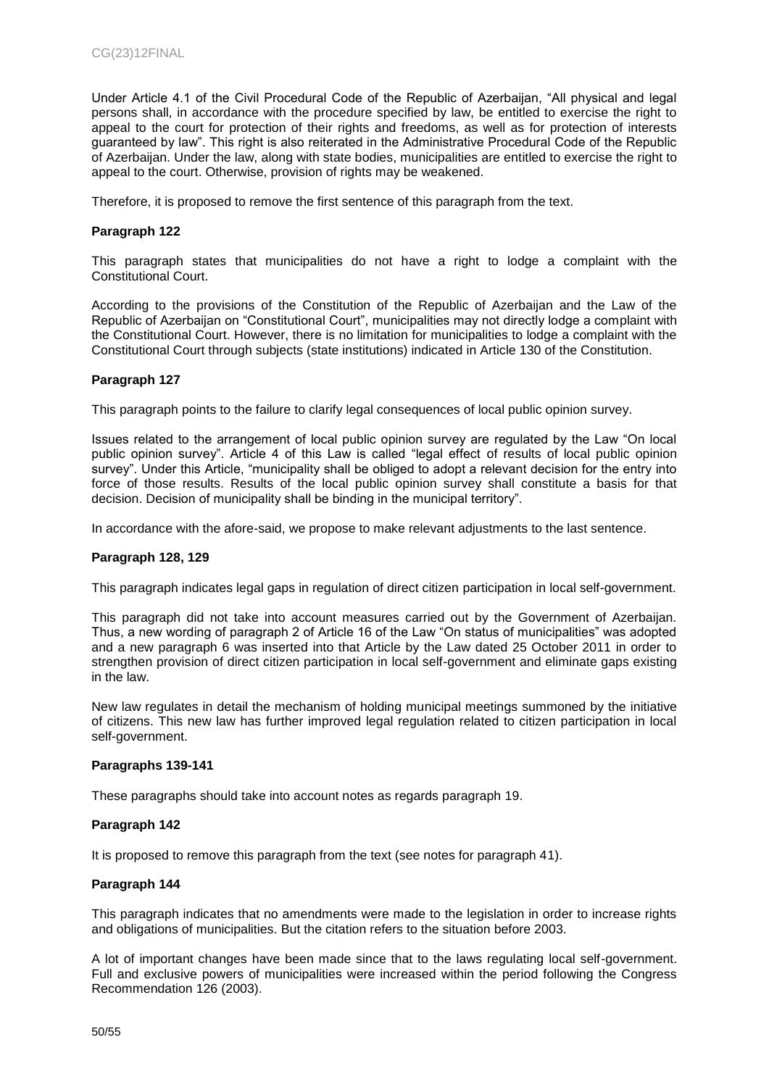Under Article 4.1 of the Civil Procedural Code of the Republic of Azerbaijan, "All physical and legal persons shall, in accordance with the procedure specified by law, be entitled to exercise the right to appeal to the court for protection of their rights and freedoms, as well as for protection of interests guaranteed by law". This right is also reiterated in the Administrative Procedural Code of the Republic of Azerbaijan. Under the law, along with state bodies, municipalities are entitled to exercise the right to appeal to the court. Otherwise, provision of rights may be weakened.

Therefore, it is proposed to remove the first sentence of this paragraph from the text.

#### **Paragraph 122**

This paragraph states that municipalities do not have a right to lodge a complaint with the Constitutional Court.

According to the provisions of the Constitution of the Republic of Azerbaijan and the Law of the Republic of Azerbaijan on "Constitutional Court", municipalities may not directly lodge a complaint with the Constitutional Court. However, there is no limitation for municipalities to lodge a complaint with the Constitutional Court through subjects (state institutions) indicated in Article 130 of the Constitution.

#### **Paragraph 127**

This paragraph points to the failure to clarify legal consequences of local public opinion survey.

Issues related to the arrangement of local public opinion survey are regulated by the Law "On local public opinion survey". Article 4 of this Law is called "legal effect of results of local public opinion survey". Under this Article, "municipality shall be obliged to adopt a relevant decision for the entry into force of those results. Results of the local public opinion survey shall constitute a basis for that decision. Decision of municipality shall be binding in the municipal territory".

In accordance with the afore-said, we propose to make relevant adjustments to the last sentence.

#### **Paragraph 128, 129**

This paragraph indicates legal gaps in regulation of direct citizen participation in local self-government.

This paragraph did not take into account measures carried out by the Government of Azerbaijan. Thus, a new wording of paragraph 2 of Article 16 of the Law "On status of municipalities" was adopted and a new paragraph 6 was inserted into that Article by the Law dated 25 October 2011 in order to strengthen provision of direct citizen participation in local self-government and eliminate gaps existing in the law.

New law regulates in detail the mechanism of holding municipal meetings summoned by the initiative of citizens. This new law has further improved legal regulation related to citizen participation in local self-government.

#### **Paragraphs 139-141**

These paragraphs should take into account notes as regards paragraph 19.

#### **Paragraph 142**

It is proposed to remove this paragraph from the text (see notes for paragraph 41).

#### **Paragraph 144**

This paragraph indicates that no amendments were made to the legislation in order to increase rights and obligations of municipalities. But the citation refers to the situation before 2003.

A lot of important changes have been made since that to the laws regulating local self-government. Full and exclusive powers of municipalities were increased within the period following the Congress Recommendation 126 (2003).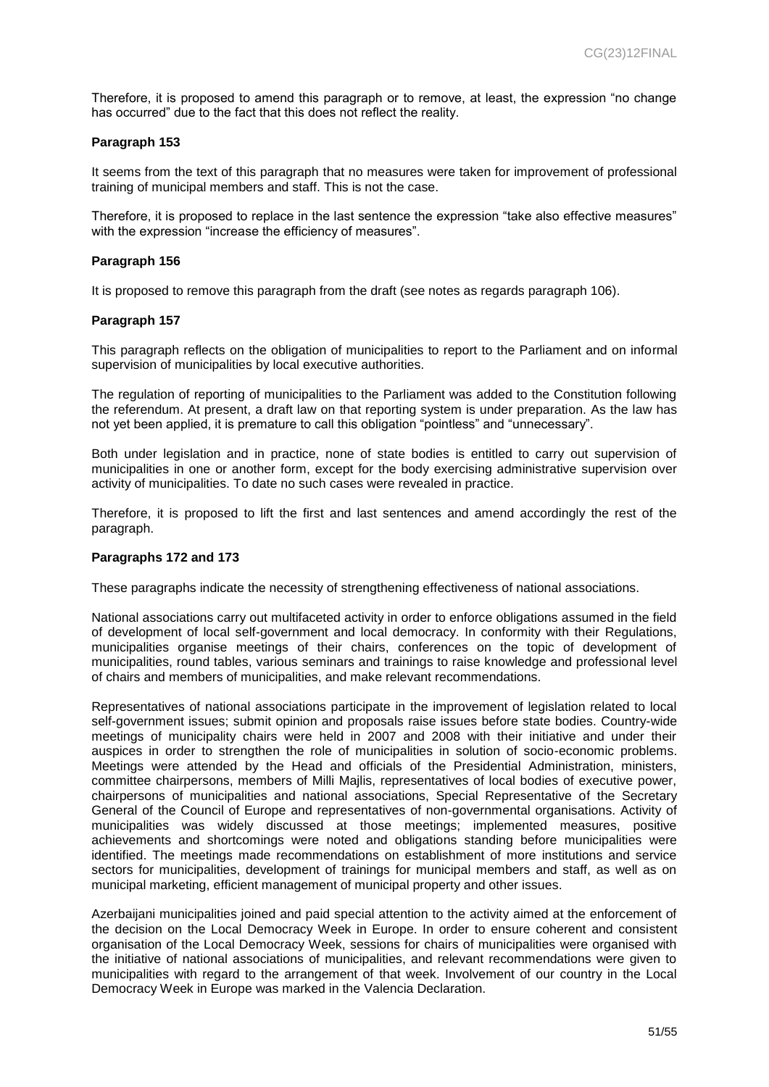Therefore, it is proposed to amend this paragraph or to remove, at least, the expression "no change has occurred" due to the fact that this does not reflect the reality.

#### **Paragraph 153**

It seems from the text of this paragraph that no measures were taken for improvement of professional training of municipal members and staff. This is not the case.

Therefore, it is proposed to replace in the last sentence the expression "take also effective measures" with the expression "increase the efficiency of measures".

#### **Paragraph 156**

It is proposed to remove this paragraph from the draft (see notes as regards paragraph 106).

#### **Paragraph 157**

This paragraph reflects on the obligation of municipalities to report to the Parliament and on informal supervision of municipalities by local executive authorities.

The regulation of reporting of municipalities to the Parliament was added to the Constitution following the referendum. At present, a draft law on that reporting system is under preparation. As the law has not yet been applied, it is premature to call this obligation "pointless" and "unnecessary".

Both under legislation and in practice, none of state bodies is entitled to carry out supervision of municipalities in one or another form, except for the body exercising administrative supervision over activity of municipalities. To date no such cases were revealed in practice.

Therefore, it is proposed to lift the first and last sentences and amend accordingly the rest of the paragraph.

#### **Paragraphs 172 and 173**

These paragraphs indicate the necessity of strengthening effectiveness of national associations.

National associations carry out multifaceted activity in order to enforce obligations assumed in the field of development of local self-government and local democracy. In conformity with their Regulations, municipalities organise meetings of their chairs, conferences on the topic of development of municipalities, round tables, various seminars and trainings to raise knowledge and professional level of chairs and members of municipalities, and make relevant recommendations.

Representatives of national associations participate in the improvement of legislation related to local self-government issues; submit opinion and proposals raise issues before state bodies. Country-wide meetings of municipality chairs were held in 2007 and 2008 with their initiative and under their auspices in order to strengthen the role of municipalities in solution of socio-economic problems. Meetings were attended by the Head and officials of the Presidential Administration, ministers, committee chairpersons, members of Milli Majlis, representatives of local bodies of executive power, chairpersons of municipalities and national associations, Special Representative of the Secretary General of the Council of Europe and representatives of non-governmental organisations. Activity of municipalities was widely discussed at those meetings; implemented measures, positive achievements and shortcomings were noted and obligations standing before municipalities were identified. The meetings made recommendations on establishment of more institutions and service sectors for municipalities, development of trainings for municipal members and staff, as well as on municipal marketing, efficient management of municipal property and other issues.

Azerbaijani municipalities joined and paid special attention to the activity aimed at the enforcement of the decision on the Local Democracy Week in Europe. In order to ensure coherent and consistent organisation of the Local Democracy Week, sessions for chairs of municipalities were organised with the initiative of national associations of municipalities, and relevant recommendations were given to municipalities with regard to the arrangement of that week. Involvement of our country in the Local Democracy Week in Europe was marked in the Valencia Declaration.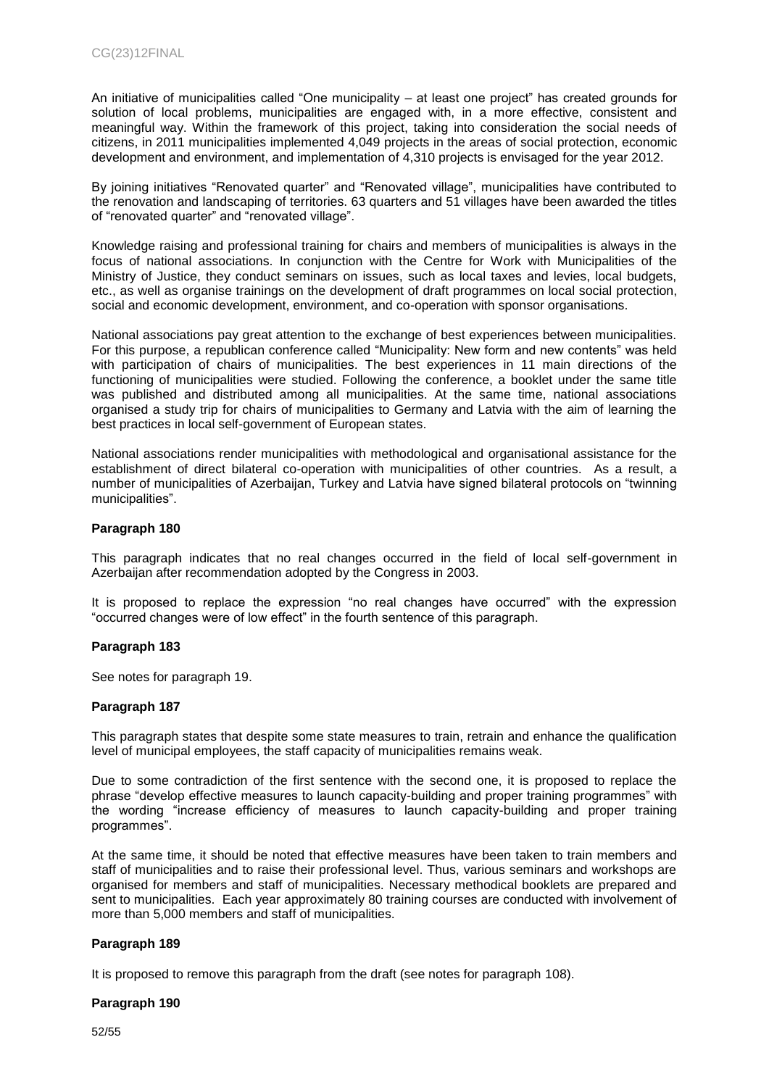An initiative of municipalities called "One municipality – at least one project" has created grounds for solution of local problems, municipalities are engaged with, in a more effective, consistent and meaningful way. Within the framework of this project, taking into consideration the social needs of citizens, in 2011 municipalities implemented 4,049 projects in the areas of social protection, economic development and environment, and implementation of 4,310 projects is envisaged for the year 2012.

By joining initiatives "Renovated quarter" and "Renovated village", municipalities have contributed to the renovation and landscaping of territories. 63 quarters and 51 villages have been awarded the titles of "renovated quarter" and "renovated village".

Knowledge raising and professional training for chairs and members of municipalities is always in the focus of national associations. In conjunction with the Centre for Work with Municipalities of the Ministry of Justice, they conduct seminars on issues, such as local taxes and levies, local budgets, etc., as well as organise trainings on the development of draft programmes on local social protection, social and economic development, environment, and co-operation with sponsor organisations.

National associations pay great attention to the exchange of best experiences between municipalities. For this purpose, a republican conference called "Municipality: New form and new contents" was held with participation of chairs of municipalities. The best experiences in 11 main directions of the functioning of municipalities were studied. Following the conference, a booklet under the same title was published and distributed among all municipalities. At the same time, national associations organised a study trip for chairs of municipalities to Germany and Latvia with the aim of learning the best practices in local self-government of European states.

National associations render municipalities with methodological and organisational assistance for the establishment of direct bilateral co-operation with municipalities of other countries. As a result, a number of municipalities of Azerbaijan, Turkey and Latvia have signed bilateral protocols on "twinning municipalities".

#### **Paragraph 180**

This paragraph indicates that no real changes occurred in the field of local self-government in Azerbaijan after recommendation adopted by the Congress in 2003.

It is proposed to replace the expression "no real changes have occurred" with the expression "occurred changes were of low effect" in the fourth sentence of this paragraph.

#### **Paragraph 183**

See notes for paragraph 19.

#### **Paragraph 187**

This paragraph states that despite some state measures to train, retrain and enhance the qualification level of municipal employees, the staff capacity of municipalities remains weak.

Due to some contradiction of the first sentence with the second one, it is proposed to replace the phrase "develop effective measures to launch capacity-building and proper training programmes" with the wording "increase efficiency of measures to launch capacity-building and proper training programmes".

At the same time, it should be noted that effective measures have been taken to train members and staff of municipalities and to raise their professional level. Thus, various seminars and workshops are organised for members and staff of municipalities. Necessary methodical booklets are prepared and sent to municipalities. Each year approximately 80 training courses are conducted with involvement of more than 5,000 members and staff of municipalities.

## **Paragraph 189**

It is proposed to remove this paragraph from the draft (see notes for paragraph 108).

#### **Paragraph 190**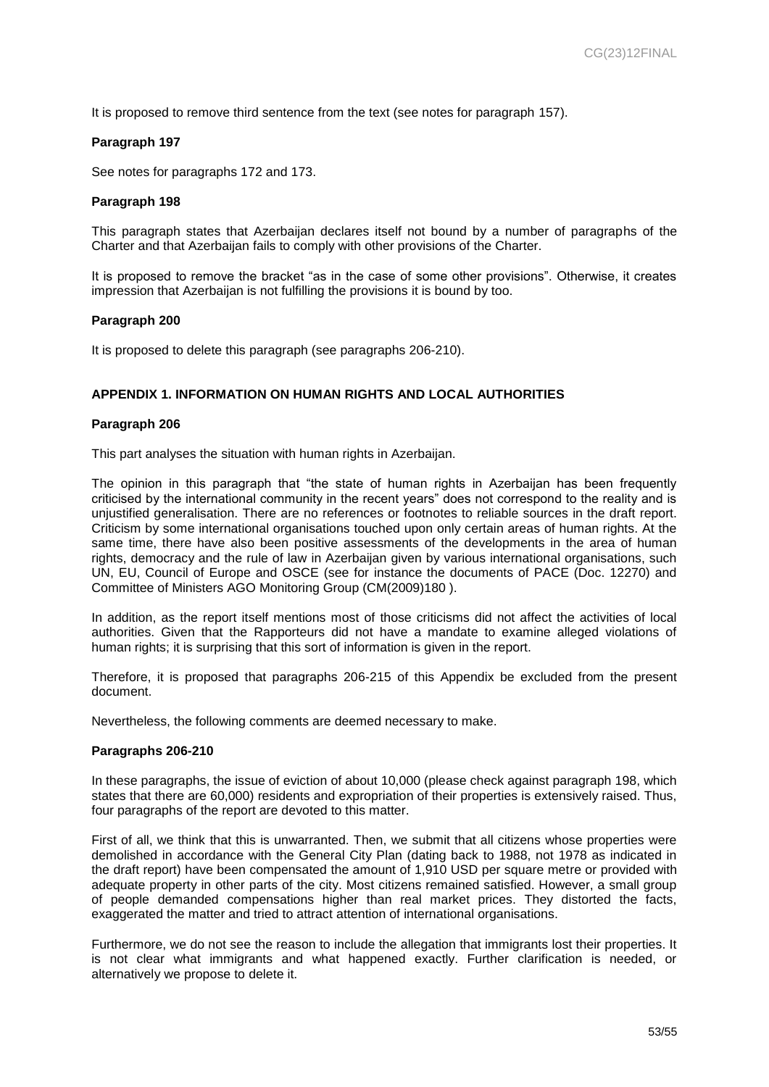It is proposed to remove third sentence from the text (see notes for paragraph 157).

#### **Paragraph 197**

See notes for paragraphs 172 and 173.

#### **Paragraph 198**

This paragraph states that Azerbaijan declares itself not bound by a number of paragraphs of the Charter and that Azerbaijan fails to comply with other provisions of the Charter.

It is proposed to remove the bracket "as in the case of some other provisions". Otherwise, it creates impression that Azerbaijan is not fulfilling the provisions it is bound by too.

#### **Paragraph 200**

It is proposed to delete this paragraph (see paragraphs 206-210).

#### **APPENDIX 1. INFORMATION ON HUMAN RIGHTS AND LOCAL AUTHORITIES**

#### **Paragraph 206**

This part analyses the situation with human rights in Azerbaijan.

The opinion in this paragraph that "the state of human rights in Azerbaijan has been frequently criticised by the international community in the recent years" does not correspond to the reality and is unjustified generalisation. There are no references or footnotes to reliable sources in the draft report. Criticism by some international organisations touched upon only certain areas of human rights. At the same time, there have also been positive assessments of the developments in the area of human rights, democracy and the rule of law in Azerbaijan given by various international organisations, such UN, EU, Council of Europe and OSCE (see for instance the documents of PACE (Doc. 12270) and Committee of Ministers AGO Monitoring Group (CM(2009)180 ).

In addition, as the report itself mentions most of those criticisms did not affect the activities of local authorities. Given that the Rapporteurs did not have a mandate to examine alleged violations of human rights; it is surprising that this sort of information is given in the report.

Therefore, it is proposed that paragraphs 206-215 of this Appendix be excluded from the present document.

Nevertheless, the following comments are deemed necessary to make.

#### **Paragraphs 206-210**

In these paragraphs, the issue of eviction of about 10,000 (please check against paragraph 198, which states that there are 60,000) residents and expropriation of their properties is extensively raised. Thus, four paragraphs of the report are devoted to this matter.

First of all, we think that this is unwarranted. Then, we submit that all citizens whose properties were demolished in accordance with the General City Plan (dating back to 1988, not 1978 as indicated in the draft report) have been compensated the amount of 1,910 USD per square metre or provided with adequate property in other parts of the city. Most citizens remained satisfied. However, a small group of people demanded compensations higher than real market prices. They distorted the facts, exaggerated the matter and tried to attract attention of international organisations.

Furthermore, we do not see the reason to include the allegation that immigrants lost their properties. It is not clear what immigrants and what happened exactly. Further clarification is needed, or alternatively we propose to delete it.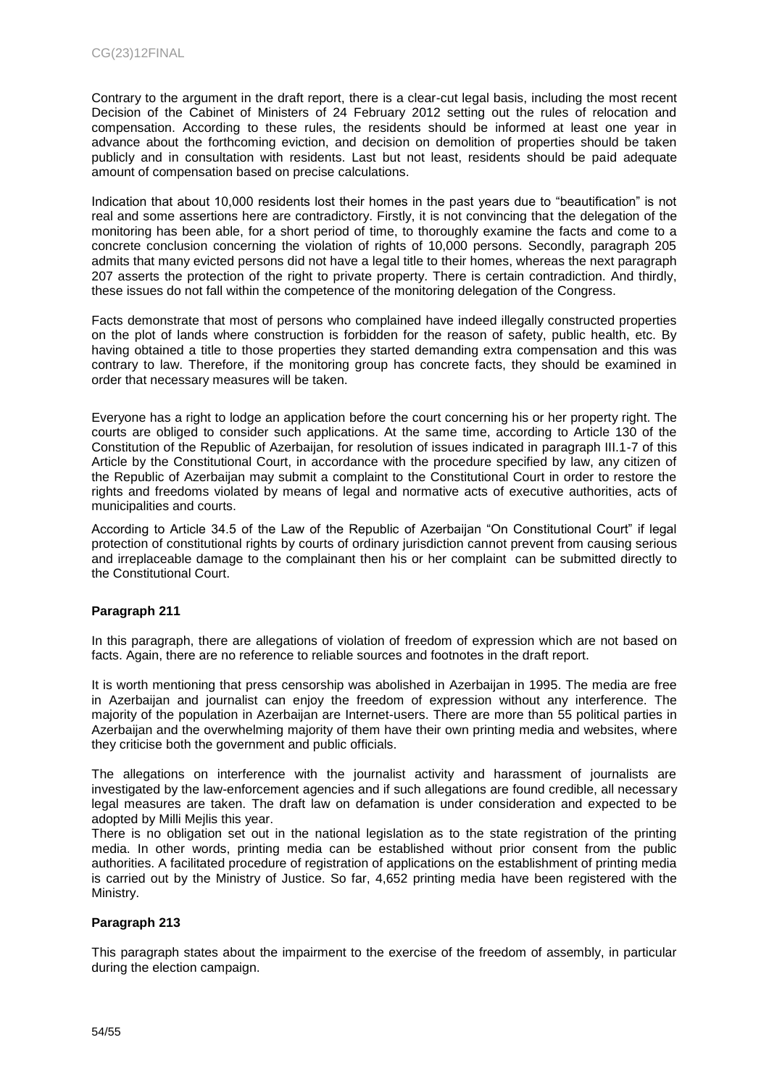Contrary to the argument in the draft report, there is a clear-cut legal basis, including the most recent Decision of the Cabinet of Ministers of 24 February 2012 setting out the rules of relocation and compensation. According to these rules, the residents should be informed at least one year in advance about the forthcoming eviction, and decision on demolition of properties should be taken publicly and in consultation with residents. Last but not least, residents should be paid adequate amount of compensation based on precise calculations.

Indication that about 10,000 residents lost their homes in the past years due to "beautification" is not real and some assertions here are contradictory. Firstly, it is not convincing that the delegation of the monitoring has been able, for a short period of time, to thoroughly examine the facts and come to a concrete conclusion concerning the violation of rights of 10,000 persons. Secondly, paragraph 205 admits that many evicted persons did not have a legal title to their homes, whereas the next paragraph 207 asserts the protection of the right to private property. There is certain contradiction. And thirdly, these issues do not fall within the competence of the monitoring delegation of the Congress.

Facts demonstrate that most of persons who complained have indeed illegally constructed properties on the plot of lands where construction is forbidden for the reason of safety, public health, etc. By having obtained a title to those properties they started demanding extra compensation and this was contrary to law. Therefore, if the monitoring group has concrete facts, they should be examined in order that necessary measures will be taken.

Everyone has a right to lodge an application before the court concerning his or her property right. The courts are obliged to consider such applications. At the same time, according to Article 130 of the Constitution of the Republic of Azerbaijan, for resolution of issues indicated in paragraph III.1-7 of this Article by the Constitutional Court, in accordance with the procedure specified by law, any citizen of the Republic of Azerbaijan may submit a complaint to the Constitutional Court in order to restore the rights and freedoms violated by means of legal and normative acts of executive authorities, acts of municipalities and courts.

According to Article 34.5 of the Law of the Republic of Azerbaijan "On Constitutional Court" if legal protection of constitutional rights by courts of ordinary jurisdiction cannot prevent from causing serious and irreplaceable damage to the complainant then his or her complaint can be submitted directly to the Constitutional Court.

## **Paragraph 211**

In this paragraph, there are allegations of violation of freedom of expression which are not based on facts. Again, there are no reference to reliable sources and footnotes in the draft report.

It is worth mentioning that press censorship was abolished in Azerbaijan in 1995. The media are free in Azerbaijan and journalist can enjoy the freedom of expression without any interference. The majority of the population in Azerbaijan are Internet-users. There are more than 55 political parties in Azerbaijan and the overwhelming majority of them have their own printing media and websites, where they criticise both the government and public officials.

The allegations on interference with the journalist activity and harassment of journalists are investigated by the law-enforcement agencies and if such allegations are found credible, all necessary legal measures are taken. The draft law on defamation is under consideration and expected to be adopted by Milli Mejlis this year.

There is no obligation set out in the national legislation as to the state registration of the printing media. In other words, printing media can be established without prior consent from the public authorities. A facilitated procedure of registration of applications on the establishment of printing media is carried out by the Ministry of Justice. So far, 4,652 printing media have been registered with the Ministry.

#### **Paragraph 213**

This paragraph states about the impairment to the exercise of the freedom of assembly, in particular during the election campaign.